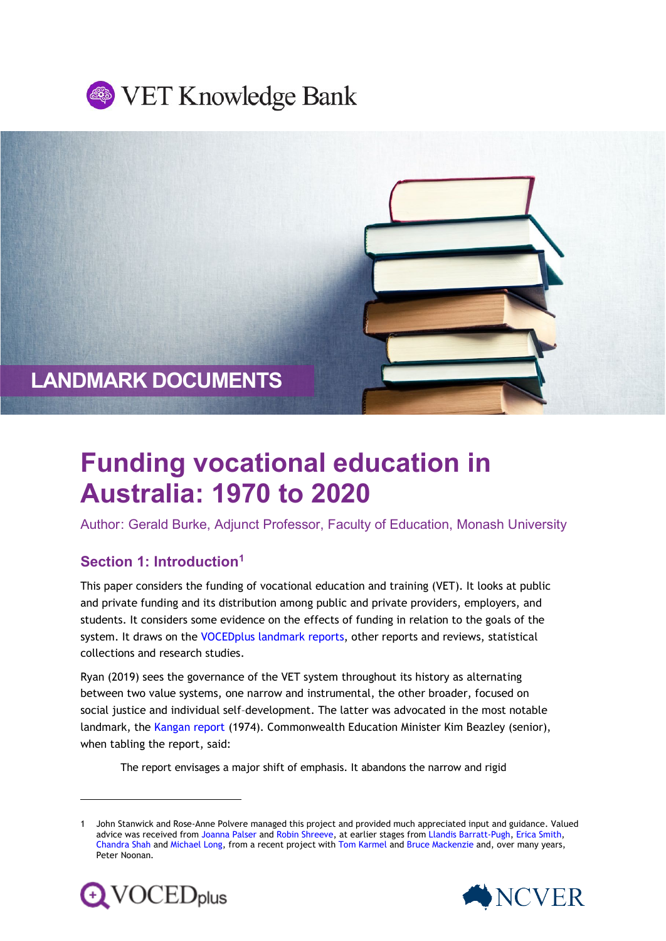



# **Funding vocational education in Australia: 1970 to 2020**

Author: Gerald Burke, Adjunct Professor, Faculty of Education, Monash University

# **Section 1: Introduction[1](#page-0-0)**

This paper considers the funding of vocational education and training (VET). It looks at public and private funding and its distribution among public and private providers, employers, and students. It considers some evidence on the effects of funding in relation to the goals of the system. It draws on the [VOCEDplus landmark reports,](https://www.voced.edu.au/vet-knowledge-bank-landmark-documents) other reports and reviews, statistical collections and research studies.

Ryan (2019) sees the governance of the VET system throughout its history as alternating between two value systems, one narrow and instrumental, the other broader, focused on social justice and individual self–development. The latter was advocated in the most notable landmark, the [Kangan report](http://hdl.voced.edu.au/10707/17052) (1974). Commonwealth Education Minister Kim Beazley (senior), when tabling the report, said:

The report envisages a major shift of emphasis. It abandons the narrow and rigid

<span id="page-0-0"></span><sup>1</sup> John Stanwick and Rose-Anne Polvere managed this project and provided much appreciated input and guidance. Valued advice was received fro[m Joanna Palser](https://www.voced.edu.au/search/site/?f%5b0%5d=sm_creator:Palser%2C+Joanna) an[d Robin Shreeve,](https://www.voced.edu.au/search/site/?f%5b0%5d=sm_creator:Shreeve%2C+Robin) at earlier stages fro[m Llandis Barratt-Pugh,](https://www.voced.edu.au/search/site/?f%5b0%5d=sm_creator:Barratt-Pugh%2C+Llandis) [Erica Smith,](https://www.voced.edu.au/search/site/?f%5b0%5d=sm_creator:Smith%2C+Erica) [Chandra Shah](https://www.voced.edu.au/search/site/?f%5b0%5d=sm_creator:Shah%2C+Chandra) and [Michael Long,](https://www.voced.edu.au/search/site/?f%5b0%5d=sm_creator:Long%2C+Michael) from a recent project with [Tom Karmel](https://www.voced.edu.au/search/site/?f%5b0%5d=sm_creator:Karmel%2C+Tom) and [Bruce Mackenzie](https://www.voced.edu.au/search/site/?f%5b0%5d=sm_creator:Mackenzie%2C+Bruce) and, over many years, Peter Noonan.



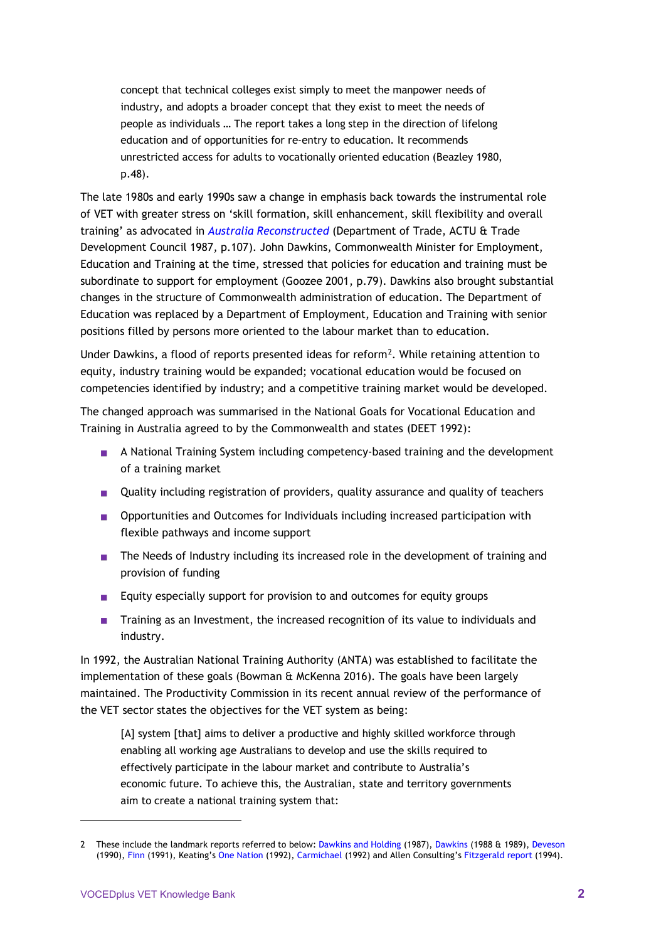concept that technical colleges exist simply to meet the manpower needs of industry, and adopts a broader concept that they exist to meet the needs of people as individuals … The report takes a long step in the direction of lifelong education and of opportunities for re-entry to education. It recommends unrestricted access for adults to vocationally oriented education (Beazley 1980, p.48).

The late 1980s and early 1990s saw a change in emphasis back towards the instrumental role of VET with greater stress on 'skill formation, skill enhancement, skill flexibility and overall training' as advocated in *[Australia Reconstructed](http://hdl.voced.edu.au/10707/28957)* (Department of Trade, ACTU & Trade Development Council 1987, p.107). John Dawkins, Commonwealth Minister for Employment, Education and Training at the time, stressed that policies for education and training must be subordinate to support for employment (Goozee 2001, p.79). Dawkins also brought substantial changes in the structure of Commonwealth administration of education. The Department of Education was replaced by a Department of Employment, Education and Training with senior positions filled by persons more oriented to the labour market than to education.

Under Dawkins, a flood of reports presented ideas for reform<sup>[2](#page-1-0)</sup>. While retaining attention to equity, industry training would be expanded; vocational education would be focused on competencies identified by industry; and a competitive training market would be developed.

The changed approach was summarised in the National Goals for Vocational Education and Training in Australia agreed to by the Commonwealth and states (DEET 1992):

- A National Training System including competency-based training and the development of a training market
- **Quality including registration of providers, quality assurance and quality of teachers**
- **Opportunities and Outcomes for Individuals including increased participation with** flexible pathways and income support
- **The Needs of Industry including its increased role in the development of training and** provision of funding
- **Equity especially support for provision to and outcomes for equity groups**
- Training as an Investment, the increased recognition of its value to individuals and industry.

In 1992, the Australian National Training Authority (ANTA) was established to facilitate the implementation of these goals (Bowman & McKenna 2016). The goals have been largely maintained. The Productivity Commission in its recent annual review of the performance of the VET sector states the objectives for the VET system as being:

[A] system [that] aims to deliver a productive and highly skilled workforce through enabling all working age Australians to develop and use the skills required to effectively participate in the labour market and contribute to Australia's economic future. To achieve this, the Australian, state and territory governments aim to create a national training system that:

<span id="page-1-0"></span><sup>2</sup> These include the landmark reports referred to below[: Dawkins and Holding](http://hdl.voced.edu.au/10707/134694) (1987)[, Dawkins](https://www.voced.edu.au/search/site/tm_metadata.documentno%3A%28%22TD%20LMR%2085.676%22%20OR%20%22TD%20LMR%2085.664%22%20OR%20%22TD%20LMR%2085.675%22%29?expert_search=1) (1988 & 1989), [Deveson](http://hdl.voced.edu.au/10707/27311) (1990), [Finn](http://hdl.voced.edu.au/10707/34856) (1991), Keating'[s One Nation](http://hdl.voced.edu.au/10707/119443) (1992), [Carmichael](http://hdl.voced.edu.au/10707/33689) (1992) and Allen Consulting'[s Fitzgerald report](http://hdl.voced.edu.au/10707/151782) (1994).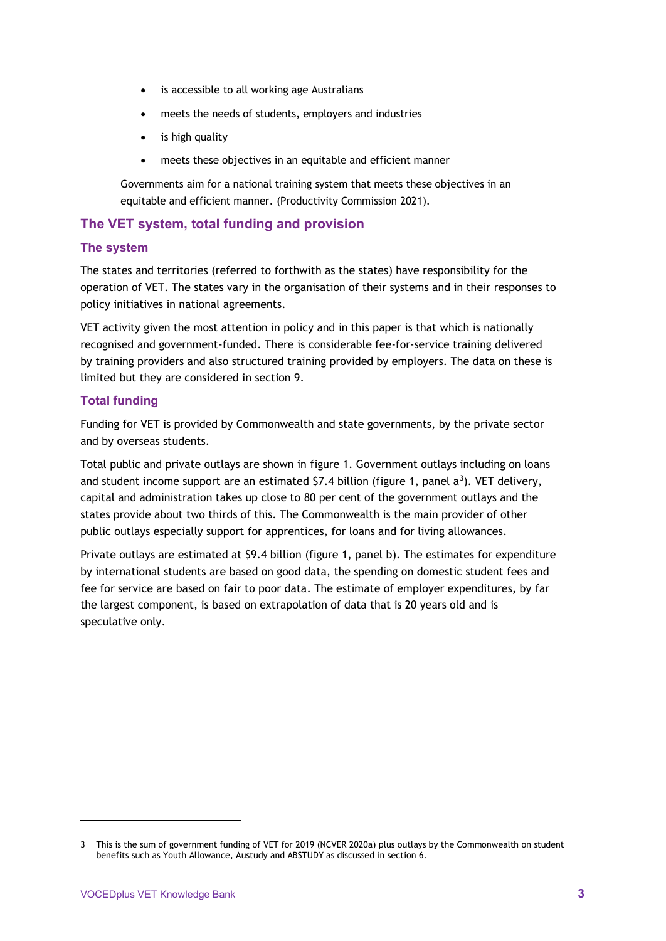- is accessible to all working age Australians
- meets the needs of students, employers and industries
- is high quality
- meets these objectives in an equitable and efficient manner

Governments aim for a national training system that meets these objectives in an equitable and efficient manner. (Productivity Commission 2021).

# **The VET system, total funding and provision**

#### **The system**

The states and territories (referred to forthwith as the states) have responsibility for the operation of VET. The states vary in the organisation of their systems and in their responses to policy initiatives in national agreements.

VET activity given the most attention in policy and in this paper is that which is nationally recognised and government-funded. There is considerable fee-for-service training delivered by training providers and also structured training provided by employers. The data on these is limited but they are considered in section 9.

## **Total funding**

Funding for VET is provided by Commonwealth and state governments, by the private sector and by overseas students.

Total public and private outlays are shown in figure 1. Government outlays including on loans and student income support are an estimated \$7.4 billion (figure 1, panel  $a^3$  $a^3$ ). VET delivery, capital and administration takes up close to 80 per cent of the government outlays and the states provide about two thirds of this. The Commonwealth is the main provider of other public outlays especially support for apprentices, for loans and for living allowances.

Private outlays are estimated at \$9.4 billion (figure 1, panel b). The estimates for expenditure by international students are based on good data, the spending on domestic student fees and fee for service are based on fair to poor data. The estimate of employer expenditures, by far the largest component, is based on extrapolation of data that is 20 years old and is speculative only.

<span id="page-2-0"></span><sup>3</sup> This is the sum of government funding of VET for 2019 (NCVER 2020a) plus outlays by the Commonwealth on student benefits such as Youth Allowance, Austudy and ABSTUDY as discussed in section 6.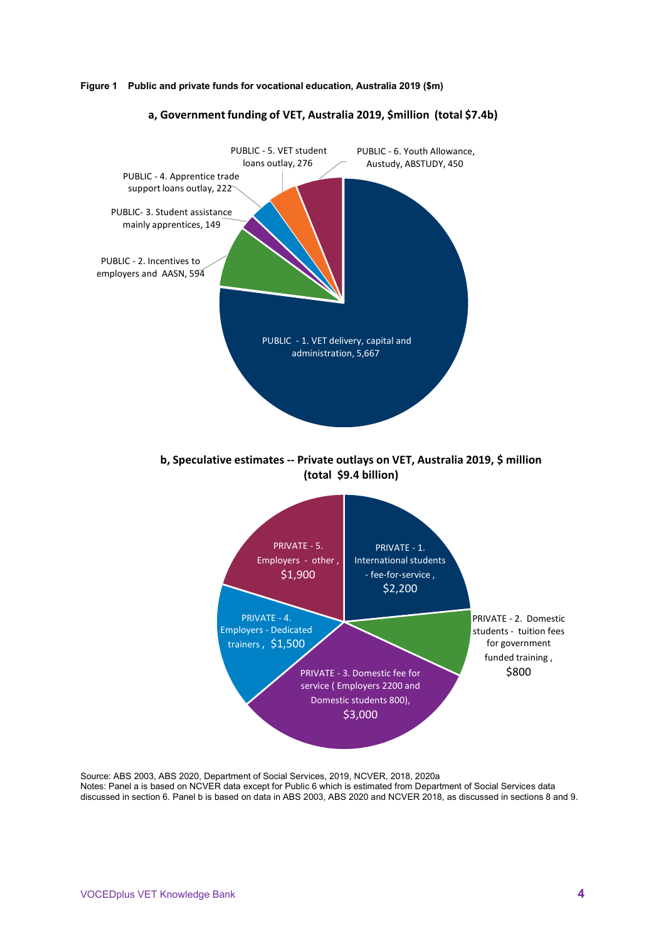#### **Figure 1 Public and private funds for vocational education, Australia 2019 (\$m)**



#### **a, Government funding of VET, Australia 2019, \$million (total \$7.4b)**

Source: ABS 2003, ABS 2020, Department of Social Services, 2019, NCVER, 2018, 2020a Notes: Panel a is based on NCVER data except for Public 6 which is estimated from Department of Social Services data discussed in section 6. Panel b is based on data in ABS 2003, ABS 2020 and NCVER 2018, as discussed in sections 8 and 9.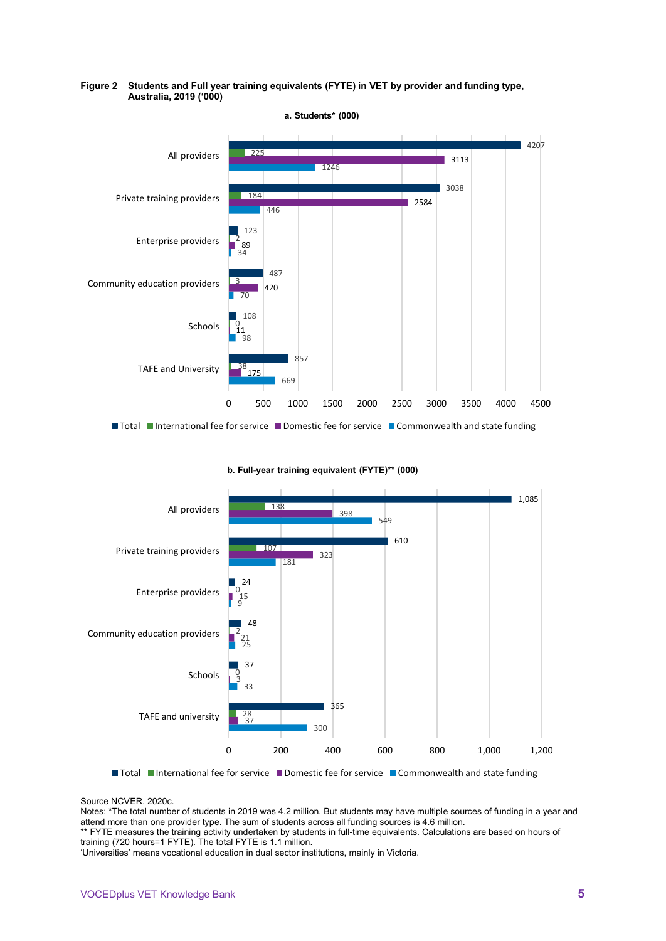#### **Figure 2 Students and Full year training equivalents (FYTE) in VET by provider and funding type, Australia, 2019 ('000)**





**b. Full-year training equivalent (FYTE)\*\* (000)**

**■ Total ■ International fee for service ■ Domestic fee for service ■ Commonwealth and state funding** 

Source NCVER, 2020c.

Notes: \*The total number of students in 2019 was 4.2 million. But students may have multiple sources of funding in a year and attend more than one provider type. The sum of students across all funding sources is 4.6 million.

\*\* FYTE measures the training activity undertaken by students in full-time equivalents. Calculations are based on hours of training (720 hours=1 FYTE). The total FYTE is 1.1 million.

'Universities' means vocational education in dual sector institutions, mainly in Victoria.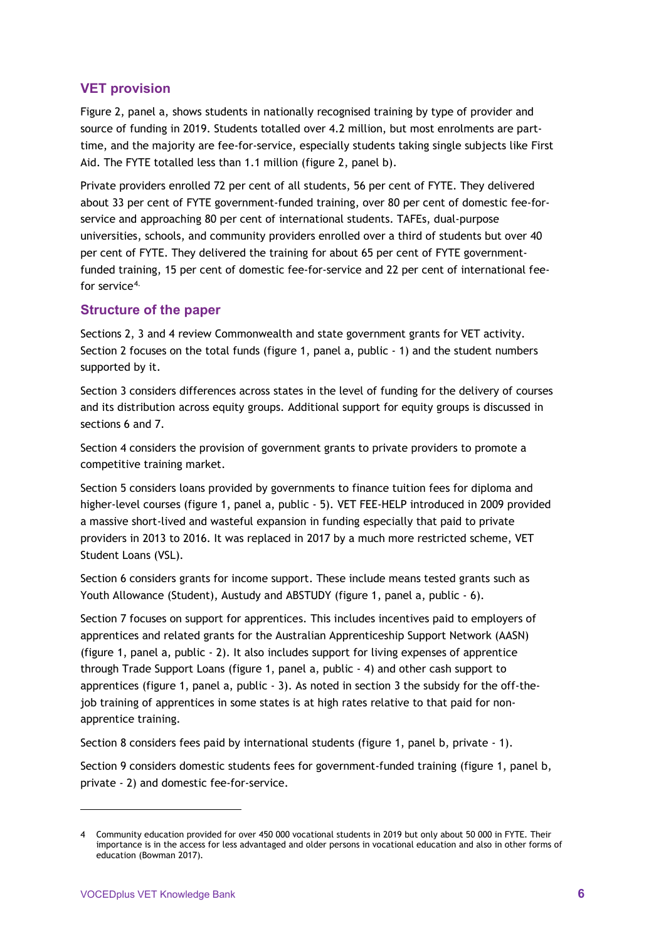# **VET provision**

Figure 2, panel a, shows students in nationally recognised training by type of provider and source of funding in 2019. Students totalled over 4.2 million, but most enrolments are parttime, and the majority are fee-for-service, especially students taking single subjects like First Aid. The FYTE totalled less than 1.1 million (figure 2, panel b).

Private providers enrolled 72 per cent of all students, 56 per cent of FYTE. They delivered about 33 per cent of FYTE government-funded training, over 80 per cent of domestic fee-forservice and approaching 80 per cent of international students. TAFEs, dual-purpose universities, schools, and community providers enrolled over a third of students but over 40 per cent of FYTE. They delivered the training for about 65 per cent of FYTE governmentfunded training, 15 per cent of domestic fee-for-service and 22 per cent of international fee-for service<sup>[4](#page-5-0).</sup>

## **Structure of the paper**

Sections 2, 3 and 4 review Commonwealth and state government grants for VET activity. Section 2 focuses on the total funds (figure 1, panel a, public - 1) and the student numbers supported by it.

Section 3 considers differences across states in the level of funding for the delivery of courses and its distribution across equity groups. Additional support for equity groups is discussed in sections 6 and 7.

Section 4 considers the provision of government grants to private providers to promote a competitive training market.

Section 5 considers loans provided by governments to finance tuition fees for diploma and higher-level courses (figure 1, panel a, public - 5). VET FEE-HELP introduced in 2009 provided a massive short-lived and wasteful expansion in funding especially that paid to private providers in 2013 to 2016. It was replaced in 2017 by a much more restricted scheme, VET Student Loans (VSL).

Section 6 considers grants for income support. These include means tested grants such as Youth Allowance (Student), Austudy and ABSTUDY (figure 1, panel a, public - 6).

Section 7 focuses on support for apprentices. This includes incentives paid to employers of apprentices and related grants for the Australian Apprenticeship Support Network (AASN) (figure 1, panel a, public - 2). It also includes support for living expenses of apprentice through Trade Support Loans (figure 1, panel a, public - 4) and other cash support to apprentices (figure 1, panel a, public - 3). As noted in section 3 the subsidy for the off-thejob training of apprentices in some states is at high rates relative to that paid for nonapprentice training.

Section 8 considers fees paid by international students (figure 1, panel b, private - 1).

Section 9 considers domestic students fees for government-funded training (figure 1, panel b, private - 2) and domestic fee-for-service.

<span id="page-5-0"></span><sup>4</sup> Community education provided for over 450 000 vocational students in 2019 but only about 50 000 in FYTE. Their importance is in the access for less advantaged and older persons in vocational education and also in other forms of education (Bowman 2017).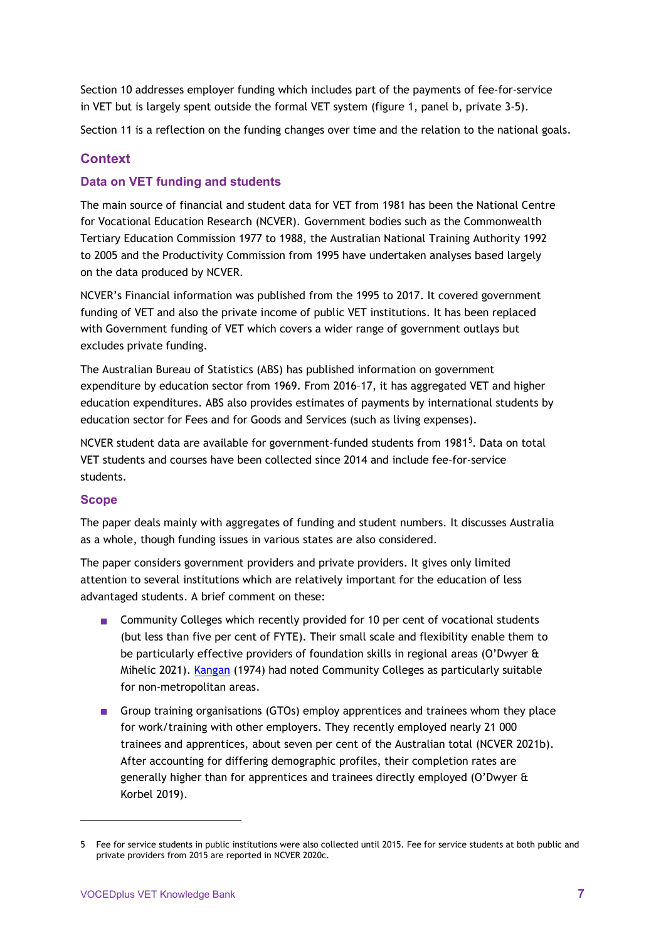Section 10 addresses employer funding which includes part of the payments of fee-for-service in VET but is largely spent outside the formal VET system (figure 1, panel b, private 3-5).

Section 11 is a reflection on the funding changes over time and the relation to the national goals.

# **Context**

# **Data on VET funding and students**

The main source of financial and student data for VET from 1981 has been the National Centre for Vocational Education Research (NCVER). Government bodies such as the Commonwealth Tertiary Education Commission 1977 to 1988, the Australian National Training Authority 1992 to 2005 and the Productivity Commission from 1995 have undertaken analyses based largely on the data produced by NCVER.

NCVER's Financial information was published from the 1995 to 2017. It covered government funding of VET and also the private income of public VET institutions. It has been replaced with Government funding of VET which covers a wider range of government outlays but excludes private funding.

The Australian Bureau of Statistics (ABS) has published information on government expenditure by education sector from 1969. From 2016–17, it has aggregated VET and higher education expenditures. ABS also provides estimates of payments by international students by education sector for Fees and for Goods and Services (such as living expenses).

NCVER student data are available for government-funded students from 1981<sup>[5](#page-6-0)</sup>. Data on total VET students and courses have been collected since 2014 and include fee-for-service students.

## **Scope**

The paper deals mainly with aggregates of funding and student numbers. It discusses Australia as a whole, though funding issues in various states are also considered.

The paper considers government providers and private providers. It gives only limited attention to several institutions which are relatively important for the education of less advantaged students. A brief comment on these:

- **Community Colleges which recently provided for 10 per cent of vocational students** (but less than five per cent of FYTE). Their small scale and flexibility enable them to be particularly effective providers of foundation skills in regional areas (O'Dwyer & Mihelic 2021). [Kangan](http://hdl.voced.edu.au/10707/17052) (1974) had noted Community Colleges as particularly suitable for non-metropolitan areas.
- Group training organisations (GTOs) employ apprentices and trainees whom they place for work/training with other employers. They recently employed nearly 21 000 trainees and apprentices, about seven per cent of the Australian total (NCVER 2021b). After accounting for differing demographic profiles, their completion rates are generally higher than for apprentices and trainees directly employed (O'Dwyer & Korbel 2019).

<span id="page-6-0"></span><sup>5</sup> Fee for service students in public institutions were also collected until 2015. Fee for service students at both public and private providers from 2015 are reported in NCVER 2020c.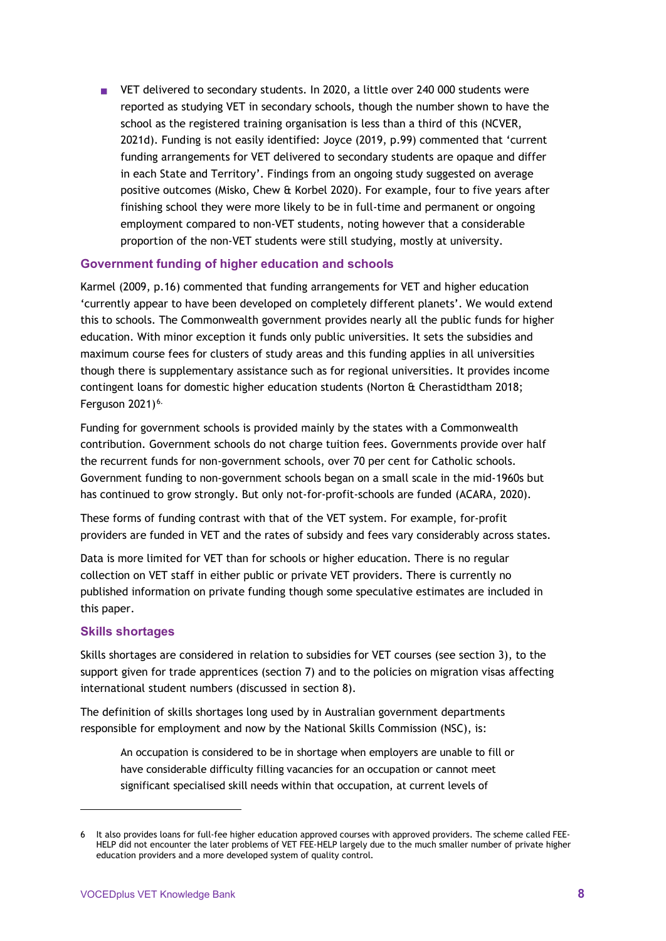VET delivered to secondary students. In 2020, a little over 240 000 students were reported as studying VET in secondary schools, though the number shown to have the school as the registered training organisation is less than a third of this (NCVER, 2021d). Funding is not easily identified: Joyce (2019, p.99) commented that 'current funding arrangements for VET delivered to secondary students are opaque and differ in each State and Territory'. Findings from an ongoing study suggested on average positive outcomes (Misko, Chew & Korbel 2020). For example, four to five years after finishing school they were more likely to be in full-time and permanent or ongoing employment compared to non-VET students, noting however that a considerable proportion of the non-VET students were still studying, mostly at university.

## **Government funding of higher education and schools**

Karmel (2009, p.16) commented that funding arrangements for VET and higher education 'currently appear to have been developed on completely different planets'. We would extend this to schools. The Commonwealth government provides nearly all the public funds for higher education. With minor exception it funds only public universities. It sets the subsidies and maximum course fees for clusters of study areas and this funding applies in all universities though there is supplementary assistance such as for regional universities. It provides income contingent loans for domestic higher education students (Norton & Cherastidtham 2018; Ferguson 2021)<sup>[6.](#page-7-0)</sup>

Funding for government schools is provided mainly by the states with a Commonwealth contribution. Government schools do not charge tuition fees. Governments provide over half the recurrent funds for non-government schools, over 70 per cent for Catholic schools. Government funding to non-government schools began on a small scale in the mid-1960s but has continued to grow strongly. But only not-for-profit-schools are funded (ACARA, 2020).

These forms of funding contrast with that of the VET system. For example, for-profit providers are funded in VET and the rates of subsidy and fees vary considerably across states.

Data is more limited for VET than for schools or higher education. There is no regular collection on VET staff in either public or private VET providers. There is currently no published information on private funding though some speculative estimates are included in this paper.

## **Skills shortages**

Skills shortages are considered in relation to subsidies for VET courses (see section 3), to the support given for trade apprentices (section 7) and to the policies on migration visas affecting international student numbers (discussed in section 8).

The definition of skills shortages long used by in Australian government departments responsible for employment and now by the National Skills Commission (NSC), is:

An occupation is considered to be in shortage when employers are unable to fill or have considerable difficulty filling vacancies for an occupation or cannot meet significant specialised skill needs within that occupation, at current levels of

<span id="page-7-0"></span><sup>6</sup> It also provides loans for full-fee higher education approved courses with approved providers. The scheme called FEE-HELP did not encounter the later problems of VET FEE-HELP largely due to the much smaller number of private higher education providers and a more developed system of quality control.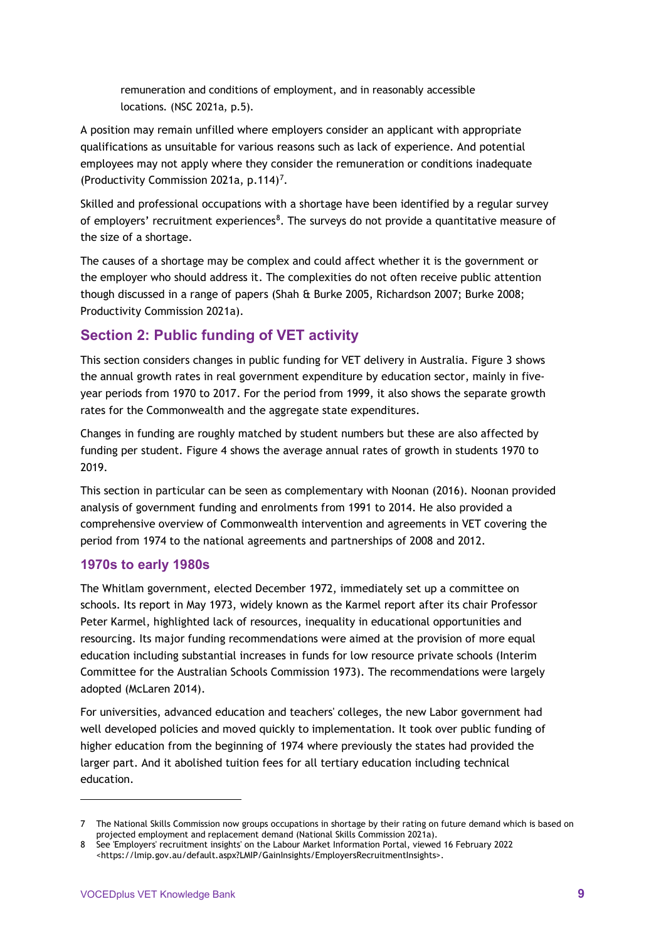remuneration and conditions of employment, and in reasonably accessible locations. (NSC 2021a, p.5).

A position may remain unfilled where employers consider an applicant with appropriate qualifications as unsuitable for various reasons such as lack of experience. And potential employees may not apply where they consider the remuneration or conditions inadequate (Productivity Commission 2021a, p.114)<sup>[7](#page-8-0)</sup>.

Skilled and professional occupations with a shortage have been identified by a regular survey of employers' recruitment experiences<sup>[8](#page-8-1)</sup>. The surveys do not provide a quantitative measure of the size of a shortage.

The causes of a shortage may be complex and could affect whether it is the government or the employer who should address it. The complexities do not often receive public attention though discussed in a range of papers (Shah & Burke 2005, Richardson 2007; Burke 2008; Productivity Commission 2021a).

# **Section 2: Public funding of VET activity**

This section considers changes in public funding for VET delivery in Australia. Figure 3 shows the annual growth rates in real government expenditure by education sector, mainly in fiveyear periods from 1970 to 2017. For the period from 1999, it also shows the separate growth rates for the Commonwealth and the aggregate state expenditures.

Changes in funding are roughly matched by student numbers but these are also affected by funding per student. Figure 4 shows the average annual rates of growth in students 1970 to 2019.

This section in particular can be seen as complementary with Noonan (2016). Noonan provided analysis of government funding and enrolments from 1991 to 2014. He also provided a comprehensive overview of Commonwealth intervention and agreements in VET covering the period from 1974 to the national agreements and partnerships of 2008 and 2012.

# **1970s to early 1980s**

The Whitlam government, elected December 1972, immediately set up a committee on schools. Its report in May 1973, widely known as the Karmel report after its chair Professor Peter Karmel, highlighted lack of resources, inequality in educational opportunities and resourcing. Its major funding recommendations were aimed at the provision of more equal education including substantial increases in funds for low resource private schools (Interim Committee for the Australian Schools Commission 1973). The recommendations were largely adopted (McLaren 2014).

For universities, advanced education and teachers' colleges, the new Labor government had well developed policies and moved quickly to implementation. It took over public funding of higher education from the beginning of 1974 where previously the states had provided the larger part. And it abolished tuition fees for all tertiary education including technical education.

<span id="page-8-0"></span><sup>7</sup> The National Skills Commission now groups occupations in shortage by their rating on future demand which is based on projected employment and replacement demand (National Skills Commission 2021a).

<span id="page-8-1"></span><sup>8</sup> See 'Employers' recruitment insights' on the Labour Market Information Portal, viewed 16 February 2022 <https://lmip.gov.au/default.aspx?LMIP/GainInsights/EmployersRecruitmentInsights>.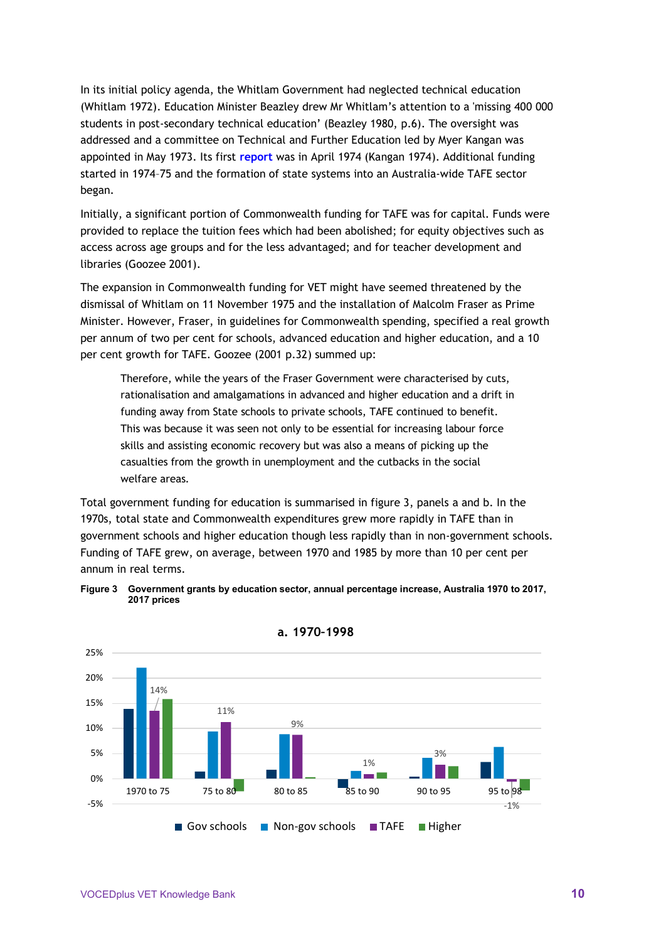In its initial policy agenda, the Whitlam Government had neglected technical education (Whitlam 1972). Education Minister Beazley drew Mr Whitlam's attention to a 'missing 400 000 students in post-secondary technical education' (Beazley 1980, p.6). The oversight was addressed and a committee on Technical and Further Education led by Myer Kangan was appointed in May 1973. Its first **[report](http://hdl.voced.edu.au/10707/17052)** was in April 1974 (Kangan 1974). Additional funding started in 1974–75 and the formation of state systems into an Australia-wide TAFE sector began.

Initially, a significant portion of Commonwealth funding for TAFE was for capital. Funds were provided to replace the tuition fees which had been abolished; for equity objectives such as access across age groups and for the less advantaged; and for teacher development and libraries (Goozee 2001).

The expansion in Commonwealth funding for VET might have seemed threatened by the dismissal of Whitlam on 11 November 1975 and the installation of Malcolm Fraser as Prime Minister. However, Fraser, in guidelines for Commonwealth spending, specified a real growth per annum of two per cent for schools, advanced education and higher education, and a 10 per cent growth for TAFE. Goozee (2001 p.32) summed up:

Therefore, while the years of the Fraser Government were characterised by cuts, rationalisation and amalgamations in advanced and higher education and a drift in funding away from State schools to private schools, TAFE continued to benefit. This was because it was seen not only to be essential for increasing labour force skills and assisting economic recovery but was also a means of picking up the casualties from the growth in unemployment and the cutbacks in the social welfare areas.

Total government funding for education is summarised in figure 3, panels a and b. In the 1970s, total state and Commonwealth expenditures grew more rapidly in TAFE than in government schools and higher education though less rapidly than in non-government schools. Funding of TAFE grew, on average, between 1970 and 1985 by more than 10 per cent per annum in real terms.





**a. 1970–1998**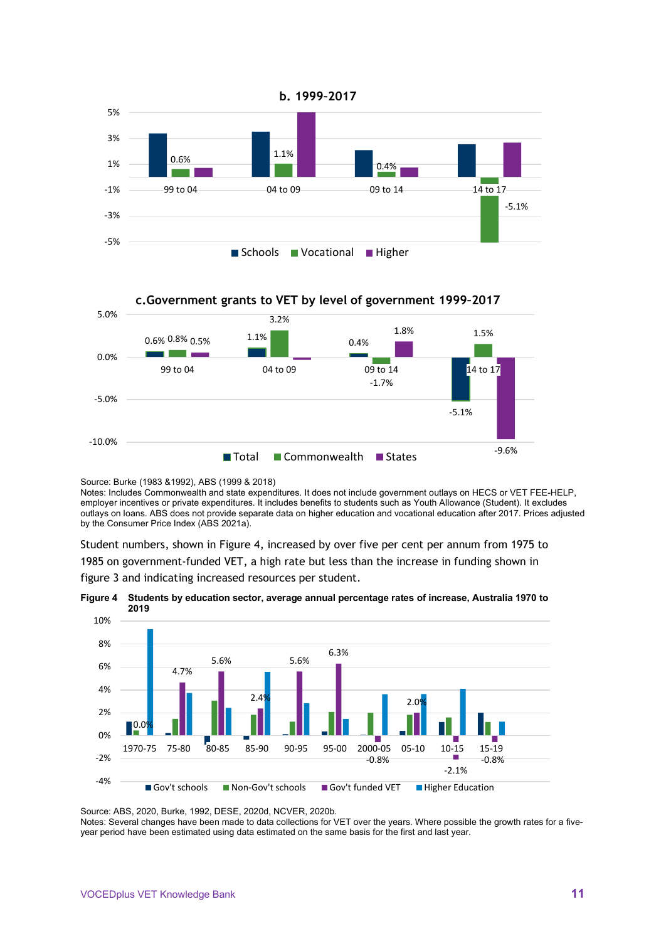





Source: Burke (1983 &1992), ABS (1999 & 2018)

Notes: Includes Commonwealth and state expenditures. It does not include government outlays on HECS or VET FEE-HELP, employer incentives or private expenditures. It includes benefits to students such as Youth Allowance (Student). It excludes outlays on loans. ABS does not provide separate data on higher education and vocational education after 2017. Prices adjusted by the Consumer Price Index (ABS 2021a).

Student numbers, shown in Figure 4, increased by over five per cent per annum from 1975 to 1985 on government-funded VET, a high rate but less than the increase in funding shown in figure 3 and indicating increased resources per student.





Source: ABS, 2020, Burke, 1992, DESE, 2020d, NCVER, 2020b.

Notes: Several changes have been made to data collections for VET over the years. Where possible the growth rates for a fiveyear period have been estimated using data estimated on the same basis for the first and last year.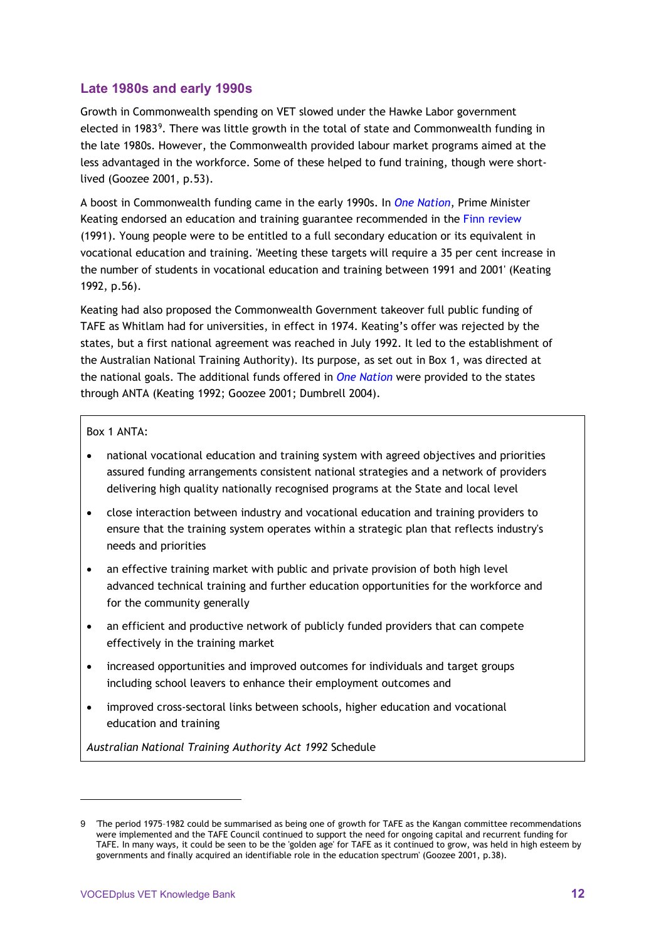# **Late 1980s and early 1990s**

Growth in Commonwealth spending on VET slowed under the Hawke Labor government elected in 1[9](#page-11-0)83<sup>9</sup>. There was little growth in the total of state and Commonwealth funding in the late 1980s. However, the Commonwealth provided labour market programs aimed at the less advantaged in the workforce. Some of these helped to fund training, though were shortlived (Goozee 2001, p.53).

A boost in Commonwealth funding came in the early 1990s. In *[One Nation](http://hdl.voced.edu.au/10707/119443)*, Prime Minister Keating endorsed an education and training guarantee recommended in the [Finn review](http://hdl.voced.edu.au/10707/34856) (1991). Young people were to be entitled to a full secondary education or its equivalent in vocational education and training. 'Meeting these targets will require a 35 per cent increase in the number of students in vocational education and training between 1991 and 2001' (Keating 1992, p.56).

Keating had also proposed the Commonwealth Government takeover full public funding of TAFE as Whitlam had for universities, in effect in 1974. Keating's offer was rejected by the states, but a first national agreement was reached in July 1992. It led to the establishment of the Australian National Training Authority). Its purpose, as set out in Box 1, was directed at the national goals. The additional funds offered in *[One Nation](http://hdl.voced.edu.au/10707/119443)* were provided to the states through ANTA (Keating 1992; Goozee 2001; Dumbrell 2004).

## Box 1 ANTA:

- national vocational education and training system with agreed objectives and priorities assured funding arrangements consistent national strategies and a network of providers delivering high quality nationally recognised programs at the State and local level
- close interaction between industry and vocational education and training providers to ensure that the training system operates within a strategic plan that reflects industry's needs and priorities
- an effective training market with public and private provision of both high level advanced technical training and further education opportunities for the workforce and for the community generally
- an efficient and productive network of publicly funded providers that can compete effectively in the training market
- increased opportunities and improved outcomes for individuals and target groups including school leavers to enhance their employment outcomes and
- improved cross-sectoral links between schools, higher education and vocational education and training

*Australian National Training Authority Act 1992* Schedule

<span id="page-11-0"></span><sup>9</sup> 'The period 1975–1982 could be summarised as being one of growth for TAFE as the Kangan committee recommendations were implemented and the TAFE Council continued to support the need for ongoing capital and recurrent funding for TAFE. In many ways, it could be seen to be the 'golden age' for TAFE as it continued to grow, was held in high esteem by governments and finally acquired an identifiable role in the education spectrum' (Goozee 2001, p.38).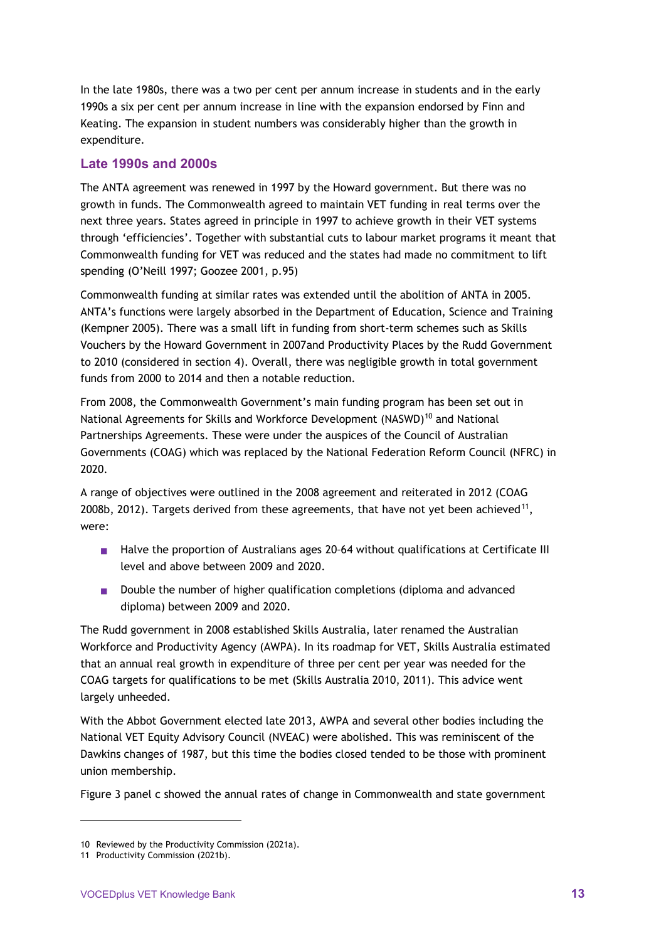In the late 1980s, there was a two per cent per annum increase in students and in the early 1990s a six per cent per annum increase in line with the expansion endorsed by [Finn](http://hdl.voced.edu.au/10707/34856) and [Keating.](http://hdl.voced.edu.au/10707/119443) The expansion in student numbers was considerably higher than the growth in expenditure.

## **Late 1990s and 2000s**

The ANTA agreement was renewed in 1997 by the Howard government. But there was no growth in funds. The Commonwealth agreed to maintain VET funding in real terms over the next three years. States agreed in principle in 1997 to achieve growth in their VET systems through 'efficiencies'. Together with substantial cuts to labour market programs it meant that Commonwealth funding for VET was reduced and the states had made no commitment to lift spending (O'Neill 1997; Goozee 2001, p.95)

Commonwealth funding at similar rates was extended until the abolition of ANTA in 2005. ANTA's functions were largely absorbed in the Department of Education, Science and Training (Kempner 2005). There was a small lift in funding from short-term schemes such as Skills Vouchers by the Howard Government in 2007and Productivity Places by the Rudd Government to 2010 (considered in section 4). Overall, there was negligible growth in total government funds from 2000 to 2014 and then a notable reduction.

From 2008, the Commonwealth Government's main funding program has been set out in National Agreements for Skills and Workforce Development (NASWD)<sup>[10](#page-12-0)</sup> and National Partnerships Agreements. These were under the auspices of the Council of Australian Governments (COAG) which was replaced by the National Federation Reform Council (NFRC) in 2020.

A range of objectives were outlined in the 2008 agreement and reiterated in 2012 (COAG 2008b, 2012). Targets derived from these agreements, that have not yet been achieved<sup>11</sup>, were:

- Halve the proportion of Australians ages 20–64 without qualifications at Certificate III  $\mathcal{L}^{\text{max}}$ level and above between 2009 and 2020.
- Double the number of higher qualification completions (diploma and advanced **College** diploma) between 2009 and 2020.

The Rudd government in 2008 established Skills Australia, later renamed the Australian Workforce and Productivity Agency (AWPA). In its roadmap for VET, Skills Australia estimated that an annual real growth in expenditure of three per cent per year was needed for the COAG targets for qualifications to be met (Skills Australia 2010, 2011). This advice went largely unheeded.

With the Abbot Government elected late 2013, AWPA and several other bodies including the National VET Equity Advisory Council (NVEAC) were abolished. This was reminiscent of the Dawkins changes of 1987, but this time the bodies closed tended to be those with prominent union membership.

Figure 3 panel c showed the annual rates of change in Commonwealth and state government

<span id="page-12-1"></span><span id="page-12-0"></span><sup>10</sup> Reviewed by the Productivity Commission (2021a).

<sup>11</sup> Productivity Commission (2021b).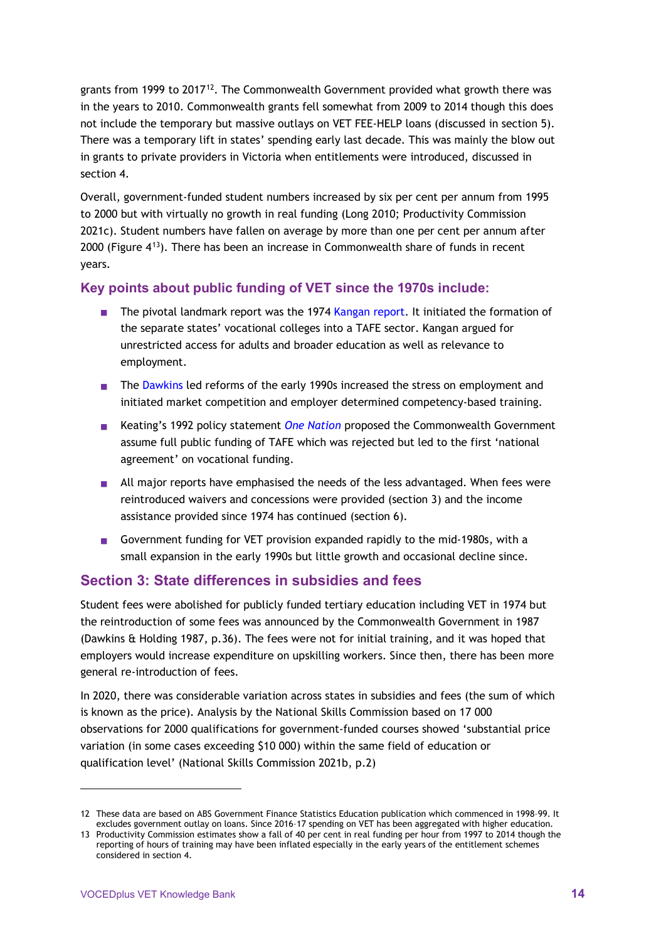grants from 1999 to  $2017^{12}$ . The Commonwealth Government provided what growth there was in the years to 2010. Commonwealth grants fell somewhat from 2009 to 2014 though this does not include the temporary but massive outlays on VET FEE-HELP loans (discussed in section 5). There was a temporary lift in states' spending early last decade. This was mainly the blow out in grants to private providers in Victoria when entitlements were introduced, discussed in section 4.

Overall, government-funded student numbers increased by six per cent per annum from 1995 to 2000 but with virtually no growth in real funding (Long 2010; Productivity Commission 2021c). Student numbers have fallen on average by more than one per cent per annum after 2000 (Figure  $4^{13}$  $4^{13}$  $4^{13}$ ). There has been an increase in Commonwealth share of funds in recent years.

# **Key points about public funding of VET since the 1970s include:**

- The pivotal landmark report was the 1974 [Kangan report.](http://hdl.voced.edu.au/10707/1705) It initiated the formation of the separate states' vocational colleges into a TAFE sector. Kangan argued for unrestricted access for adults and broader education as well as relevance to employment.
- **The [Dawkins](https://www.voced.edu.au/search/site/tm_metadata.documentno%3A%28%22TD%20LMR%2085.676%22%20OR%20%22TD%20LMR%2085.664%22%20OR%20%22TD%20LMR%2085.675%22%20OR%20%22TD%20LMR%2085.648%22%20%29?expert_search=1) led reforms of the early 1990s increased the stress on employment and** initiated market competition and employer determined competency-based training.
- Keating's 1992 policy statement *[One Nation](http://hdl.voced.edu.au/10707/119443)* proposed the Commonwealth Government  $\mathcal{L}_{\rm{max}}$ assume full public funding of TAFE which was rejected but led to the first 'national agreement' on vocational funding.
- **All major reports have emphasised the needs of the less advantaged. When fees were** reintroduced waivers and concessions were provided (section 3) and the income assistance provided since 1974 has continued (section 6).
- Government funding for VET provision expanded rapidly to the mid-1980s, with a small expansion in the early 1990s but little growth and occasional decline since.

# **Section 3: State differences in subsidies and fees**

Student fees were abolished for publicly funded tertiary education including VET in 1974 but the reintroduction of some fees was announced by the Commonwealth Government in 1987 [\(Dawkins & Holding](http://hdl.voced.edu.au/10707/134694) 1987, p.36). The fees were not for initial training, and it was hoped that employers would increase expenditure on upskilling workers. Since then, there has been more general re-introduction of fees.

In 2020, there was considerable variation across states in subsidies and fees (the sum of which is known as the price). Analysis by the National Skills Commission based on 17 000 observations for 2000 qualifications for government-funded courses showed 'substantial price variation (in some cases exceeding \$10 000) within the same field of education or qualification level' (National Skills Commission 2021b, p.2)

<span id="page-13-0"></span><sup>12</sup> These data are based on ABS Government Finance Statistics Education publication which commenced in 1998–99. It excludes government outlay on loans. Since 2016–17 spending on VET has been aggregated with higher education.

<span id="page-13-1"></span><sup>13</sup> Productivity Commission estimates show a fall of 40 per cent in real funding per hour from 1997 to 2014 though the reporting of hours of training may have been inflated especially in the early years of the entitlement schemes considered in section 4.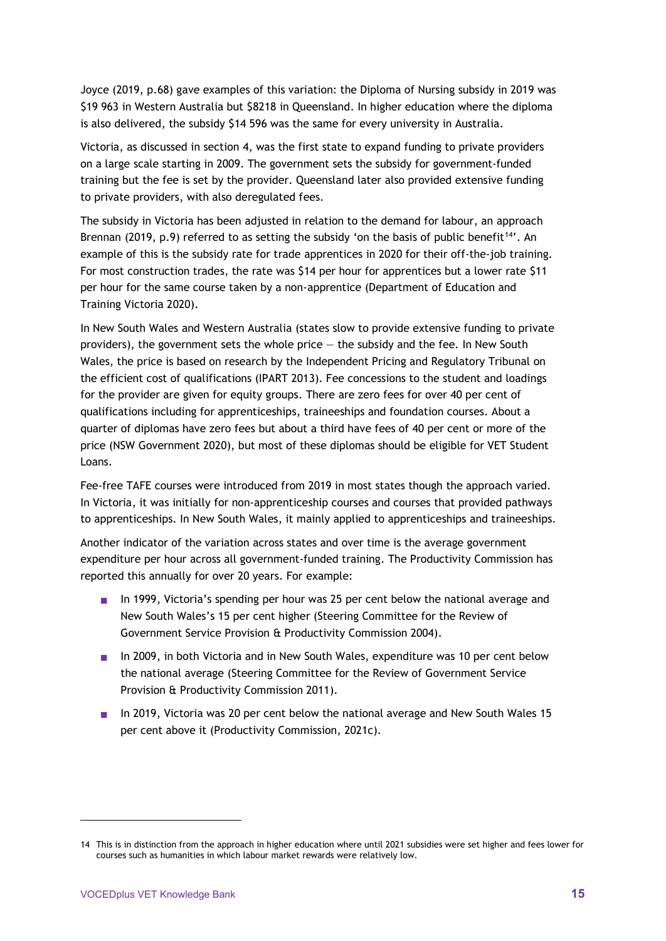Joyce (2019, p.68) gave examples of this variation: the Diploma of Nursing subsidy in 2019 was \$19 963 in Western Australia but \$8218 in Queensland. In higher education where the diploma is also delivered, the subsidy \$14 596 was the same for every university in Australia.

Victoria, as discussed in section 4, was the first state to expand funding to private providers on a large scale starting in 2009. The government sets the subsidy for government-funded training but the fee is set by the provider. Queensland later also provided extensive funding to private providers, with also deregulated fees.

The subsidy in Victoria has been adjusted in relation to the demand for labour, an approach Brennan (2019, p.9) referred to as setting the subsidy 'on the basis of public benefit<sup>14</sup>'. An example of this is the subsidy rate for trade apprentices in 2020 for their off-the-job training. For most construction trades, the rate was \$14 per hour for apprentices but a lower rate \$11 per hour for the same course taken by a non-apprentice (Department of Education and Training Victoria 2020).

In New South Wales and Western Australia (states slow to provide extensive funding to private providers), the government sets the whole price — the subsidy and the fee. In New South Wales, the price is based on research by the Independent Pricing and Regulatory Tribunal on the efficient cost of qualifications (IPART 2013). Fee concessions to the student and loadings for the provider are given for equity groups. There are zero fees for over 40 per cent of qualifications including for apprenticeships, traineeships and foundation courses. About a quarter of diplomas have zero fees but about a third have fees of 40 per cent or more of the price (NSW Government 2020), but most of these diplomas should be eligible for VET Student Loans.

Fee-free TAFE courses were introduced from 2019 in most states though the approach varied. In Victoria, it was initially for non-apprenticeship courses and courses that provided pathways to apprenticeships. In New South Wales, it mainly applied to apprenticeships and traineeships.

Another indicator of the variation across states and over time is the average government expenditure per hour across all government-funded training. The Productivity Commission has reported this annually for over 20 years. For example:

- In 1999, Victoria's spending per hour was 25 per cent below the national average and  $\mathcal{L}_{\mathcal{A}}$ New South Wales's 15 per cent higher (Steering Committee for the Review of Government Service Provision & Productivity Commission 2004).
- In 2009, in both Victoria and in New South Wales, expenditure was 10 per cent below the national average (Steering Committee for the Review of Government Service Provision & Productivity Commission 2011).
- In 2019, Victoria was 20 per cent below the national average and New South Wales 15 per cent above it (Productivity Commission, 2021c).

<span id="page-14-0"></span><sup>14</sup> This is in distinction from the approach in higher education where until 2021 subsidies were set higher and fees lower for courses such as humanities in which labour market rewards were relatively low.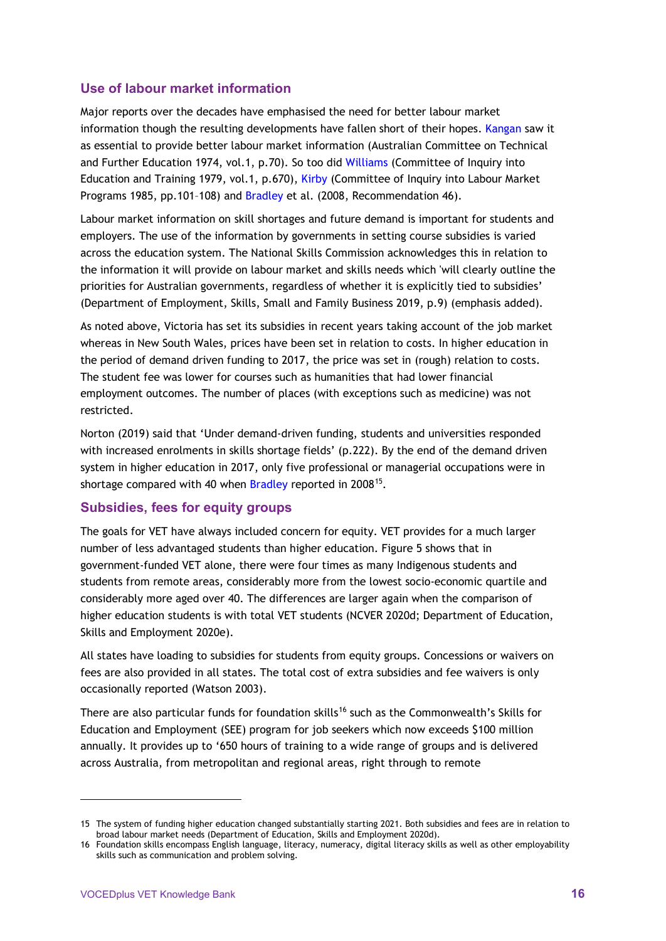# **Use of labour market information**

Major reports over the decades have emphasised the need for better labour market information though the resulting developments have fallen short of their hopes. [Kangan](http://hdl.voced.edu.au/10707/17052) saw it as essential to provide better labour market information (Australian Committee on Technical and Further Education 1974, vol.1, p.70). So too did [Williams](http://hdl.voced.edu.au/10707/113291) (Committee of Inquiry into Education and Training 1979, vol.1, p.670), [Kirby](http://hdl.voced.edu.au/10707/126407) (Committee of Inquiry into Labour Market Programs 1985, pp.101-108) and [Bradley](http://hdl.voced.edu.au/10707/44384) et al. (2008, Recommendation 46).

Labour market information on skill shortages and future demand is important for students and employers. The use of the information by governments in setting course subsidies is varied across the education system. The National Skills Commission acknowledges this in relation to the information it will provide on labour market and skills needs which 'will clearly outline the priorities for Australian governments, regardless of whether it is explicitly tied to subsidies' (Department of Employment, Skills, Small and Family Business 2019, p.9) (emphasis added).

As noted above, Victoria has set its subsidies in recent years taking account of the job market whereas in New South Wales, prices have been set in relation to costs. In higher education in the period of demand driven funding to 2017, the price was set in (rough) relation to costs. The student fee was lower for courses such as humanities that had lower financial employment outcomes. The number of places (with exceptions such as medicine) was not restricted.

Norton (2019) said that 'Under demand-driven funding, students and universities responded with increased enrolments in skills shortage fields' (p.222). By the end of the demand driven system in higher education in 2017, only five professional or managerial occupations were in shortage compared with 40 when [Bradley](http://hdl.voced.edu.au/10707/44384) reported in 2008<sup>[15](#page-15-0)</sup>.

## **Subsidies, fees for equity groups**

The goals for VET have always included concern for equity. VET provides for a much larger number of less advantaged students than higher education. Figure 5 shows that in government-funded VET alone, there were four times as many Indigenous students and students from remote areas, considerably more from the lowest socio-economic quartile and considerably more aged over 40. The differences are larger again when the comparison of higher education students is with total VET students (NCVER 2020d; Department of Education, Skills and Employment 2020e).

All states have loading to subsidies for students from equity groups. Concessions or waivers on fees are also provided in all states. The total cost of extra subsidies and fee waivers is only occasionally reported (Watson 2003).

There are also particular funds for foundation skills<sup>[16](#page-15-1)</sup> such as the Commonwealth's Skills for Education and Employment (SEE) program for job seekers which now exceeds \$100 million annually. It provides up to '650 hours of training to a wide range of groups and is delivered across Australia, from metropolitan and regional areas, right through to remote

<span id="page-15-0"></span><sup>15</sup> The system of funding higher education changed substantially starting 2021. Both subsidies and fees are in relation to broad labour market needs (Department of Education, Skills and Employment 2020d).

<span id="page-15-1"></span><sup>16</sup> Foundation skills encompass English language, literacy, numeracy, digital literacy skills as well as other employability skills such as communication and problem solving.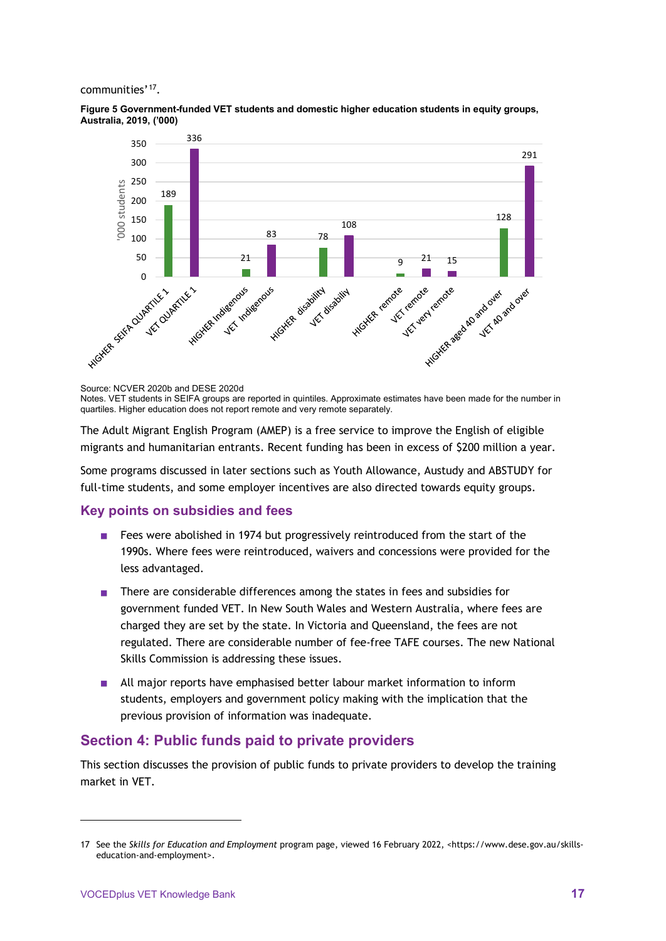#### communities'[17](#page-16-0).



**Figure 5 Government-funded VET students and domestic higher education students in equity groups, Australia, 2019, ('000)**

Notes. VET students in SEIFA groups are reported in quintiles. Approximate estimates have been made for the number in quartiles. Higher education does not report remote and very remote separately.

The Adult Migrant English Program (AMEP) is a free service to improve the English of eligible migrants and humanitarian entrants. Recent funding has been in excess of \$200 million a year.

Some programs discussed in later sections such as Youth Allowance, Austudy and ABSTUDY for full-time students, and some employer incentives are also directed towards equity groups.

#### **Key points on subsidies and fees**

- Fees were abolished in 1974 but progressively reintroduced from the start of the  $\sim 10^{-11}$ 1990s. Where fees were reintroduced, waivers and concessions were provided for the less advantaged.
- **There are considerable differences among the states in fees and subsidies for** government funded VET. In New South Wales and Western Australia, where fees are charged they are set by the state. In Victoria and Queensland, the fees are not regulated. There are considerable number of fee-free TAFE courses. The new National Skills Commission is addressing these issues.
- All major reports have emphasised better labour market information to inform students, employers and government policy making with the implication that the previous provision of information was inadequate.

# **Section 4: Public funds paid to private providers**

This section discusses the provision of public funds to private providers to develop the training market in VET.

Source: NCVER 2020b and DESE 2020d

<span id="page-16-0"></span><sup>17</sup> See the *Skills for Education and Employment* program page, viewed 16 February 2022, <https://www.dese.gov.au/skillseducation-and-employment>.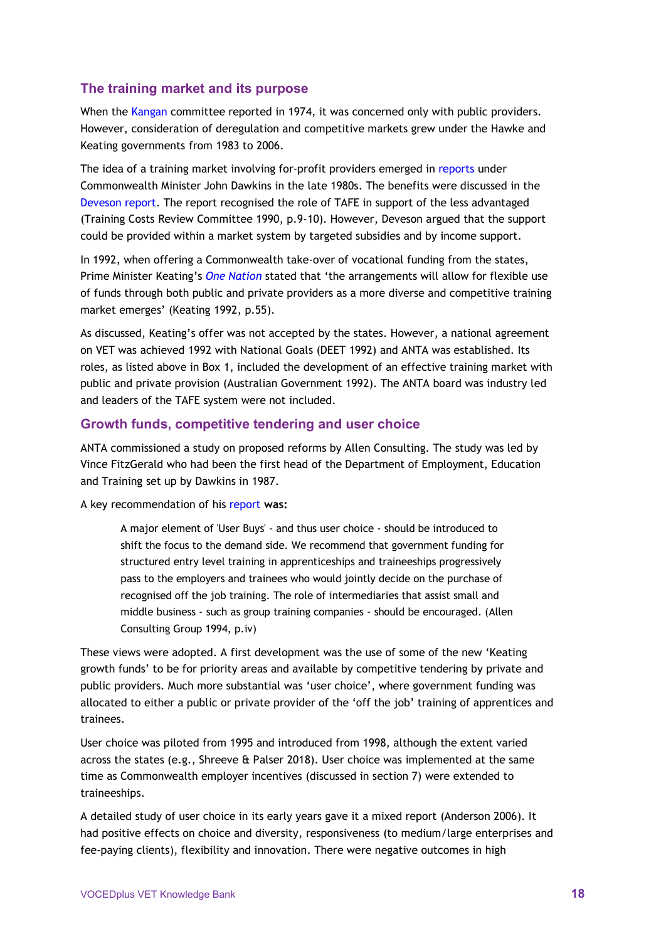# **The training market and its purpose**

When the [Kangan](http://hdl.voced.edu.au/10707/17052) committee reported in 1974, it was concerned only with public providers. However, consideration of deregulation and competitive markets grew under the Hawke and Keating governments from 1983 to 2006.

The idea of a training market involving for-profit providers emerged in [reports](https://www.voced.edu.au/search/site/tm_metadata.documentno%3A%28%22TD%20LMR%2085.676%22%20OR%20%22TD%20LMR%2085.664%22%20OR%20%22TD%20LMR%2085.675%22%20OR%20%22TD%20LMR%2085.648%22%20%29?expert_search=1) under Commonwealth Minister John Dawkins in the late 1980s. The benefits were discussed in the [Deveson report.](http://hdl.voced.edu.au/10707/27311) The report recognised the role of TAFE in support of the less advantaged (Training Costs Review Committee 1990, p.9-10). However, Deveson argued that the support could be provided within a market system by targeted subsidies and by income support.

In 1992, when offering a Commonwealth take-over of vocational funding from the states, Prime Minister Keating's *[One Nation](http://hdl.voced.edu.au/10707/119443)* stated that 'the arrangements will allow for flexible use of funds through both public and private providers as a more diverse and competitive training market emerges' (Keating 1992, p.55).

As discussed, Keating's offer was not accepted by the states. However, a national agreement on VET was achieved 1992 with National Goals (DEET 1992) and ANTA was established. Its roles, as listed above in Box 1, included the development of an effective training market with public and private provision (Australian Government 1992). The ANTA board was industry led and leaders of the TAFE system were not included.

# **Growth funds, competitive tendering and user choice**

ANTA commissioned a study on proposed reforms by Allen Consulting. The study was led by Vince FitzGerald who had been the first head of the Department of Employment, Education and Training set up by Dawkins in 1987.

A key recommendation of his [report](http://hdl.voced.edu.au/10707/151782) **was:**

A major element of 'User Buys' - and thus user choice - should be introduced to shift the focus to the demand side. We recommend that government funding for structured entry level training in apprenticeships and traineeships progressively pass to the employers and trainees who would jointly decide on the purchase of recognised off the job training. The role of intermediaries that assist small and middle business - such as group training companies - should be encouraged. (Allen Consulting Group 1994, p.iv)

These views were adopted. A first development was the use of some of the new 'Keating growth funds' to be for priority areas and available by competitive tendering by private and public providers. Much more substantial was 'user choice', where government funding was allocated to either a public or private provider of the 'off the job' training of apprentices and trainees.

User choice was piloted from 1995 and introduced from 1998, although the extent varied across the states (e.g., Shreeve & Palser 2018). User choice was implemented at the same time as Commonwealth employer incentives (discussed in section 7) were extended to traineeships.

A detailed study of user choice in its early years gave it a mixed report (Anderson 2006). It had positive effects on choice and diversity, responsiveness (to medium/large enterprises and fee-paying clients), flexibility and innovation. There were negative outcomes in high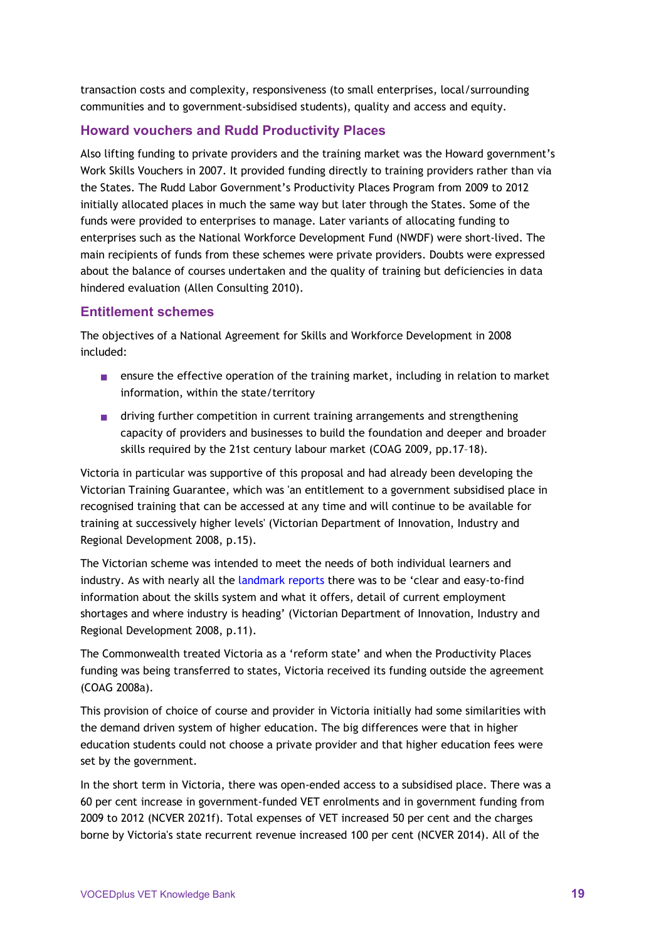transaction costs and complexity, responsiveness (to small enterprises, local/surrounding communities and to government-subsidised students), quality and access and equity.

# **Howard vouchers and Rudd Productivity Places**

Also lifting funding to private providers and the training market was the Howard government's Work Skills Vouchers in 2007. It provided funding directly to training providers rather than via the States. The Rudd Labor Government's Productivity Places Program from 2009 to 2012 initially allocated places in much the same way but later through the States. Some of the funds were provided to enterprises to manage. Later variants of allocating funding to enterprises such as the National Workforce Development Fund (NWDF) were short-lived. The main recipients of funds from these schemes were private providers. Doubts were expressed about the balance of courses undertaken and the quality of training but deficiencies in data hindered evaluation (Allen Consulting 2010).

## **Entitlement schemes**

The objectives of a National Agreement for Skills and Workforce Development in 2008 included:

- **EXECT** ensure the effective operation of the training market, including in relation to market information, within the state/territory
- **driving further competition in current training arrangements and strengthening** capacity of providers and businesses to build the foundation and deeper and broader skills required by the 21st century labour market (COAG 2009, pp.17–18).

Victoria in particular was supportive of this proposal and had already been developing the Victorian Training Guarantee, which was 'an entitlement to a government subsidised place in recognised training that can be accessed at any time and will continue to be available for training at successively higher levels' (Victorian Department of Innovation, Industry and Regional Development 2008, p.15).

The Victorian scheme was intended to meet the needs of both individual learners and industry. As with nearly all the [landmark reports](https://www.voced.edu.au/vet-knowledge-bank-landmark-documents) there was to be 'clear and easy-to-find information about the skills system and what it offers, detail of current employment shortages and where industry is heading' (Victorian Department of Innovation, Industry and Regional Development 2008, p.11).

The Commonwealth treated Victoria as a 'reform state' and when the Productivity Places funding was being transferred to states, Victoria received its funding outside the agreement (COAG 2008a).

This provision of choice of course and provider in Victoria initially had some similarities with the demand driven system of higher education. The big differences were that in higher education students could not choose a private provider and that higher education fees were set by the government.

In the short term in Victoria, there was open-ended access to a subsidised place. There was a 60 per cent increase in government-funded VET enrolments and in government funding from 2009 to 2012 (NCVER 2021f). Total expenses of VET increased 50 per cent and the charges borne by Victoria's state recurrent revenue increased 100 per cent (NCVER 2014). All of the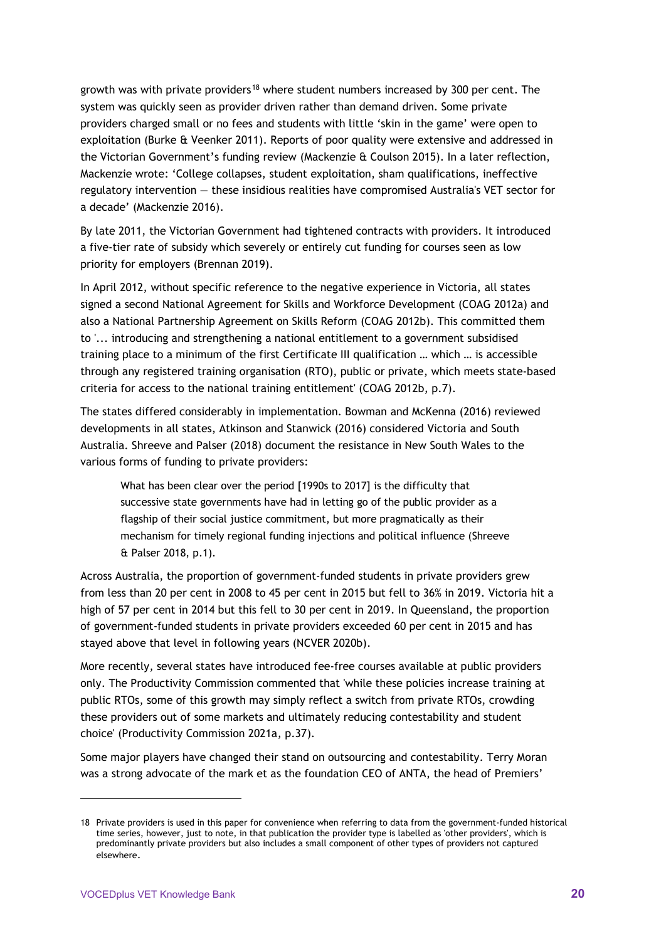growth was with private providers<sup>[18](#page-19-0)</sup> where student numbers increased by 300 per cent. The system was quickly seen as provider driven rather than demand driven. Some private providers charged small or no fees and students with little 'skin in the game' were open to exploitation (Burke & Veenker 2011). Reports of poor quality were extensive and addressed in the Victorian Government's funding review (Mackenzie & Coulson 2015). In a later reflection, Mackenzie wrote: 'College collapses, student exploitation, sham qualifications, ineffective regulatory intervention — these insidious realities have compromised Australia's VET sector for a decade' (Mackenzie 2016).

By late 2011, the Victorian Government had tightened contracts with providers. It introduced a five-tier rate of subsidy which severely or entirely cut funding for courses seen as low priority for employers (Brennan 2019).

In April 2012, without specific reference to the negative experience in Victoria, all states signed a second National Agreement for Skills and Workforce Development (COAG 2012a) and also a National Partnership Agreement on Skills Reform (COAG 2012b). This committed them to '... introducing and strengthening a national entitlement to a government subsidised training place to a minimum of the first Certificate III qualification … which … is accessible through any registered training organisation (RTO), public or private, which meets state-based criteria for access to the national training entitlement' (COAG 2012b, p.7).

The states differed considerably in implementation. Bowman and McKenna (2016) reviewed developments in all states, Atkinson and Stanwick (2016) considered Victoria and South Australia. Shreeve and Palser (2018) document the resistance in New South Wales to the various forms of funding to private providers:

What has been clear over the period [1990s to 2017] is the difficulty that successive state governments have had in letting go of the public provider as a flagship of their social justice commitment, but more pragmatically as their mechanism for timely regional funding injections and political influence (Shreeve & Palser 2018, p.1).

Across Australia, the proportion of government-funded students in private providers grew from less than 20 per cent in 2008 to 45 per cent in 2015 but fell to 36% in 2019. Victoria hit a high of 57 per cent in 2014 but this fell to 30 per cent in 2019. In Queensland, the proportion of government-funded students in private providers exceeded 60 per cent in 2015 and has stayed above that level in following years (NCVER 2020b).

More recently, several states have introduced fee-free courses available at public providers only. The Productivity Commission commented that 'while these policies increase training at public RTOs, some of this growth may simply reflect a switch from private RTOs, crowding these providers out of some markets and ultimately reducing contestability and student choice' (Productivity Commission 2021a, p.37).

Some major players have changed their stand on outsourcing and contestability. Terry Moran was a strong advocate of the mark et as the foundation CEO of ANTA, the head of Premiers'

<span id="page-19-0"></span><sup>18</sup> Private providers is used in this paper for convenience when referring to data from the government-funded historical time series, however, just to note, in that publication the provider type is labelled as 'other providers', which is predominantly private providers but also includes a small component of other types of providers not captured elsewhere.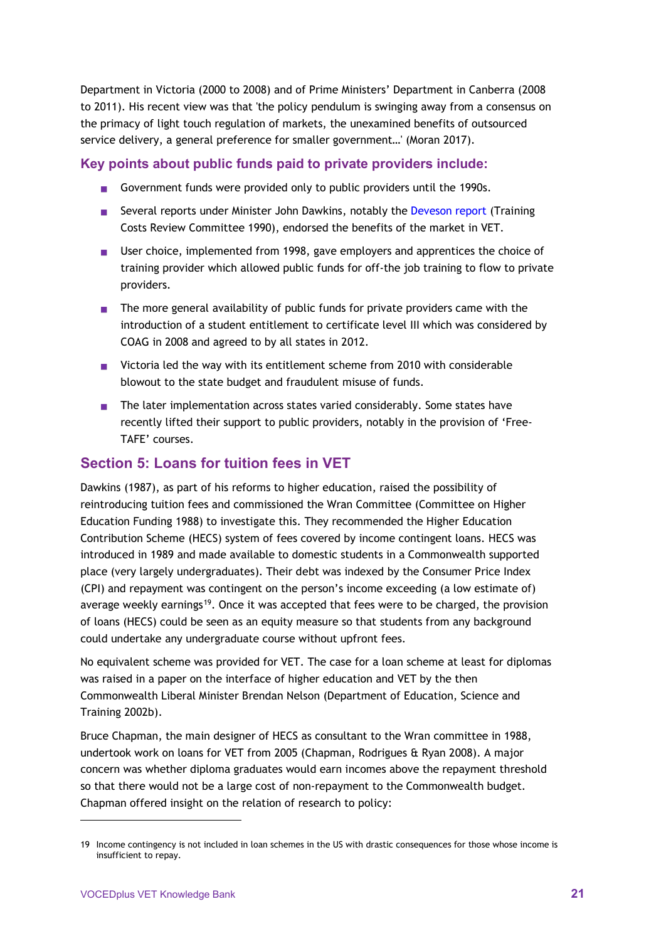Department in Victoria (2000 to 2008) and of Prime Ministers' Department in Canberra (2008 to 2011). His recent view was that 'the policy pendulum is swinging away from a consensus on the primacy of light touch regulation of markets, the unexamined benefits of outsourced service delivery, a general preference for smaller government…' (Moran 2017).

# **Key points about public funds paid to private providers include:**

- Government funds were provided only to public providers until the 1990s.
- Several reports under Minister John Dawkins, notably the [Deveson report](http://hdl.voced.edu.au/10707/27311) (Training Costs Review Committee 1990), endorsed the benefits of the market in VET.
- User choice, implemented from 1998, gave employers and apprentices the choice of training provider which allowed public funds for off-the job training to flow to private providers.
- The more general availability of public funds for private providers came with the introduction of a student entitlement to certificate level III which was considered by COAG in 2008 and agreed to by all states in 2012.
- **If** Victoria led the way with its entitlement scheme from 2010 with considerable blowout to the state budget and fraudulent misuse of funds.
- The later implementation across states varied considerably. Some states have recently lifted their support to public providers, notably in the provision of 'Free-TAFE' courses.

# **Section 5: Loans for tuition fees in VET**

Dawkins (1987), as part of his reforms to higher education, raised the possibility of reintroducing tuition fees and commissioned the Wran Committee (Committee on Higher Education Funding 1988) to investigate this. They recommended the Higher Education Contribution Scheme (HECS) system of fees covered by income contingent loans. HECS was introduced in 1989 and made available to domestic students in a Commonwealth supported place (very largely undergraduates). Their debt was indexed by the Consumer Price Index (CPI) and repayment was contingent on the person's income exceeding (a low estimate of) average weekly earnings<sup>[19](#page-20-0)</sup>. Once it was accepted that fees were to be charged, the provision of loans (HECS) could be seen as an equity measure so that students from any background could undertake any undergraduate course without upfront fees.

No equivalent scheme was provided for VET. The case for a loan scheme at least for diplomas was raised in a paper on the interface of higher education and VET by the then Commonwealth Liberal Minister Brendan Nelson (Department of Education, Science and Training 2002b).

Bruce Chapman, the main designer of HECS as consultant to the Wran committee in 1988, undertook work on loans for VET from 2005 (Chapman, Rodrigues & Ryan 2008). A major concern was whether diploma graduates would earn incomes above the repayment threshold so that there would not be a large cost of non-repayment to the Commonwealth budget. Chapman offered insight on the relation of research to policy:

<span id="page-20-0"></span><sup>19</sup> Income contingency is not included in loan schemes in the US with drastic consequences for those whose income is insufficient to repay.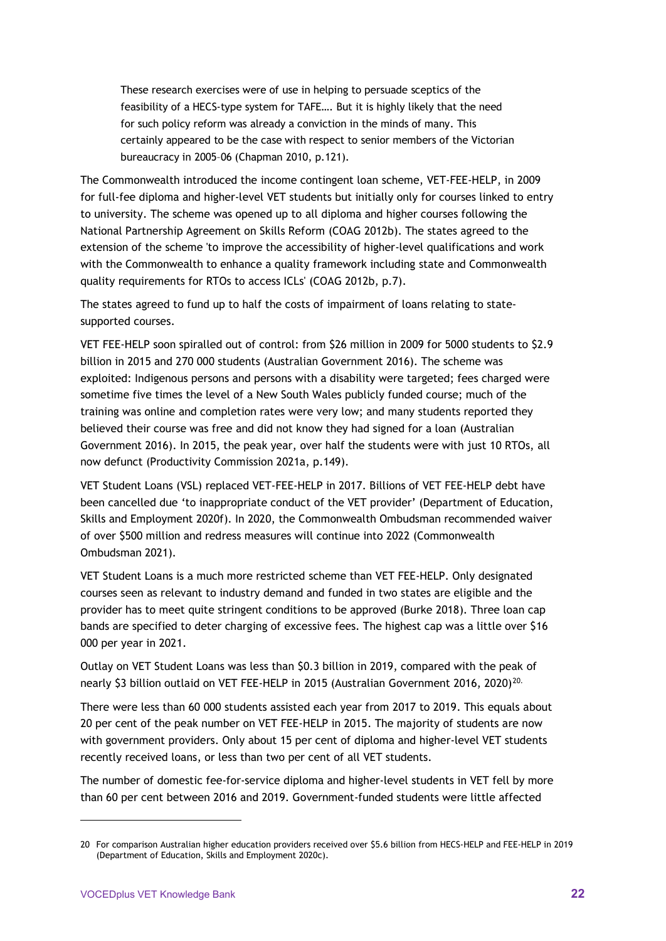These research exercises were of use in helping to persuade sceptics of the feasibility of a HECS-type system for TAFE…. But it is highly likely that the need for such policy reform was already a conviction in the minds of many. This certainly appeared to be the case with respect to senior members of the Victorian bureaucracy in 2005–06 (Chapman 2010, p.121).

The Commonwealth introduced the income contingent loan scheme, VET-FEE-HELP, in 2009 for full-fee diploma and higher-level VET students but initially only for courses linked to entry to university. The scheme was opened up to all diploma and higher courses following the National Partnership Agreement on Skills Reform (COAG 2012b). The states agreed to the extension of the scheme 'to improve the accessibility of higher-level qualifications and work with the Commonwealth to enhance a quality framework including state and Commonwealth quality requirements for RTOs to access ICLs' (COAG 2012b, p.7).

The states agreed to fund up to half the costs of impairment of loans relating to statesupported courses.

VET FEE-HELP soon spiralled out of control: from \$26 million in 2009 for 5000 students to \$2.9 billion in 2015 and 270 000 students (Australian Government 2016). The scheme was exploited: Indigenous persons and persons with a disability were targeted; fees charged were sometime five times the level of a New South Wales publicly funded course; much of the training was online and completion rates were very low; and many students reported they believed their course was free and did not know they had signed for a loan (Australian Government 2016). In 2015, the peak year, over half the students were with just 10 RTOs, all now defunct (Productivity Commission 2021a, p.149).

VET Student Loans (VSL) replaced VET-FEE-HELP in 2017. Billions of VET FEE-HELP debt have been cancelled due 'to inappropriate conduct of the VET provider' (Department of Education, Skills and Employment 2020f). In 2020, the Commonwealth Ombudsman recommended waiver of over \$500 million and redress measures will continue into 2022 (Commonwealth Ombudsman 2021).

VET Student Loans is a much more restricted scheme than VET FEE-HELP. Only designated courses seen as relevant to industry demand and funded in two states are eligible and the provider has to meet quite stringent conditions to be approved (Burke 2018). Three loan cap bands are specified to deter charging of excessive fees. The highest cap was a little over \$16 000 per year in 2021.

Outlay on VET Student Loans was less than \$0.3 billion in 2019, compared with the peak of nearly \$3 billion outlaid on VET FEE-HELP in 2015 (Australian Government 2016, 2020)<sup>[20.](#page-21-0)</sup>

There were less than 60 000 students assisted each year from 2017 to 2019. This equals about 20 per cent of the peak number on VET FEE-HELP in 2015. The majority of students are now with government providers. Only about 15 per cent of diploma and higher-level VET students recently received loans, or less than two per cent of all VET students.

The number of domestic fee-for-service diploma and higher-level students in VET fell by more than 60 per cent between 2016 and 2019. Government-funded students were little affected

<span id="page-21-0"></span><sup>20</sup> For comparison Australian higher education providers received over \$5.6 billion from HECS-HELP and FEE-HELP in 2019 (Department of Education, Skills and Employment 2020c).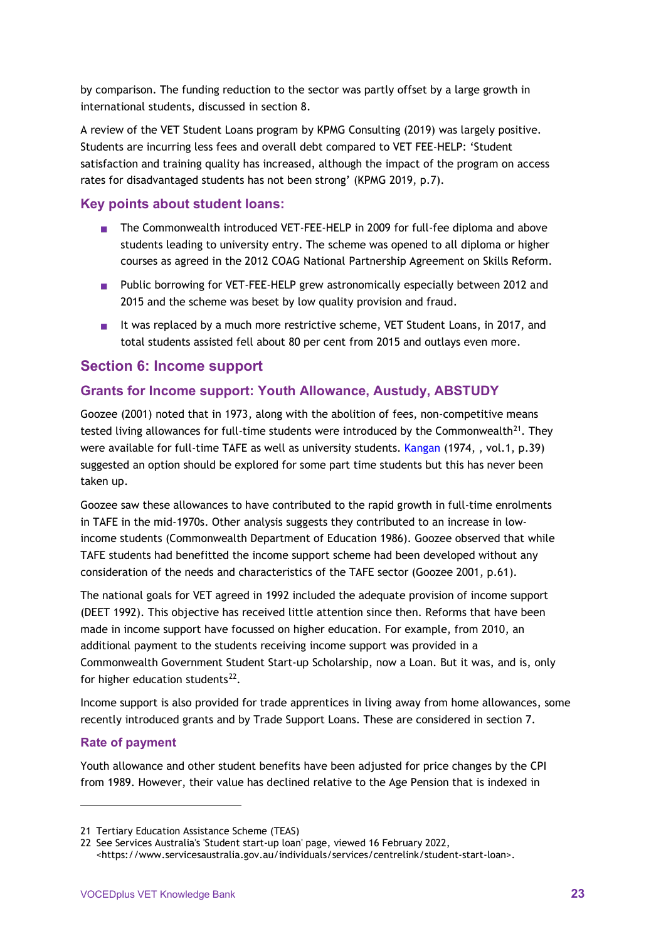by comparison. The funding reduction to the sector was partly offset by a large growth in international students, discussed in section 8.

A review of the VET Student Loans program by KPMG Consulting (2019) was largely positive. Students are incurring less fees and overall debt compared to VET FEE-HELP: 'Student satisfaction and training quality has increased, although the impact of the program on access rates for disadvantaged students has not been strong' (KPMG 2019, p.7).

## **Key points about student loans:**

- The Commonwealth introduced VET-FEE-HELP in 2009 for full-fee diploma and above students leading to university entry. The scheme was opened to all diploma or higher courses as agreed in the 2012 COAG National Partnership Agreement on Skills Reform.
- **Public borrowing for VET-FEE-HELP grew astronomically especially between 2012 and** 2015 and the scheme was beset by low quality provision and fraud.
- $\mathcal{L}_{\mathrm{max}}$ It was replaced by a much more restrictive scheme, VET Student Loans, in 2017, and total students assisted fell about 80 per cent from 2015 and outlays even more.

# **Section 6: Income support**

# **Grants for Income support: Youth Allowance, Austudy, ABSTUDY**

Goozee (2001) noted that in 1973, along with the abolition of fees, non-competitive means tested living allowances for full-time students were introduced by the Commonwealth<sup>21</sup>. They were available for full-time TAFE as well as university students. [Kangan](http://hdl.voced.edu.au/10707/17052) (1974, , vol.1, p.39) suggested an option should be explored for some part time students but this has never been taken up.

Goozee saw these allowances to have contributed to the rapid growth in full-time enrolments in TAFE in the mid-1970s. Other analysis suggests they contributed to an increase in lowincome students (Commonwealth Department of Education 1986). Goozee observed that while TAFE students had benefitted the income support scheme had been developed without any consideration of the needs and characteristics of the TAFE sector (Goozee 2001, p.61).

The national goals for VET agreed in 1992 included the adequate provision of income support (DEET 1992). This objective has received little attention since then. Reforms that have been made in income support have focussed on higher education. For example, from 2010, an additional payment to the students receiving income support was provided in a Commonwealth Government Student Start-up Scholarship, now a Loan. But it was, and is, only for higher education students $^{22}$ .

Income support is also provided for trade apprentices in living away from home allowances, some recently introduced grants and by Trade Support Loans. These are considered in section 7.

#### **Rate of payment**

Youth allowance and other student benefits have been adjusted for price changes by the CPI from 1989. However, their value has declined relative to the Age Pension that is indexed in

<span id="page-22-0"></span><sup>21</sup> Tertiary Education Assistance Scheme (TEAS)

<span id="page-22-1"></span><sup>22</sup> See Services Australia's 'Student start-up loan' page, viewed 16 February 2022, <https://www.servicesaustralia.gov.au/individuals/services/centrelink/student-start-loan>.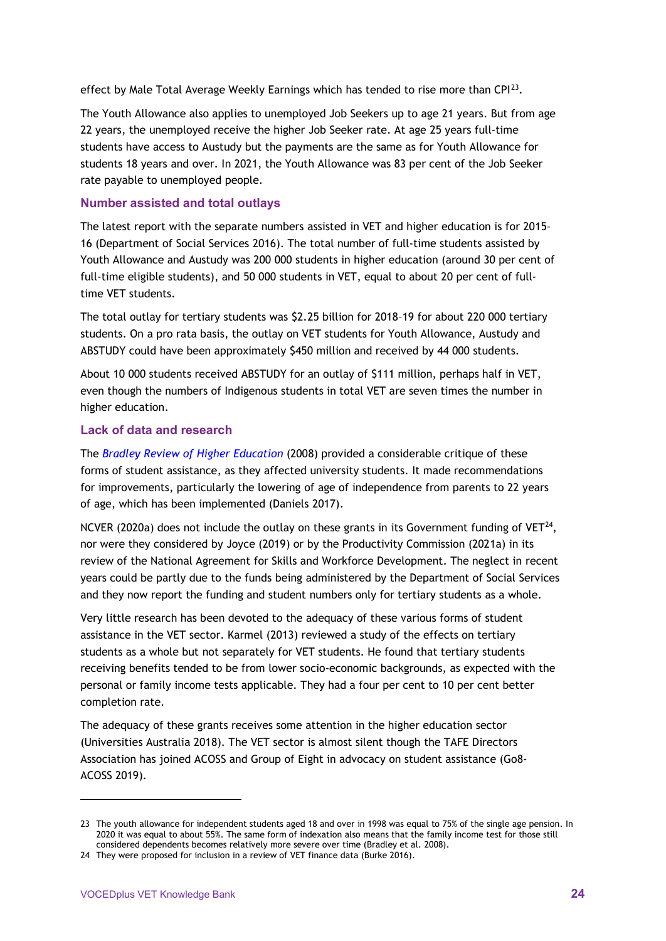effect by Male Total Average Weekly Earnings which has tended to rise more than  $\mathsf{CPI}^{23}$  $\mathsf{CPI}^{23}$  $\mathsf{CPI}^{23}$ .

The Youth Allowance also applies to unemployed Job Seekers up to age 21 years. But from age 22 years, the unemployed receive the higher Job Seeker rate. At age 25 years full-time students have access to Austudy but the payments are the same as for Youth Allowance for students 18 years and over. In 2021, the Youth Allowance was 83 per cent of the Job Seeker rate payable to unemployed people.

## **Number assisted and total outlays**

The latest report with the separate numbers assisted in VET and higher education is for 2015– 16 (Department of Social Services 2016). The total number of full-time students assisted by Youth Allowance and Austudy was 200 000 students in higher education (around 30 per cent of full-time eligible students), and 50 000 students in VET, equal to about 20 per cent of fulltime VET students.

The total outlay for tertiary students was \$2.25 billion for 2018–19 for about 220 000 tertiary students. On a pro rata basis, the outlay on VET students for Youth Allowance, Austudy and ABSTUDY could have been approximately \$450 million and received by 44 000 students.

About 10 000 students received ABSTUDY for an outlay of \$111 million, perhaps half in VET, even though the numbers of Indigenous students in total VET are seven times the number in higher education.

#### **Lack of data and research**

The *[Bradley Review of Higher Education](http://hdl.voced.edu.au/10707/44384)* (2008) provided a considerable critique of these forms of student assistance, as they affected university students. It made recommendations for improvements, particularly the lowering of age of independence from parents to 22 years of age, which has been implemented (Daniels 2017).

NCVER (2020a) does not include the outlay on these grants in its Government funding of  $VET^{24}$ . nor were they considered by Joyce (2019) or by the Productivity Commission (2021a) in its review of the National Agreement for Skills and Workforce Development. The neglect in recent years could be partly due to the funds being administered by the Department of Social Services and they now report the funding and student numbers only for tertiary students as a whole.

Very little research has been devoted to the adequacy of these various forms of student assistance in the VET sector. Karmel (2013) reviewed a study of the effects on tertiary students as a whole but not separately for VET students. He found that tertiary students receiving benefits tended to be from lower socio-economic backgrounds, as expected with the personal or family income tests applicable. They had a four per cent to 10 per cent better completion rate.

The adequacy of these grants receives some attention in the higher education sector (Universities Australia 2018). The VET sector is almost silent though the TAFE Directors Association has joined ACOSS and Group of Eight in advocacy on student assistance (Go8- ACOSS 2019).

<span id="page-23-0"></span><sup>23</sup> The youth allowance for independent students aged 18 and over in 1998 was equal to 75% of the single age pension. In 2020 it was equal to about 55%. The same form of indexation also means that the family income test for those still considered dependents becomes relatively more severe over time (Bradley et al. 2008).

<span id="page-23-1"></span><sup>24</sup> They were proposed for inclusion in a review of VET finance data (Burke 2016).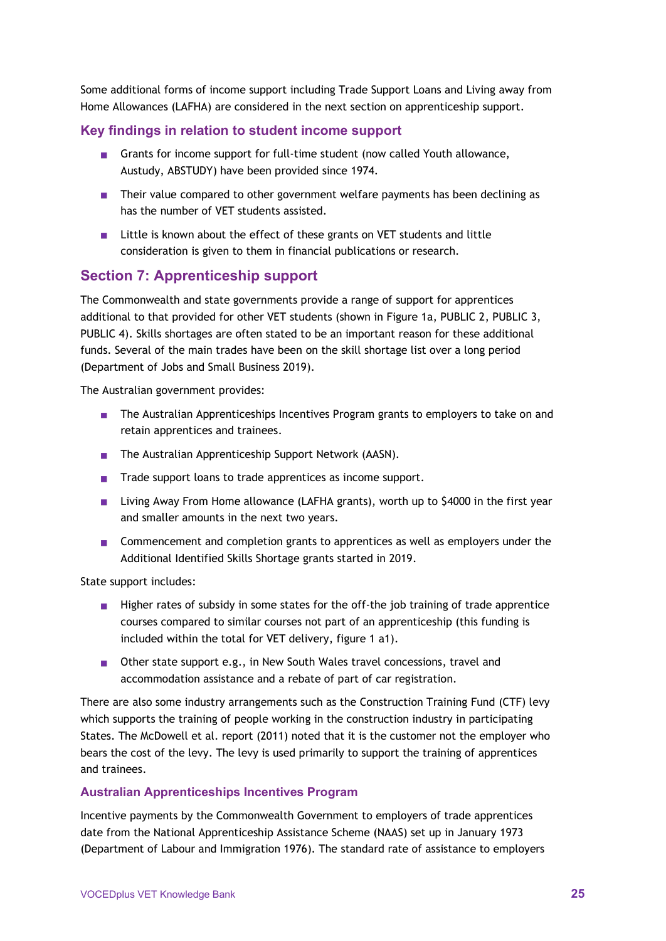Some additional forms of income support including Trade Support Loans and Living away from Home Allowances (LAFHA) are considered in the next section on apprenticeship support.

# **Key findings in relation to student income support**

- Grants for income support for full-time student (now called Youth allowance, Austudy, ABSTUDY) have been provided since 1974.
- **Their value compared to other government welfare payments has been declining as** has the number of VET students assisted.
- Little is known about the effect of these grants on VET students and little consideration is given to them in financial publications or research.

# **Section 7: Apprenticeship support**

The Commonwealth and state governments provide a range of support for apprentices additional to that provided for other VET students (shown in Figure 1a, PUBLIC 2, PUBLIC 3, PUBLIC 4). Skills shortages are often stated to be an important reason for these additional funds. Several of the main trades have been on the skill shortage list over a long period (Department of Jobs and Small Business 2019).

The Australian government provides:

- **The Australian Apprenticeships Incentives Program grants to employers to take on and** retain apprentices and trainees.
- **The Australian Apprenticeship Support Network (AASN).**
- **Trade support loans to trade apprentices as income support.**
- **Living Away From Home allowance (LAFHA grants), worth up to \$4000 in the first year** and smaller amounts in the next two years.
- **Commencement and completion grants to apprentices as well as employers under the** Additional Identified Skills Shortage grants started in 2019.

State support includes:

- $\mathcal{L}_{\text{max}}$ Higher rates of subsidy in some states for the off-the job training of trade apprentice courses compared to similar courses not part of an apprenticeship (this funding is included within the total for VET delivery, figure 1 a1).
- Other state support e.g., in New South Wales travel concessions, travel and accommodation assistance and a rebate of part of car registration.

There are also some industry arrangements such as the Construction Training Fund (CTF) levy which supports the training of people working in the construction industry in participating States. The McDowell et al. report (2011) noted that it is the customer not the employer who bears the cost of the levy. The levy is used primarily to support the training of apprentices and trainees.

#### **Australian Apprenticeships Incentives Program**

Incentive payments by the Commonwealth Government to employers of trade apprentices date from the National Apprenticeship Assistance Scheme (NAAS) set up in January 1973 (Department of Labour and Immigration 1976). The standard rate of assistance to employers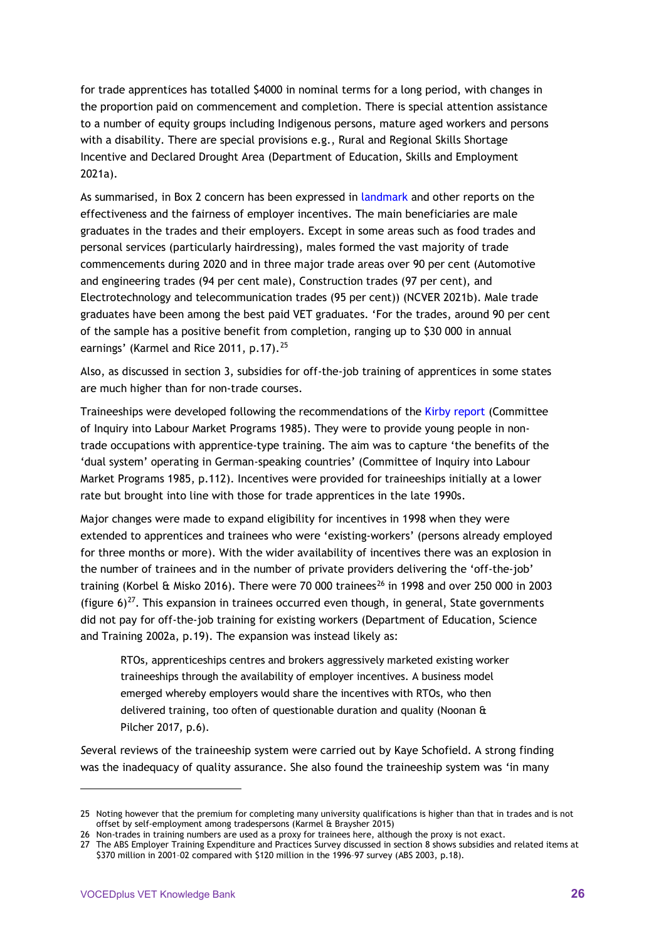for trade apprentices has totalled \$4000 in nominal terms for a long period, with changes in the proportion paid on commencement and completion. There is special attention assistance to a number of equity groups including Indigenous persons, mature aged workers and persons with a disability. There are special provisions e.g., Rural and Regional Skills Shortage Incentive and Declared Drought Area (Department of Education, Skills and Employment 2021a).

As summarised, in Box 2 concern has been expressed in [landmark](https://www.voced.edu.au/vet-knowledge-bank-landmark-documents) and other reports on the effectiveness and the fairness of employer incentives. The main beneficiaries are male graduates in the trades and their employers. Except in some areas such as food trades and personal services (particularly hairdressing), males formed the vast majority of trade commencements during 2020 and in three major trade areas over 90 per cent (Automotive and engineering trades (94 per cent male), Construction trades (97 per cent), and Electrotechnology and telecommunication trades (95 per cent)) (NCVER 2021b). Male trade graduates have been among the best paid VET graduates. 'For the trades, around 90 per cent of the sample has a positive benefit from completion, ranging up to \$30 000 in annual earnings' (Karmel and Rice 2011, p.17).<sup>[25](#page-25-0)</sup>

Also, as discussed in section 3, subsidies for off-the-job training of apprentices in some states are much higher than for non-trade courses.

Traineeships were developed following the recommendations of the [Kirby report](http://hdl.voced.edu.au/10707/126407) (Committee of Inquiry into Labour Market Programs 1985). They were to provide young people in nontrade occupations with apprentice-type training. The aim was to capture 'the benefits of the 'dual system' operating in German-speaking countries' (Committee of Inquiry into Labour Market Programs 1985, p.112). Incentives were provided for traineeships initially at a lower rate but brought into line with those for trade apprentices in the late 1990s.

Major changes were made to expand eligibility for incentives in 1998 when they were extended to apprentices and trainees who were 'existing-workers' (persons already employed for three months or more). With the wider availability of incentives there was an explosion in the number of trainees and in the number of private providers delivering the 'off-the-job' training (Korbel & Misko 2016). There were 70 000 trainees<sup>[26](#page-25-1)</sup> in 1998 and over 250 000 in 2003 (figure  $6)^{27}$  $6)^{27}$  $6)^{27}$ . This expansion in trainees occurred even though, in general, State governments did not pay for off-the-job training for existing workers (Department of Education, Science and Training 2002a, p.19). The expansion was instead likely as:

RTOs, apprenticeships centres and brokers aggressively marketed existing worker traineeships through the availability of employer incentives. A business model emerged whereby employers would share the incentives with RTOs, who then delivered training, too often of questionable duration and quality (Noonan & Pilcher 2017, p.6).

*S*everal reviews of the traineeship system were carried out by Kaye Schofield. A strong finding was the inadequacy of quality assurance. She also found the traineeship system was 'in many

<span id="page-25-0"></span><sup>25</sup> Noting however that the premium for completing many university qualifications is higher than that in trades and is not offset by self-employment among tradespersons (Karmel & Braysher 2015)

<span id="page-25-1"></span><sup>26</sup> Non-trades in training numbers are used as a proxy for trainees here, although the proxy is not exact.

<span id="page-25-2"></span><sup>27</sup> The ABS Employer Training Expenditure and Practices Survey discussed in section 8 shows subsidies and related items at \$370 million in 2001–02 compared with \$120 million in the 1996–97 survey (ABS 2003, p.18).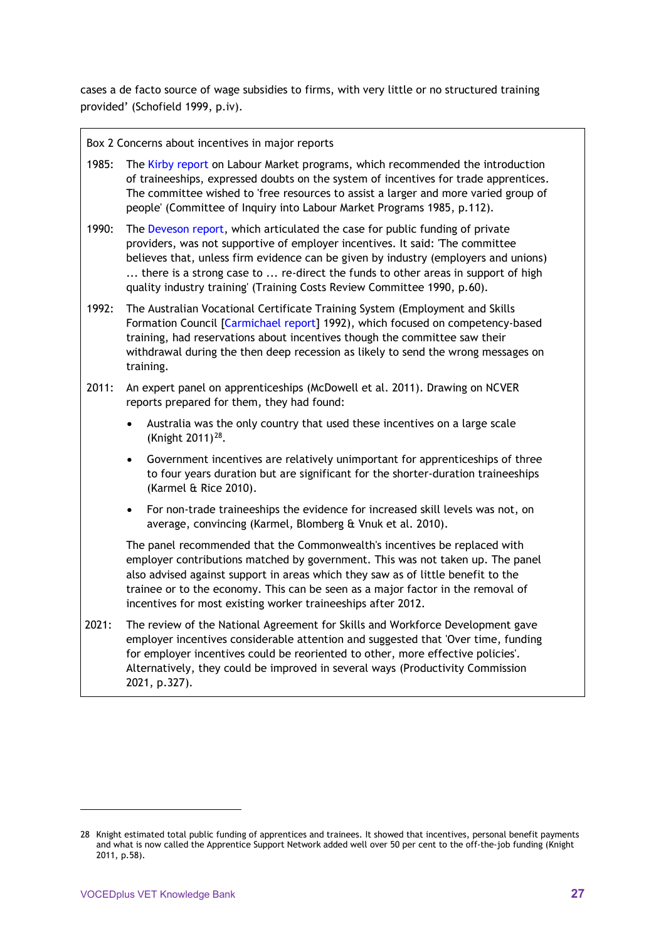cases a de facto source of wage subsidies to firms, with very little or no structured training provided' (Schofield 1999, p.iv).

Box 2 Concerns about incentives in major reports

- 1985: The [Kirby report](http://hdl.voced.edu.au/10707/126407) on Labour Market programs, which recommended the introduction of traineeships, expressed doubts on the system of incentives for trade apprentices. The committee wished to 'free resources to assist a larger and more varied group of people' (Committee of Inquiry into Labour Market Programs 1985, p.112).
- 1990: The [Deveson report,](http://hdl.voced.edu.au/10707/27311) which articulated the case for public funding of private providers, was not supportive of employer incentives. It said: 'The committee believes that, unless firm evidence can be given by industry (employers and unions) ... there is a strong case to ... re-direct the funds to other areas in support of high quality industry training' (Training Costs Review Committee 1990, p.60).
- 1992: The Australian Vocational Certificate Training System (Employment and Skills Formation Council [\[Carmichael report\]](http://hdl.voced.edu.au/10707/33689) 1992), which focused on competency-based training, had reservations about incentives though the committee saw their withdrawal during the then deep recession as likely to send the wrong messages on training.
- 2011: An expert panel on apprenticeships (McDowell et al. 2011). Drawing on NCVER reports prepared for them, they had found:
	- Australia was the only country that used these incentives on a large scale (Knight 2011)<sup>28</sup>.
	- Government incentives are relatively unimportant for apprenticeships of three to four years duration but are significant for the shorter-duration traineeships (Karmel & Rice 2010).
	- For non-trade traineeships the evidence for increased skill levels was not, on average, convincing (Karmel, Blomberg & Vnuk et al. 2010).

The panel recommended that the Commonwealth's incentives be replaced with employer contributions matched by government. This was not taken up. The panel also advised against support in areas which they saw as of little benefit to the trainee or to the economy. This can be seen as a major factor in the removal of incentives for most existing worker traineeships after 2012.

2021: The review of the National Agreement for Skills and Workforce Development gave employer incentives considerable attention and suggested that 'Over time, funding for employer incentives could be reoriented to other, more effective policies'. Alternatively, they could be improved in several ways (Productivity Commission 2021, p.327).

<span id="page-26-0"></span><sup>28</sup> Knight estimated total public funding of apprentices and trainees. It showed that incentives, personal benefit payments and what is now called the Apprentice Support Network added well over 50 per cent to the off-the-job funding (Knight 2011, p.58).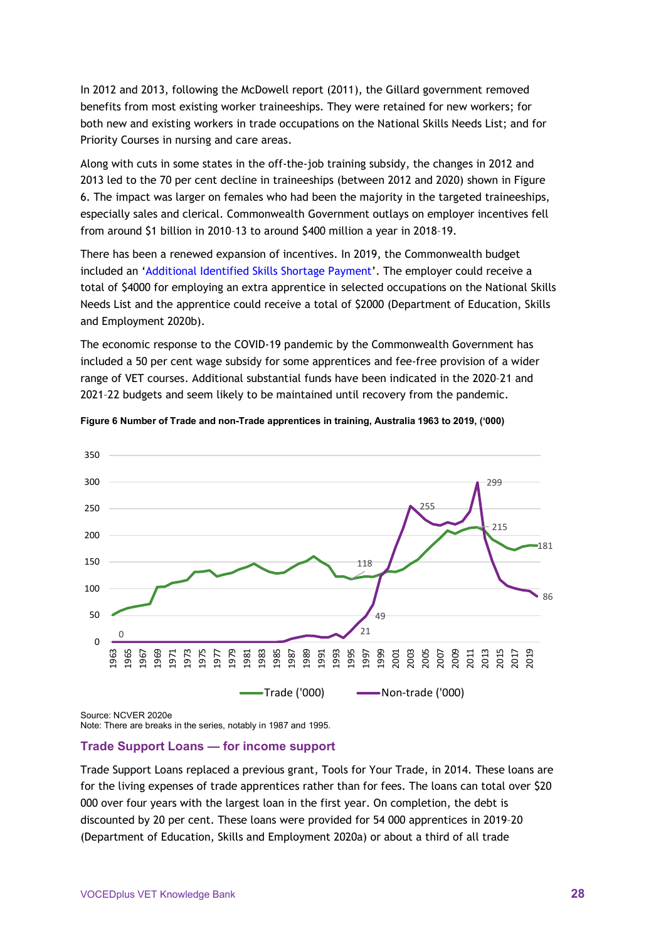In 2012 and 2013, following the McDowell report (2011), the Gillard government removed benefits from most existing worker traineeships. They were retained for new workers; for both new and existing workers in trade occupations on the National Skills Needs List; and for Priority Courses in nursing and care areas.

Along with cuts in some states in the off-the-job training subsidy, the changes in 2012 and 2013 led to the 70 per cent decline in traineeships (between 2012 and 2020) shown in Figure 6. The impact was larger on females who had been the majority in the targeted traineeships, especially sales and clerical. Commonwealth Government outlays on employer incentives fell from around \$1 billion in 2010–13 to around \$400 million a year in 2018–19.

There has been a renewed expansion of incentives. In 2019, the Commonwealth budget included an ['Additional Identified Skills Shortage Payment'](https://austapprent.govcms.gov.au/sites/default/files/2019-06/AISS%20Final.pdf). The employer could receive a total of \$4000 for employing an extra apprentice in selected occupations on the National Skills Needs List and the apprentice could receive a total of \$2000 (Department of Education, Skills and Employment 2020b).

The economic response to the COVID-19 pandemic by the Commonwealth Government has included a 50 per cent wage subsidy for some apprentices and fee-free provision of a wider range of VET courses. Additional substantial funds have been indicated in the 2020–21 and 2021–22 budgets and seem likely to be maintained until recovery from the pandemic.





Source: NCVER 2020e

Note: There are breaks in the series, notably in 1987 and 1995.

#### **Trade Support Loans — for income support**

Trade Support Loans replaced a previous grant, Tools for Your Trade, in 2014. These loans are for the living expenses of trade apprentices rather than for fees. The loans can total over \$20 000 over four years with the largest loan in the first year. On completion, the debt is discounted by 20 per cent. These loans were provided for 54 000 apprentices in 2019–20 (Department of Education, Skills and Employment 2020a) or about a third of all trade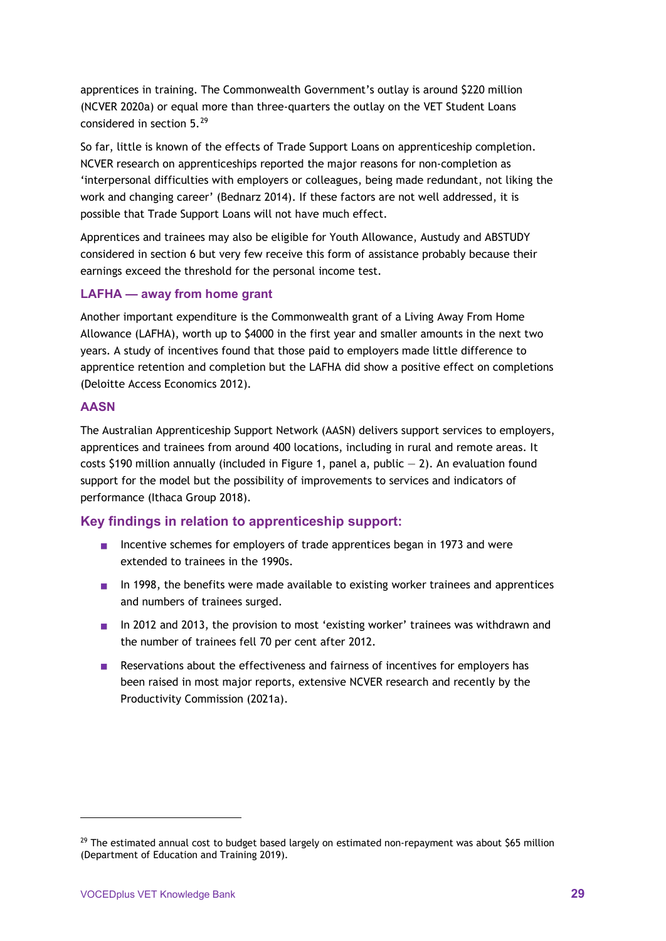apprentices in training. The Commonwealth Government's outlay is around \$220 million (NCVER 2020a) or equal more than three-quarters the outlay on the VET Student Loans considered in section 5.[29](#page-28-0)

So far, little is known of the effects of Trade Support Loans on apprenticeship completion. NCVER research on apprenticeships reported the major reasons for non-completion as 'interpersonal difficulties with employers or colleagues, being made redundant, not liking the work and changing career' (Bednarz 2014). If these factors are not well addressed, it is possible that Trade Support Loans will not have much effect.

Apprentices and trainees may also be eligible for Youth Allowance, Austudy and ABSTUDY considered in section 6 but very few receive this form of assistance probably because their earnings exceed the threshold for the personal income test.

## **LAFHA — away from home grant**

Another important expenditure is the Commonwealth grant of a Living Away From Home Allowance (LAFHA), worth up to \$4000 in the first year and smaller amounts in the next two years. A study of incentives found that those paid to employers made little difference to apprentice retention and completion but the LAFHA did show a positive effect on completions (Deloitte Access Economics 2012).

#### **AASN**

The Australian Apprenticeship Support Network (AASN) delivers support services to employers, apprentices and trainees from around 400 locations, including in rural and remote areas. It costs \$190 million annually (included in Figure 1, panel a, public  $-2$ ). An evaluation found support for the model but the possibility of improvements to services and indicators of performance (Ithaca Group 2018).

## **Key findings in relation to apprenticeship support:**

- **College** Incentive schemes for employers of trade apprentices began in 1973 and were extended to trainees in the 1990s.
- **In 1998, the benefits were made available to existing worker trainees and apprentices** and numbers of trainees surged.
- In 2012 and 2013, the provision to most 'existing worker' trainees was withdrawn and the number of trainees fell 70 per cent after 2012.
- Reservations about the effectiveness and fairness of incentives for employers has  $\mathbf{r}$ been raised in most major reports, extensive NCVER research and recently by the Productivity Commission (2021a).

<span id="page-28-0"></span><sup>&</sup>lt;sup>29</sup> The estimated annual cost to budget based largely on estimated non-repayment was about \$65 million (Department of Education and Training 2019).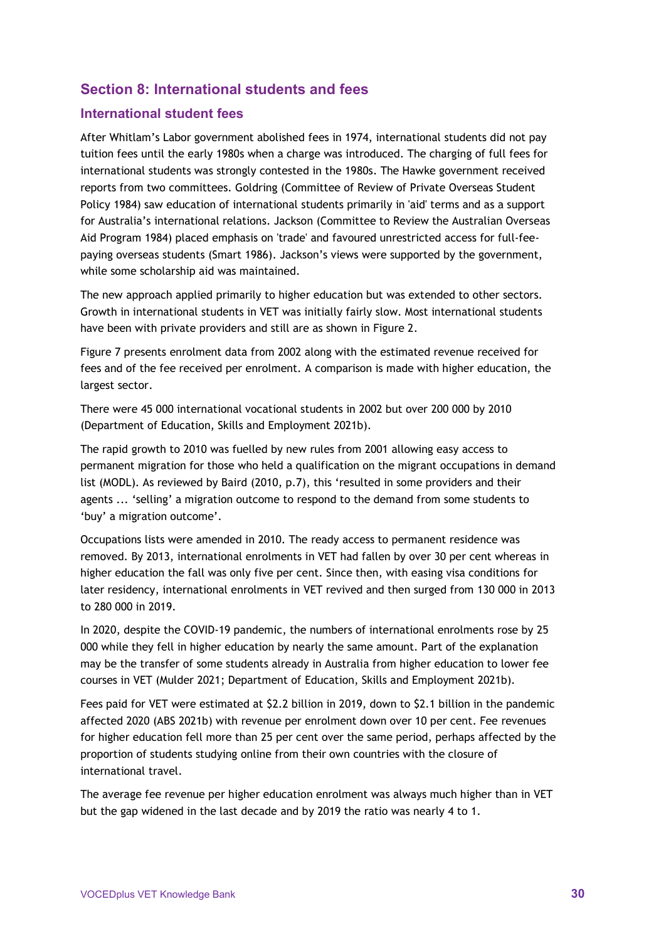# **Section 8: International students and fees**

## **International student fees**

After Whitlam's Labor government abolished fees in 1974, international students did not pay tuition fees until the early 1980s when a charge was introduced. The charging of full fees for international students was strongly contested in the 1980s. The Hawke government received reports from two committees. Goldring (Committee of Review of Private Overseas Student Policy 1984) saw education of international students primarily in 'aid' terms and as a support for Australia's international relations. Jackson (Committee to Review the Australian Overseas Aid Program 1984) placed emphasis on 'trade' and favoured unrestricted access for full-feepaying overseas students (Smart 1986). Jackson's views were supported by the government, while some scholarship aid was maintained.

The new approach applied primarily to higher education but was extended to other sectors. Growth in international students in VET was initially fairly slow. Most international students have been with private providers and still are as shown in Figure 2.

Figure 7 presents enrolment data from 2002 along with the estimated revenue received for fees and of the fee received per enrolment. A comparison is made with higher education, the largest sector.

There were 45 000 international vocational students in 2002 but over 200 000 by 2010 (Department of Education, Skills and Employment 2021b).

The rapid growth to 2010 was fuelled by new rules from 2001 allowing easy access to permanent migration for those who held a qualification on the migrant occupations in demand list (MODL). As reviewed by Baird (2010, p.7), this 'resulted in some providers and their agents ... 'selling' a migration outcome to respond to the demand from some students to 'buy' a migration outcome'.

Occupations lists were amended in 2010. The ready access to permanent residence was removed. By 2013, international enrolments in VET had fallen by over 30 per cent whereas in higher education the fall was only five per cent. Since then, with easing visa conditions for later residency, international enrolments in VET revived and then surged from 130 000 in 2013 to 280 000 in 2019.

In 2020, despite the COVID-19 pandemic, the numbers of international enrolments rose by 25 000 while they fell in higher education by nearly the same amount. Part of the explanation may be the transfer of some students already in Australia from higher education to lower fee courses in VET (Mulder 2021; Department of Education, Skills and Employment 2021b).

Fees paid for VET were estimated at \$2.2 billion in 2019, down to \$2.1 billion in the pandemic affected 2020 (ABS 2021b) with revenue per enrolment down over 10 per cent. Fee revenues for higher education fell more than 25 per cent over the same period, perhaps affected by the proportion of students studying online from their own countries with the closure of international travel.

The average fee revenue per higher education enrolment was always much higher than in VET but the gap widened in the last decade and by 2019 the ratio was nearly 4 to 1.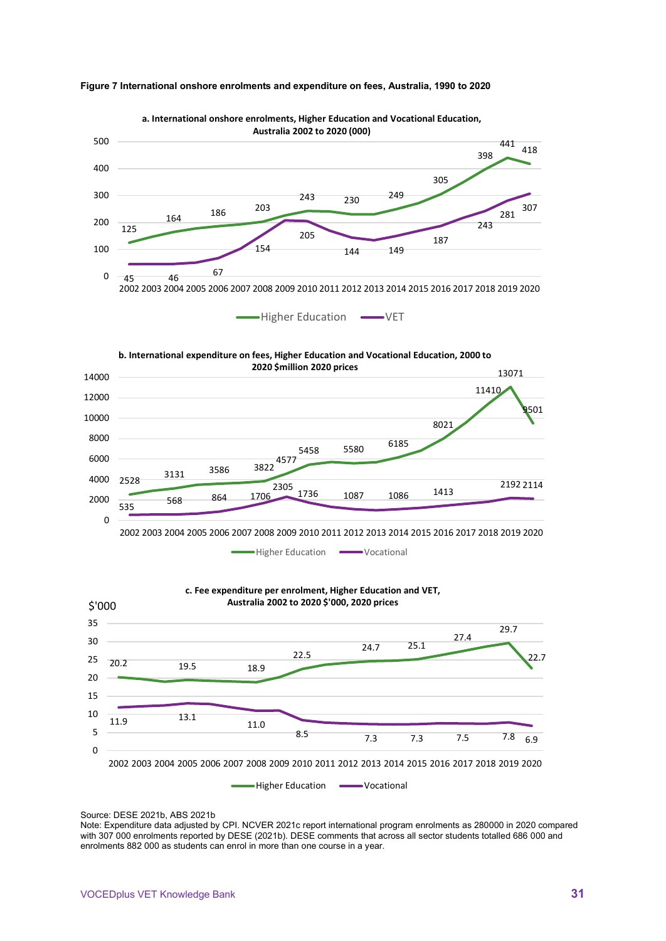

#### **Figure 7 International onshore enrolments and expenditure on fees, Australia, 1990 to 2020**

Source: DESE 2021b, ABS 2021b

Note: Expenditure data adjusted by CPI. NCVER 2021c report international program enrolments as 280000 in 2020 compared with 307 000 enrolments reported by DESE (2021b). DESE comments that across all sector students totalled 686 000 and enrolments 882 000 as students can enrol in more than one course in a year.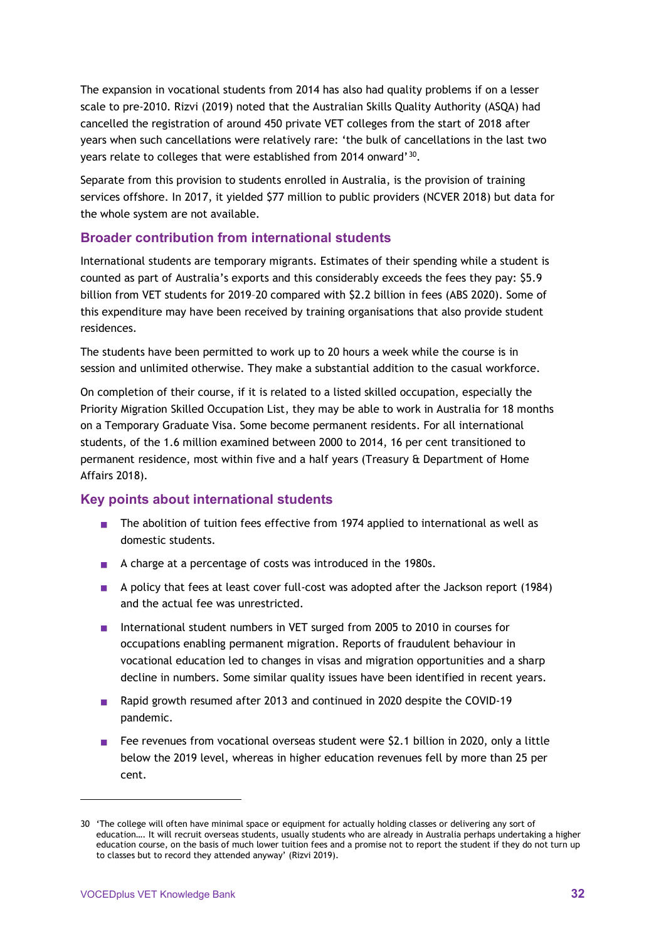The expansion in vocational students from 2014 has also had quality problems if on a lesser scale to pre-2010. Rizvi (2019) noted that the Australian Skills Quality Authority (ASQA) had cancelled the registration of around 450 private VET colleges from the start of 2018 after years when such cancellations were relatively rare: 'the bulk of cancellations in the last two years relate to colleges that were established from 2014 onward'[30.](#page-31-0)

Separate from this provision to students enrolled in Australia, is the provision of training services offshore. In 2017, it yielded \$77 million to public providers (NCVER 2018) but data for the whole system are not available.

# **Broader contribution from international students**

International students are temporary migrants. Estimates of their spending while a student is counted as part of Australia's exports and this considerably exceeds the fees they pay: \$5.9 billion from VET students for 2019–20 compared with \$2.2 billion in fees (ABS 2020). Some of this expenditure may have been received by training organisations that also provide student residences.

The students have been permitted to work up to 20 hours a week while the course is in session and unlimited otherwise. They make a substantial addition to the casual workforce.

On completion of their course, if it is related to a listed skilled occupation, especially the Priority Migration Skilled Occupation List, they may be able to work in Australia for 18 months on a Temporary Graduate Visa. Some become permanent residents. For all international students, of the 1.6 million examined between 2000 to 2014, 16 per cent transitioned to permanent residence, most within five and a half years (Treasury & Department of Home Affairs 2018).

# **Key points about international students**

- The abolition of tuition fees effective from 1974 applied to international as well as domestic students.
- A charge at a percentage of costs was introduced in the 1980s.
- A policy that fees at least cover full-cost was adopted after the Jackson report (1984) and the actual fee was unrestricted.
- International student numbers in VET surged from 2005 to 2010 in courses for occupations enabling permanent migration. Reports of fraudulent behaviour in vocational education led to changes in visas and migration opportunities and a sharp decline in numbers. Some similar quality issues have been identified in recent years.
- Rapid growth resumed after 2013 and continued in 2020 despite the COVID-19 pandemic.
- Fee revenues from vocational overseas student were \$2.1 billion in 2020, only a little **Contract** below the 2019 level, whereas in higher education revenues fell by more than 25 per cent.

<span id="page-31-0"></span><sup>30</sup> 'The college will often have minimal space or equipment for actually holding classes or delivering any sort of education…. It will recruit overseas students, usually students who are already in Australia perhaps undertaking a higher education course, on the basis of much lower tuition fees and a promise not to report the student if they do not turn up to classes but to record they attended anyway' (Rizvi 2019).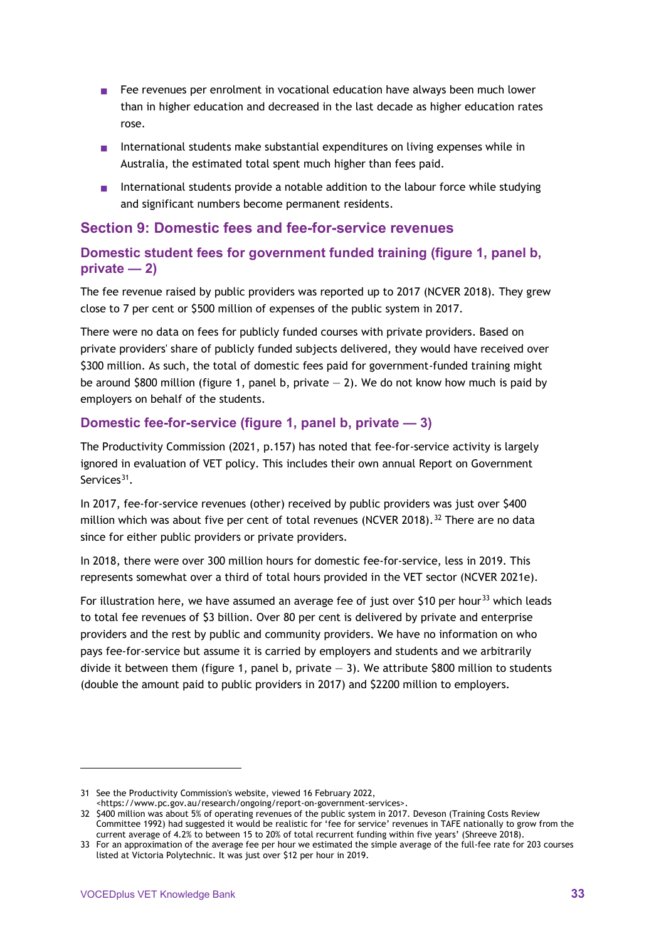- $\mathcal{L}_{\mathcal{A}}$ Fee revenues per enrolment in vocational education have always been much lower than in higher education and decreased in the last decade as higher education rates rose.
- International students make substantial expenditures on living expenses while in Australia, the estimated total spent much higher than fees paid.
- **International students provide a notable addition to the labour force while studying** and significant numbers become permanent residents.

# **Section 9: Domestic fees and fee-for-service revenues**

# **Domestic student fees for government funded training (figure 1, panel b, private — 2)**

The fee revenue raised by public providers was reported up to 2017 (NCVER 2018). They grew close to 7 per cent or \$500 million of expenses of the public system in 2017.

There were no data on fees for publicly funded courses with private providers. Based on private providers' share of publicly funded subjects delivered, they would have received over \$300 million. As such, the total of domestic fees paid for government-funded training might be around \$800 million (figure 1, panel b, private  $-$  2). We do not know how much is paid by employers on behalf of the students.

## **Domestic fee-for-service (figure 1, panel b, private — 3)**

The Productivity Commission (2021, p.157) has noted that fee-for-service activity is largely ignored in evaluation of VET policy. This includes their own annual Report on Government Services<sup>31</sup>.

In 2017, fee-for-service revenues (other) received by public providers was just over \$400 million which was about five per cent of total revenues (NCVER 2018).<sup>[32](#page-32-1)</sup> There are no data since for either public providers or private providers.

In 2018, there were over 300 million hours for domestic fee-for-service, less in 2019. This represents somewhat over a third of total hours provided in the VET sector (NCVER 2021e).

For illustration here, we have assumed an average fee of just over \$10 per hour<sup>[33](#page-32-2)</sup> which leads to total fee revenues of \$3 billion. Over 80 per cent is delivered by private and enterprise providers and the rest by public and community providers. We have no information on who pays fee-for-service but assume it is carried by employers and students and we arbitrarily divide it between them (figure 1, panel b, private  $-$  3). We attribute \$800 million to students (double the amount paid to public providers in 2017) and \$2200 million to employers.

<span id="page-32-0"></span><sup>31</sup> See the Productivity Commission's website, viewed 16 February 2022,

<span id="page-32-1"></span><sup>&</sup>lt;https://www.pc.gov.au/research/ongoing/report-on-government-services>. 32 \$400 million was about 5% of operating revenues of the public system in 2017. Deveson (Training Costs Review Committee 1992) had suggested it would be realistic for 'fee for service' revenues in TAFE nationally to grow from the current average of 4.2% to between 15 to 20% of total recurrent funding within five years' (Shreeve 2018).

<span id="page-32-2"></span><sup>33</sup> For an approximation of the average fee per hour we estimated the simple average of the full-fee rate for 203 courses listed at Victoria Polytechnic. It was just over \$12 per hour in 2019.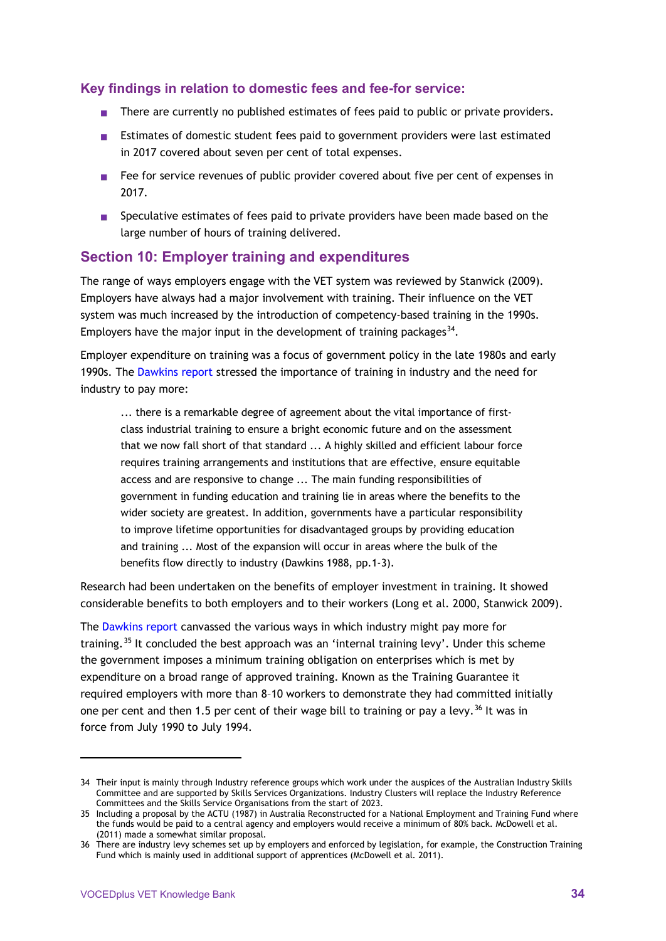# **Key findings in relation to domestic fees and fee-for service:**

- There are currently no published estimates of fees paid to public or private providers.
- Estimates of domestic student fees paid to government providers were last estimated  $\mathbb{R}^{\mathbb{Z}^2}$ in 2017 covered about seven per cent of total expenses.
- Fee for service revenues of public provider covered about five per cent of expenses in 2017.
- Speculative estimates of fees paid to private providers have been made based on the large number of hours of training delivered.

# **Section 10: Employer training and expenditures**

The range of ways employers engage with the VET system was reviewed by Stanwick (2009). Employers have always had a major involvement with training. Their influence on the VET system was much increased by the introduction of competency-based training in the 1990s. Employers have the major input in the development of training packages $34$ .

Employer expenditure on training was a focus of government policy in the late 1980s and early 1990s. The [Dawkins report](http://hdl.voced.edu.au/10707/142028) stressed the importance of training in industry and the need for industry to pay more:

... there is a remarkable degree of agreement about the vital importance of firstclass industrial training to ensure a bright economic future and on the assessment that we now fall short of that standard ... A highly skilled and efficient labour force requires training arrangements and institutions that are effective, ensure equitable access and are responsive to change ... The main funding responsibilities of government in funding education and training lie in areas where the benefits to the wider society are greatest. In addition, governments have a particular responsibility to improve lifetime opportunities for disadvantaged groups by providing education and training ... Most of the expansion will occur in areas where the bulk of the benefits flow directly to industry (Dawkins 1988, pp.1-3).

Research had been undertaken on the benefits of employer investment in training. It showed considerable benefits to both employers and to their workers (Long et al. 2000, Stanwick 2009).

The [Dawkins report](http://hdl.voced.edu.au/10707/142028) canvassed the various ways in which industry might pay more for training.<sup>[35](#page-33-1)</sup> It concluded the best approach was an 'internal training levy'. Under this scheme the government imposes a minimum training obligation on enterprises which is met by expenditure on a broad range of approved training. Known as the Training Guarantee it required employers with more than 8–10 workers to demonstrate they had committed initially one per cent and then 1.5 per cent of their wage bill to training or pay a levy.<sup>[36](#page-33-2)</sup> It was in force from July 1990 to July 1994.

<span id="page-33-0"></span><sup>34</sup> Their input is mainly through Industry reference groups which work under the auspices of the Australian Industry Skills Committee and are supported by Skills Services Organizations. Industry Clusters will replace the Industry Reference Committees and the Skills Service Organisations from the start of 2023.

<span id="page-33-1"></span><sup>35</sup> Including a proposal by the ACTU (1987) in Australia Reconstructed for a National Employment and Training Fund where the funds would be paid to a central agency and employers would receive a minimum of 80% back. McDowell et al. (2011) made a somewhat similar proposal.

<span id="page-33-2"></span><sup>36</sup> There are industry levy schemes set up by employers and enforced by legislation, for example, the Construction Training Fund which is mainly used in additional support of apprentices (McDowell et al. 2011).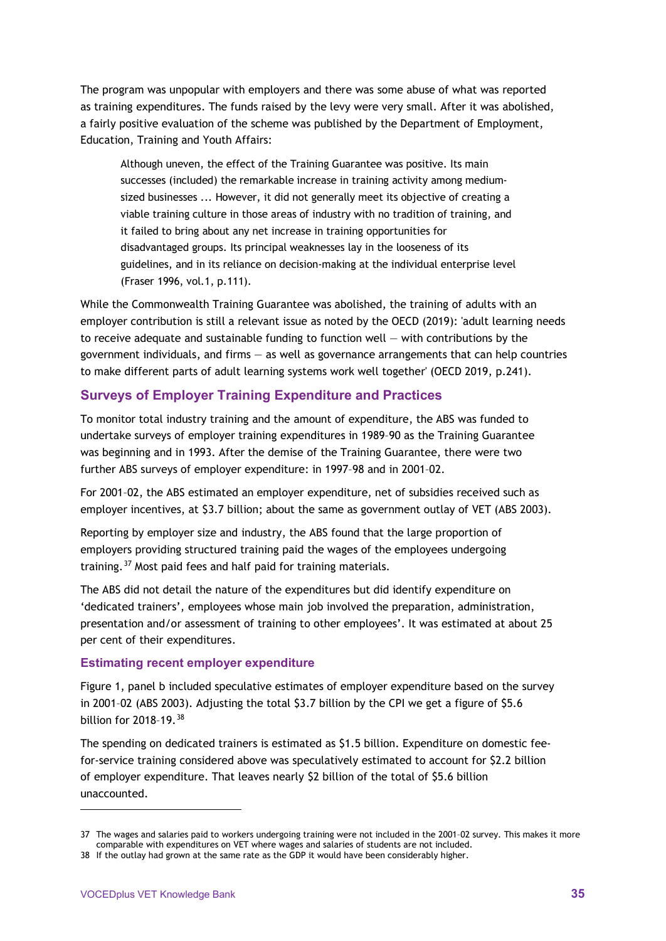The program was unpopular with employers and there was some abuse of what was reported as training expenditures. The funds raised by the levy were very small. After it was abolished, a fairly positive evaluation of the scheme was published by the Department of Employment, Education, Training and Youth Affairs:

Although uneven, the effect of the Training Guarantee was positive. Its main successes (included) the remarkable increase in training activity among mediumsized businesses ... However, it did not generally meet its objective of creating a viable training culture in those areas of industry with no tradition of training, and it failed to bring about any net increase in training opportunities for disadvantaged groups. Its principal weaknesses lay in the looseness of its guidelines, and in its reliance on decision-making at the individual enterprise level (Fraser 1996, vol.1, p.111).

While the Commonwealth Training Guarantee was abolished, the training of adults with an employer contribution is still a relevant issue as noted by the OECD (2019): 'adult learning needs to receive adequate and sustainable funding to function well — with contributions by the government individuals, and firms  $-$  as well as governance arrangements that can help countries to make different parts of adult learning systems work well together' (OECD 2019, p.241).

# **Surveys of Employer Training Expenditure and Practices**

To monitor total industry training and the amount of expenditure, the ABS was funded to undertake surveys of employer training expenditures in 1989–90 as the Training Guarantee was beginning and in 1993. After the demise of the Training Guarantee, there were two further ABS surveys of employer expenditure: in 1997–98 and in 2001–02.

For 2001–02, the ABS estimated an employer expenditure, net of subsidies received such as employer incentives, at \$3.7 billion; about the same as government outlay of VET (ABS 2003).

Reporting by employer size and industry, the ABS found that the large proportion of employers providing structured training paid the wages of the employees undergoing training.[37](#page-34-0) Most paid fees and half paid for training materials.

The ABS did not detail the nature of the expenditures but did identify expenditure on 'dedicated trainers', employees whose main job involved the preparation, administration, presentation and/or assessment of training to other employees'. It was estimated at about 25 per cent of their expenditures.

#### **Estimating recent employer expenditure**

Figure 1, panel b included speculative estimates of employer expenditure based on the survey in 2001–02 (ABS 2003). Adjusting the total \$3.7 billion by the CPI we get a figure of \$5.6 billion for 2018–19.[38](#page-34-1)

The spending on dedicated trainers is estimated as \$1.5 billion. Expenditure on domestic feefor-service training considered above was speculatively estimated to account for \$2.2 billion of employer expenditure. That leaves nearly \$2 billion of the total of \$5.6 billion unaccounted.

<span id="page-34-0"></span><sup>37</sup> The wages and salaries paid to workers undergoing training were not included in the 2001–02 survey. This makes it more comparable with expenditures on VET where wages and salaries of students are not included.

<span id="page-34-1"></span><sup>38</sup> If the outlay had grown at the same rate as the GDP it would have been considerably higher.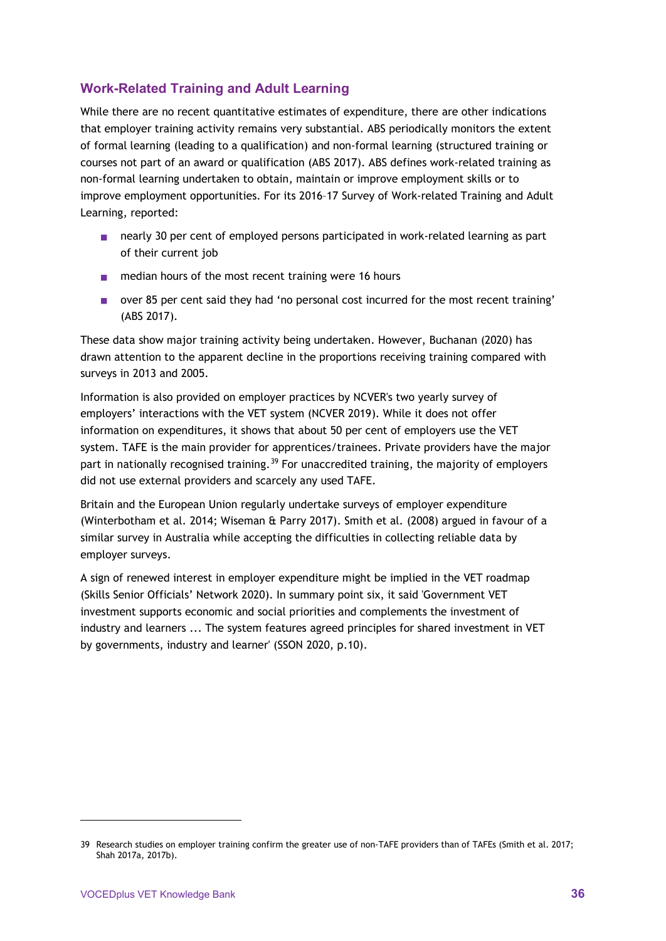# **Work-Related Training and Adult Learning**

While there are no recent quantitative estimates of expenditure, there are other indications that employer training activity remains very substantial. ABS periodically monitors the extent of formal learning (leading to a qualification) and non-formal learning (structured training or courses not part of an award or qualification (ABS 2017). ABS defines work-related training as non-formal learning undertaken to obtain, maintain or improve employment skills or to improve employment opportunities. For its 2016–17 Survey of Work-related Training and Adult Learning, reported:

- nearly 30 per cent of employed persons participated in work-related learning as part of their current job
- $\Box$  median hours of the most recent training were 16 hours
- **D** over 85 per cent said they had 'no personal cost incurred for the most recent training' (ABS 2017).

These data show major training activity being undertaken. However, Buchanan (2020) has drawn attention to the apparent decline in the proportions receiving training compared with surveys in 2013 and 2005.

Information is also provided on employer practices by NCVER's two yearly survey of employers' interactions with the VET system (NCVER 2019). While it does not offer information on expenditures, it shows that about 50 per cent of employers use the VET system. TAFE is the main provider for apprentices/trainees. Private providers have the major part in nationally recognised training.<sup>[39](#page-35-0)</sup> For unaccredited training, the majority of employers did not use external providers and scarcely any used TAFE.

Britain and the European Union regularly undertake surveys of employer expenditure (Winterbotham et al. 2014; Wiseman & Parry 2017). Smith et al. (2008) argued in favour of a similar survey in Australia while accepting the difficulties in collecting reliable data by employer surveys.

A sign of renewed interest in employer expenditure might be implied in the VET roadmap (Skills Senior Officials' Network 2020). In summary point six, it said 'Government VET investment supports economic and social priorities and complements the investment of industry and learners ... The system features agreed principles for shared investment in VET by governments, industry and learner' (SSON 2020, p.10).

<span id="page-35-0"></span><sup>39</sup> Research studies on employer training confirm the greater use of non-TAFE providers than of TAFEs (Smith et al. 2017; Shah 2017a, 2017b).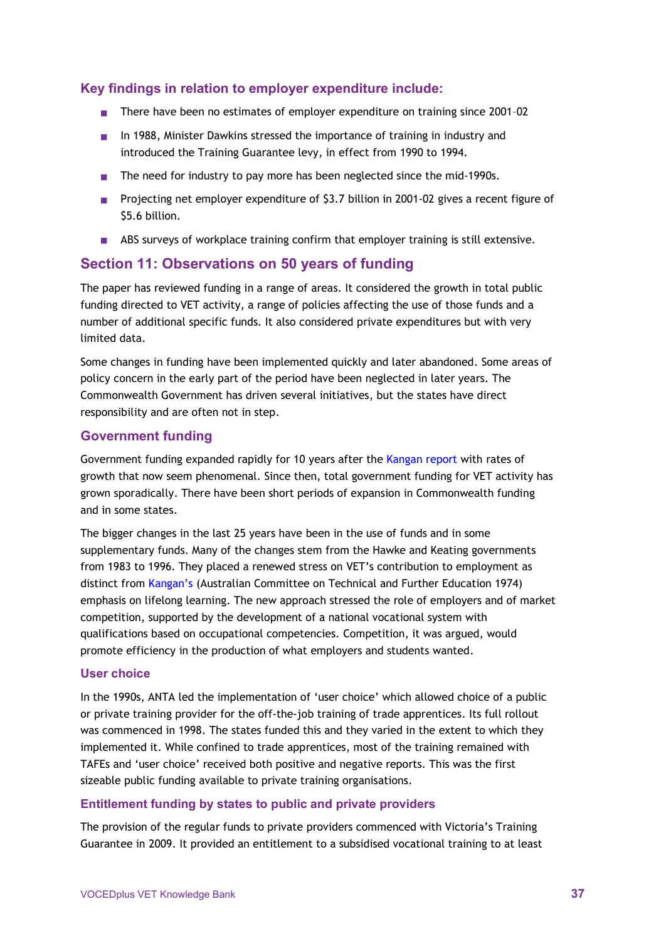# **Key findings in relation to employer expenditure include:**

- There have been no estimates of employer expenditure on training since 2001-02
- In 1988, Minister Dawkins stressed the importance of training in industry and introduced the Training Guarantee levy, in effect from 1990 to 1994.
- The need for industry to pay more has been neglected since the mid-1990s.
- **Projecting net employer expenditure of \$3.7 billion in 2001-02 gives a recent figure of** \$5.6 billion.
- ABS surveys of workplace training confirm that employer training is still extensive.

# **Section 11: Observations on 50 years of funding**

The paper has reviewed funding in a range of areas. It considered the growth in total public funding directed to VET activity, a range of policies affecting the use of those funds and a number of additional specific funds. It also considered private expenditures but with very limited data.

Some changes in funding have been implemented quickly and later abandoned. Some areas of policy concern in the early part of the period have been neglected in later years. The Commonwealth Government has driven several initiatives, but the states have direct responsibility and are often not in step.

## **Government funding**

Government funding expanded rapidly for 10 years after the [Kangan report](http://hdl.voced.edu.au/10707/17052) with rates of growth that now seem phenomenal. Since then, total government funding for VET activity has grown sporadically. There have been short periods of expansion in Commonwealth funding and in some states.

The bigger changes in the last 25 years have been in the use of funds and in some supplementary funds. Many of the changes stem from the Hawke and Keating governments from 1983 to 1996. They placed a renewed stress on VET's contribution to employment as distinct from [Kangan's](http://hdl.voced.edu.au/10707/17052) (Australian Committee on Technical and Further Education 1974) emphasis on lifelong learning. The new approach stressed the role of employers and of market competition, supported by the development of a national vocational system with qualifications based on occupational competencies. Competition, it was argued, would promote efficiency in the production of what employers and students wanted.

#### **User choice**

In the 1990s, ANTA led the implementation of 'user choice' which allowed choice of a public or private training provider for the off-the-job training of trade apprentices. Its full rollout was commenced in 1998. The states funded this and they varied in the extent to which they implemented it. While confined to trade apprentices, most of the training remained with TAFEs and 'user choice' received both positive and negative reports. This was the first sizeable public funding available to private training organisations.

#### **Entitlement funding by states to public and private providers**

The provision of the regular funds to private providers commenced with Victoria's Training Guarantee in 2009. It provided an entitlement to a subsidised vocational training to at least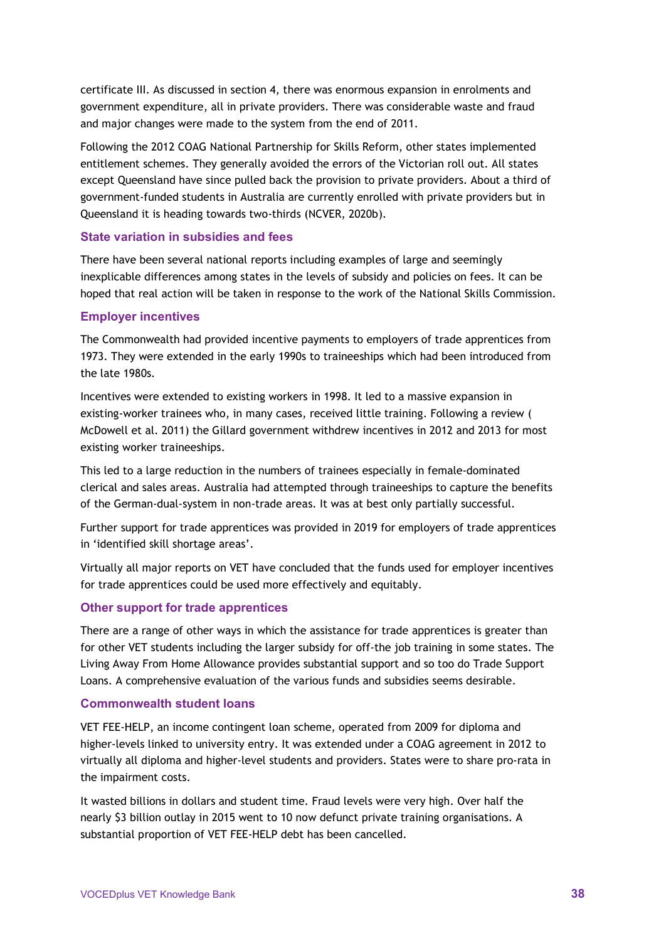certificate III. As discussed in section 4, there was enormous expansion in enrolments and government expenditure, all in private providers. There was considerable waste and fraud and major changes were made to the system from the end of 2011.

Following the 2012 COAG National Partnership for Skills Reform, other states implemented entitlement schemes. They generally avoided the errors of the Victorian roll out. All states except Queensland have since pulled back the provision to private providers. About a third of government-funded students in Australia are currently enrolled with private providers but in Queensland it is heading towards two-thirds (NCVER, 2020b).

#### **State variation in subsidies and fees**

There have been several national reports including examples of large and seemingly inexplicable differences among states in the levels of subsidy and policies on fees. It can be hoped that real action will be taken in response to the work of the National Skills Commission.

#### **Employer incentives**

The Commonwealth had provided incentive payments to employers of trade apprentices from 1973. They were extended in the early 1990s to traineeships which had been introduced from the late 1980s.

Incentives were extended to existing workers in 1998. It led to a massive expansion in existing-worker trainees who, in many cases, received little training. Following a review ( McDowell et al. 2011) the Gillard government withdrew incentives in 2012 and 2013 for most existing worker traineeships.

This led to a large reduction in the numbers of trainees especially in female-dominated clerical and sales areas. Australia had attempted through traineeships to capture the benefits of the German-dual-system in non-trade areas. It was at best only partially successful.

Further support for trade apprentices was provided in 2019 for employers of trade apprentices in 'identified skill shortage areas'.

Virtually all major reports on VET have concluded that the funds used for employer incentives for trade apprentices could be used more effectively and equitably.

#### **Other support for trade apprentices**

There are a range of other ways in which the assistance for trade apprentices is greater than for other VET students including the larger subsidy for off-the job training in some states. The Living Away From Home Allowance provides substantial support and so too do Trade Support Loans. A comprehensive evaluation of the various funds and subsidies seems desirable.

#### **Commonwealth student loans**

VET FEE-HELP, an income contingent loan scheme, operated from 2009 for diploma and higher-levels linked to university entry. It was extended under a COAG agreement in 2012 to virtually all diploma and higher-level students and providers. States were to share pro-rata in the impairment costs.

It wasted billions in dollars and student time. Fraud levels were very high. Over half the nearly \$3 billion outlay in 2015 went to 10 now defunct private training organisations. A substantial proportion of VET FEE-HELP debt has been cancelled.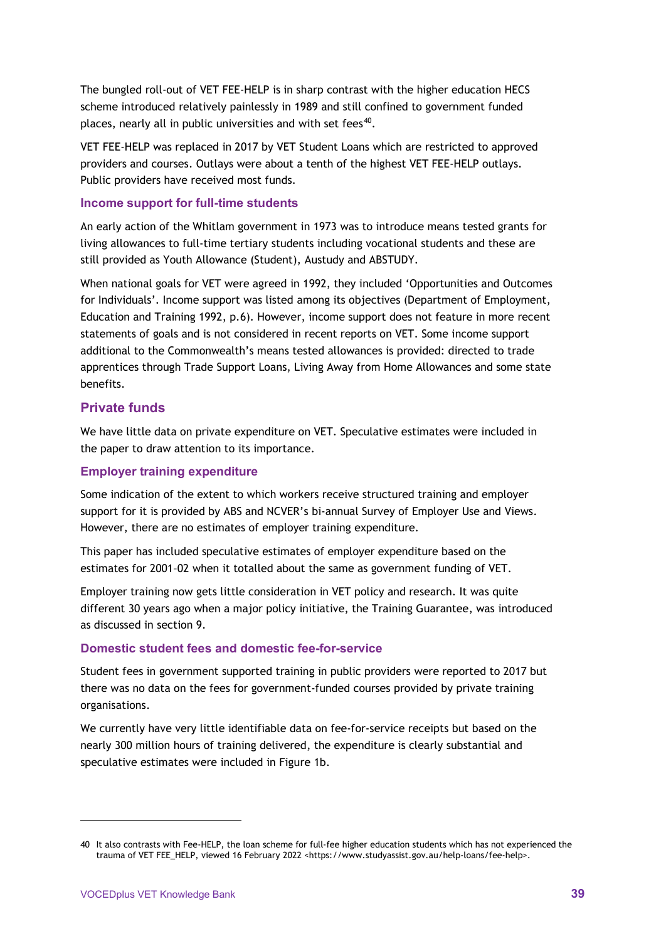The bungled roll-out of VET FEE-HELP is in sharp contrast with the higher education HECS scheme introduced relatively painlessly in 1989 and still confined to government funded places, nearly all in public universities and with set fees<sup>40</sup>.

VET FEE-HELP was replaced in 2017 by VET Student Loans which are restricted to approved providers and courses. Outlays were about a tenth of the highest VET FEE-HELP outlays. Public providers have received most funds.

#### **Income support for full-time students**

An early action of the Whitlam government in 1973 was to introduce means tested grants for living allowances to full-time tertiary students including vocational students and these are still provided as Youth Allowance (Student), Austudy and ABSTUDY.

When national goals for VET were agreed in 1992, they included 'Opportunities and Outcomes for Individuals'. Income support was listed among its objectives (Department of Employment, Education and Training 1992, p.6). However, income support does not feature in more recent statements of goals and is not considered in recent reports on VET. Some income support additional to the Commonwealth's means tested allowances is provided: directed to trade apprentices through Trade Support Loans, Living Away from Home Allowances and some state benefits.

#### **Private funds**

We have little data on private expenditure on VET. Speculative estimates were included in the paper to draw attention to its importance.

#### **Employer training expenditure**

Some indication of the extent to which workers receive structured training and employer support for it is provided by ABS and NCVER's bi-annual Survey of Employer Use and Views. However, there are no estimates of employer training expenditure.

This paper has included speculative estimates of employer expenditure based on the estimates for 2001–02 when it totalled about the same as government funding of VET.

Employer training now gets little consideration in VET policy and research. It was quite different 30 years ago when a major policy initiative, the Training Guarantee, was introduced as discussed in section 9.

#### **Domestic student fees and domestic fee-for-service**

Student fees in government supported training in public providers were reported to 2017 but there was no data on the fees for government-funded courses provided by private training organisations.

We currently have very little identifiable data on fee-for-service receipts but based on the nearly 300 million hours of training delivered, the expenditure is clearly substantial and speculative estimates were included in Figure 1b.

<span id="page-38-0"></span><sup>40</sup> It also contrasts with Fee-HELP, the loan scheme for full-fee higher education students which has not experienced the trauma of VET FEE\_HELP, viewed 16 February 2022 <https://www.studyassist.gov.au/help-loans/fee-help>.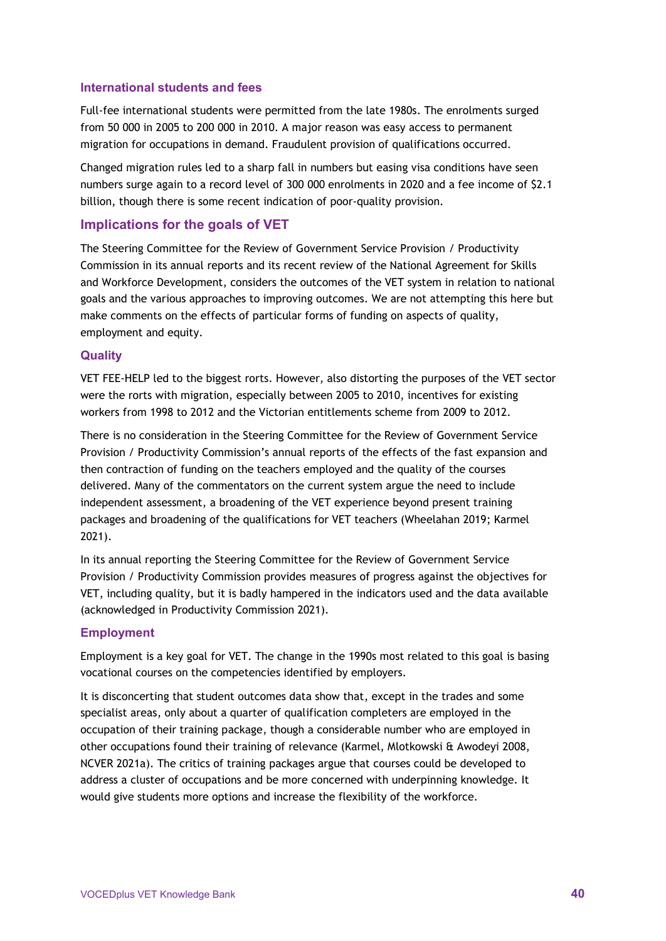#### **International students and fees**

Full-fee international students were permitted from the late 1980s. The enrolments surged from 50 000 in 2005 to 200 000 in 2010. A major reason was easy access to permanent migration for occupations in demand. Fraudulent provision of qualifications occurred.

Changed migration rules led to a sharp fall in numbers but easing visa conditions have seen numbers surge again to a record level of 300 000 enrolments in 2020 and a fee income of \$2.1 billion, though there is some recent indication of poor-quality provision.

## **Implications for the goals of VET**

The Steering Committee for the Review of Government Service Provision / Productivity Commission in its annual reports and its recent review of the National Agreement for Skills and Workforce Development, considers the outcomes of the VET system in relation to national goals and the various approaches to improving outcomes. We are not attempting this here but make comments on the effects of particular forms of funding on aspects of quality, employment and equity.

#### **Quality**

VET FEE-HELP led to the biggest rorts. However, also distorting the purposes of the VET sector were the rorts with migration, especially between 2005 to 2010, incentives for existing workers from 1998 to 2012 and the Victorian entitlements scheme from 2009 to 2012.

There is no consideration in the Steering Committee for the Review of Government Service Provision / Productivity Commission's annual reports of the effects of the fast expansion and then contraction of funding on the teachers employed and the quality of the courses delivered. Many of the commentators on the current system argue the need to include independent assessment, a broadening of the VET experience beyond present training packages and broadening of the qualifications for VET teachers (Wheelahan 2019; Karmel 2021).

In its annual reporting the Steering Committee for the Review of Government Service Provision / Productivity Commission provides measures of progress against the objectives for VET, including quality, but it is badly hampered in the indicators used and the data available (acknowledged in Productivity Commission 2021).

#### **Employment**

Employment is a key goal for VET. The change in the 1990s most related to this goal is basing vocational courses on the competencies identified by employers.

It is disconcerting that student outcomes data show that, except in the trades and some specialist areas, only about a quarter of qualification completers are employed in the occupation of their training package, though a considerable number who are employed in other occupations found their training of relevance (Karmel, Mlotkowski & Awodeyi 2008, NCVER 2021a). The critics of training packages argue that courses could be developed to address a cluster of occupations and be more concerned with underpinning knowledge. It would give students more options and increase the flexibility of the workforce.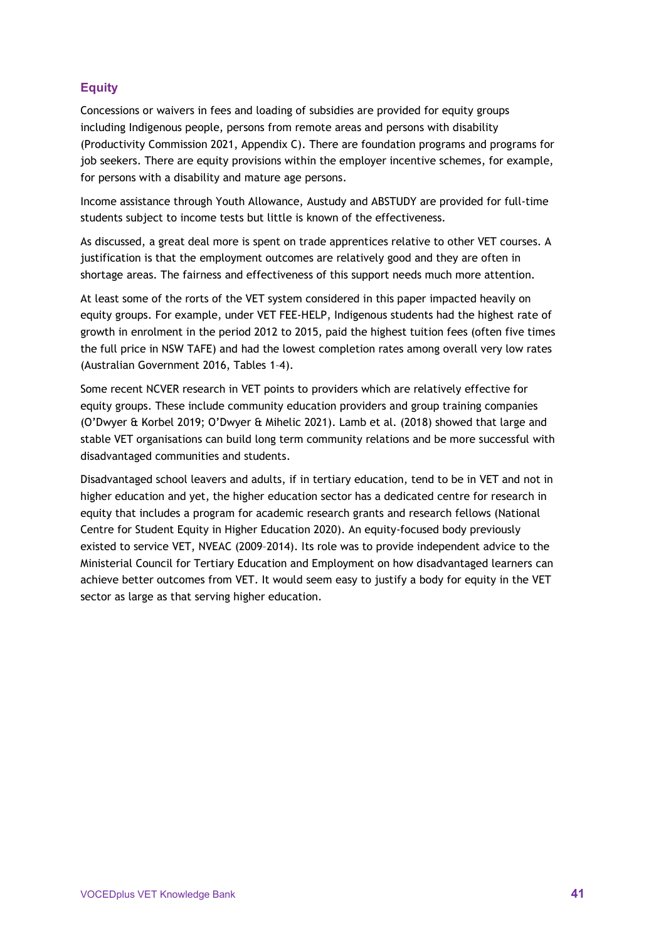# **Equity**

Concessions or waivers in fees and loading of subsidies are provided for equity groups including Indigenous people, persons from remote areas and persons with disability (Productivity Commission 2021, Appendix C). There are foundation programs and programs for job seekers. There are equity provisions within the employer incentive schemes, for example, for persons with a disability and mature age persons.

Income assistance through Youth Allowance, Austudy and ABSTUDY are provided for full-time students subject to income tests but little is known of the effectiveness.

As discussed, a great deal more is spent on trade apprentices relative to other VET courses. A justification is that the employment outcomes are relatively good and they are often in shortage areas. The fairness and effectiveness of this support needs much more attention.

At least some of the rorts of the VET system considered in this paper impacted heavily on equity groups. For example, under VET FEE-HELP, Indigenous students had the highest rate of growth in enrolment in the period 2012 to 2015, paid the highest tuition fees (often five times the full price in NSW TAFE) and had the lowest completion rates among overall very low rates (Australian Government 2016, Tables 1–4).

Some recent NCVER research in VET points to providers which are relatively effective for equity groups. These include community education providers and group training companies (O'Dwyer & Korbel 2019; O'Dwyer & Mihelic 2021). Lamb et al. (2018) showed that large and stable VET organisations can build long term community relations and be more successful with disadvantaged communities and students.

Disadvantaged school leavers and adults, if in tertiary education, tend to be in VET and not in higher education and yet, the higher education sector has a dedicated centre for research in equity that includes a program for academic research grants and research fellows (National Centre for Student Equity in Higher Education 2020). An equity-focused body previously existed to service VET, NVEAC (2009–2014). Its role was to provide independent advice to the Ministerial Council for Tertiary Education and Employment on how disadvantaged learners can achieve better outcomes from VET. It would seem easy to justify a body for equity in the VET sector as large as that serving higher education.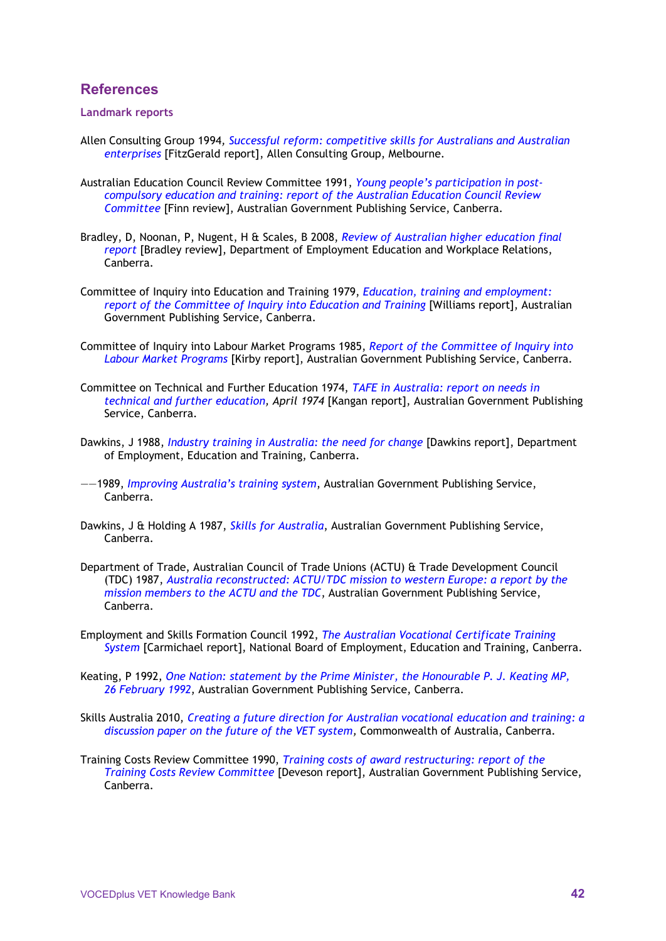# **References**

#### **Landmark reports**

- Allen Consulting Group 1994*, [Successful reform: competitive skills for Australians and Australian](http://hdl.voced.edu.au/10707/151782)  [enterprises](http://hdl.voced.edu.au/10707/151782)* [FitzGerald report], Allen Consulting Group, Melbourne.
- Australian Education Council Review Committee 1991, *[Young people's participation in post](http://hdl.voced.edu.au/10707/34856)[compulsory education and training: report of the Australian Education Council Review](http://hdl.voced.edu.au/10707/34856)  [Committee](http://hdl.voced.edu.au/10707/34856)* [Finn review], Australian Government Publishing Service, Canberra.
- Bradley, D, Noonan, P, Nugent, H & Scales, B 2008, *[Review of Australian higher education final](http://hdl.voced.edu.au/10707/44384)  [report](http://hdl.voced.edu.au/10707/44384)* [Bradley review], Department of Employment Education and Workplace Relations, Canberra.
- Committee of Inquiry into Education and Training 1979, *[Education, training and employment:](http://hdl.voced.edu.au/10707/113291)  [report of the Committee of Inquiry into Education and Training](http://hdl.voced.edu.au/10707/113291)* [Williams report], Australian Government Publishing Service, Canberra.
- Committee of Inquiry into Labour Market Programs 1985, *[Report of the Committee of Inquiry into](http://hdl.voced.edu.au/10707/126407)  [Labour Market Programs](http://hdl.voced.edu.au/10707/126407)* [Kirby report], Australian Government Publishing Service, Canberra.
- Committee on Technical and Further Education 1974, *[TAFE in Australia: report on needs in](http://hdl.voced.edu.au/10707/17052)  [technical and further education,](http://hdl.voced.edu.au/10707/17052) April 1974* [Kangan report], Australian Government Publishing Service, Canberra.
- Dawkins, J 1988, *[Industry training in Australia: the need for change](http://hdl.voced.edu.au/10707/142028)* [Dawkins report], Department of Employment, Education and Training, Canberra.
- ——1989, *[Improving Australia's training system](http://hdl.voced.edu.au/10707/152280)*, Australian Government Publishing Service, Canberra.
- Dawkins, J & Holding A 1987, *[Skills for Australia](http://hdl.voced.edu.au/10707/134694)*, Australian Government Publishing Service, Canberra.
- Department of Trade, Australian Council of Trade Unions (ACTU) & Trade Development Council (TDC) 1987, *[Australia reconstructed: ACTU/TDC mission to western Europe: a report by the](http://hdl.voced.edu.au/10707/28957)  [mission members to the ACTU and the TDC](http://hdl.voced.edu.au/10707/28957)*, Australian Government Publishing Service, Canberra.
- Employment and Skills Formation Council 1992, *[The Australian Vocational Certificate Training](http://hdl.voced.edu.au/10707/33689)  [System](http://hdl.voced.edu.au/10707/33689)* [Carmichael report], National Board of Employment, Education and Training, Canberra.
- Keating, P 1992, *[One Nation: statement by the Prime Minister, the Honourable P. J. Keating MP,](http://hdl.voced.edu.au/10707/119443)  [26 February 1992](http://hdl.voced.edu.au/10707/119443)*, Australian Government Publishing Service, Canberra.
- Skills Australia 2010, *[Creating a future direction for Australian vocational education and training: a](http://hdl.voced.edu.au/10707/49720)  [discussion paper on the future of the VET system,](http://hdl.voced.edu.au/10707/49720)* Commonwealth of Australia, Canberra.
- Training Costs Review Committee 1990, *[Training costs of award restructuring: report of the](http://hdl.voced.edu.au/10707/27311)  [Training Costs Review Committee](http://hdl.voced.edu.au/10707/27311)* [Deveson report], Australian Government Publishing Service, Canberra.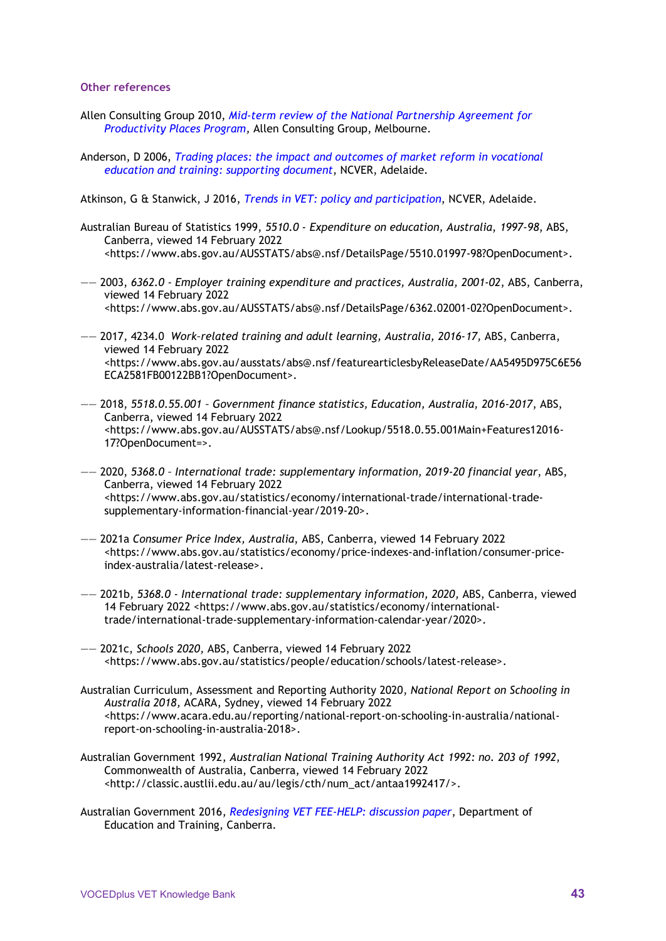#### **Other references**

- Allen Consulting Group 2010, *[Mid-term review of the National Partnership Agreement for](http://hdl.voced.edu.au/10707/266737)  [Productivity Places Program,](http://hdl.voced.edu.au/10707/266737)* Allen Consulting Group, Melbourne.
- Anderson, D 2006, *[Trading places: the impact and outcomes of market reform in vocational](https://www.ncver.edu.au/__data/assets/file/0024/4479/nr7038s.pdf)  [education and training: supporting document](https://www.ncver.edu.au/__data/assets/file/0024/4479/nr7038s.pdf)*, NCVER, Adelaide.

Atkinson, G & Stanwick, J 2016, *[Trends in VET: policy and participation](http://hdl.voced.edu.au/10707/411170)*, NCVER, Adelaide.

- Australian Bureau of Statistics 1999, *5510.0 Expenditure on education, Australia*, *1997-98*, ABS, Canberra, viewed 14 February 2022 <https://www.abs.gov.au/AUSSTATS/abs@.nsf/DetailsPage/5510.01997-98?OpenDocument>.
- —— 2003, *6362.0 - Employer training expenditure and practices, Australia, 2001-02*, ABS, Canberra, viewed 14 February 2022 <https://www.abs.gov.au/AUSSTATS/abs@.nsf/DetailsPage/6362.02001-02?OpenDocument>.
- —— 2017, 4234.0 *Work–related training and adult learning, Australia, 2016-17,* ABS, Canberra, viewed 14 February 2022 <https://www.abs.gov.au/ausstats/abs@.nsf/featurearticlesbyReleaseDate/AA5495D975C6E56 ECA2581FB00122BB1?OpenDocument>.
- —— 2018, *5518.0.55.001 – Government finance statistics, Education, Australia, 2016-2017*, ABS, Canberra, viewed 14 February 2022 <https://www.abs.gov.au/AUSSTATS/abs@.nsf/Lookup/5518.0.55.001Main+Features12016- 17?OpenDocument=>.
- —— 2020, *5368.0 – International trade: supplementary information, 2019-20 financial year*, ABS, Canberra, viewed 14 February 2022 <https://www.abs.gov.au/statistics/economy/international-trade/international-tradesupplementary-information-financial-year/2019-20>.
- —— 2021a *Consumer Price Index, Australia*, ABS, Canberra, viewed 14 February 2022 <https://www.abs.gov.au/statistics/economy/price-indexes-and-inflation/consumer-priceindex-australia/latest-release>.
- —— 2021b*, 5368.0 - International trade: supplementary information, 2020,* ABS, Canberra, viewed 14 February 2022 <https://www.abs.gov.au/statistics/economy/internationaltrade/international-trade-supplementary-information-calendar-year/2020>.
- —— 2021c, *Schools 2020,* ABS, Canberra, viewed 14 February 2022 <https://www.abs.gov.au/statistics/people/education/schools/latest-release>.
- Australian Curriculum, Assessment and Reporting Authority 2020, *National Report on Schooling in Australia 2018,* ACARA, Sydney, viewed 14 February 2022 <https://www.acara.edu.au/reporting/national-report-on-schooling-in-australia/nationalreport-on-schooling-in-australia-2018>.
- Australian Government 1992, *Australian National Training Authority Act 1992: no. 203 of 1992*, Commonwealth of Australia, Canberra, viewed 14 February 2022 <http://classic.austlii.edu.au/au/legis/cth/num\_act/antaa1992417/>.
- Australian Government 2016, *[Redesigning VET FEE-HELP: discussion paper](http://hdl.voced.edu.au/10707/402000)*, Department of Education and Training, Canberra.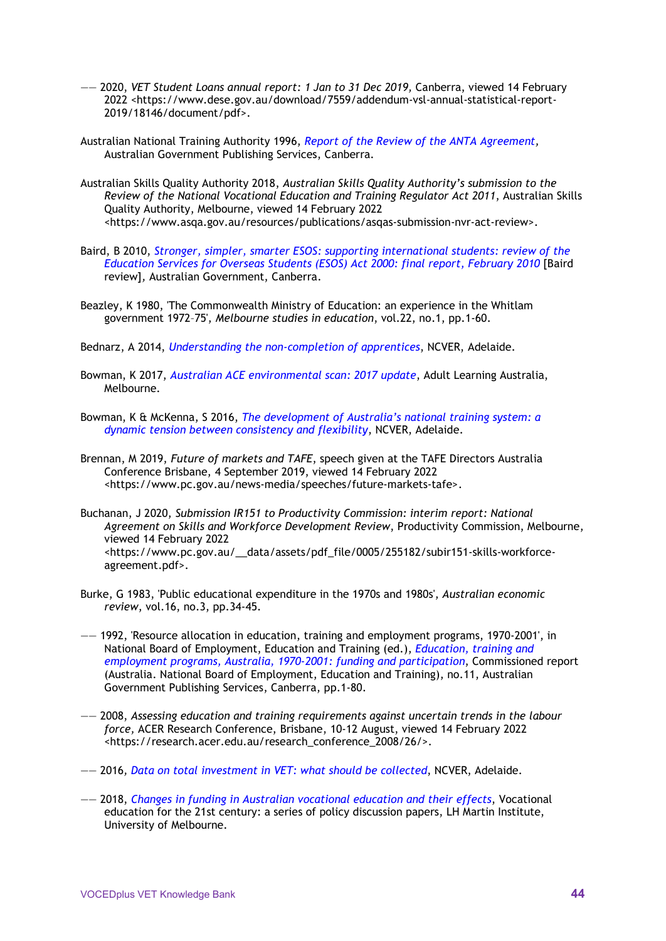- —— 2020, *VET Student Loans annual report: 1 Jan to 31 Dec 2019,* Canberra, viewed 14 February 2022 <https://www.dese.gov.au/download/7559/addendum-vsl-annual-statistical-report-2019/18146/document/pdf>.
- Australian National Training Authority 1996, *[Report of the Review of the ANTA Agreement,](http://hdl.voced.edu.au/10707/29863)*  Australian Government Publishing Services, Canberra.
- Australian Skills Quality Authority 2018, *Australian Skills Quality Authority's submission to the Review of the National Vocational Education and Training Regulator Act 2011*, Australian Skills Quality Authority, Melbourne, viewed 14 February 2022 <https://www.asqa.gov.au/resources/publications/asqas-submission-nvr-act-review>.
- Baird, B 2010, *[Stronger, simpler, smarter ESOS: supporting international students: review of the](http://hdl.voced.edu.au/10707/29779)  [Education Services for Overseas Students \(ESOS\) Act 2000: final report, February 2010](http://hdl.voced.edu.au/10707/29779)* [Baird review]*,* Australian Government, Canberra.
- Beazley, K 1980, 'The Commonwealth Ministry of Education: an experience in the Whitlam government 1972–75', *Melbourne studies in education*, vol.22, no.1, pp.1-60.
- Bednarz, A 2014, *[Understanding the non-completion of apprentices](http://hdl.voced.edu.au/10707/312568)*, NCVER, Adelaide.
- Bowman, K 2017, *[Australian ACE environmental scan: 2017 update](http://hdl.voced.edu.au/10707/450011)*, Adult Learning Australia, Melbourne.
- Bowman, K & McKenna, S 2016, *[The development of Australia's national training system: a](http://hdl.voced.edu.au/10707/391352)  [dynamic tension between consistency and flexibility](http://hdl.voced.edu.au/10707/391352)*, NCVER, Adelaide.
- Brennan, M 2019, *Future of markets and TAFE*, speech given at the TAFE Directors Australia Conference Brisbane, 4 September 2019, viewed 14 February 2022 <https://www.pc.gov.au/news-media/speeches/future-markets-tafe>.
- Buchanan, J 2020, *Submission IR151 to Productivity Commission: interim report: National Agreement on Skills and Workforce Development Review*, Productivity Commission, Melbourne, viewed 14 February 2022 <https://www.pc.gov.au/\_\_data/assets/pdf\_file/0005/255182/subir151-skills-workforceagreement.pdf>.
- Burke, G 1983, 'Public educational expenditure in the 1970s and 1980s', *Australian economic review*, vol.16, no.3, pp.34-45.
- —— 1992, 'Resource allocation in education, training and employment programs, 1970-2001', in National Board of Employment, Education and Training (ed.), *[Education, training and](http://hdl.voced.edu.au/10707/46995)  [employment programs, Australia, 1970-2001: funding and participation](http://hdl.voced.edu.au/10707/46995)*, Commissioned report (Australia. National Board of Employment, Education and Training), no.11, Australian Government Publishing Services, Canberra, pp.1-80.
- —— 2008, *Assessing education and training requirements against uncertain trends in the labour force,* ACER Research Conference, Brisbane, 10-12 August, viewed 14 February 2022 <https://research.acer.edu.au/research\_conference\_2008/26/>.
- —— 2016*, [Data on total investment in VET: what should be collected](http://hdl.voced.edu.au/10707/407602)*, NCVER, Adelaide.
- —— 2018, *[Changes in funding in Australian vocational education and their effects](http://hdl.voced.edu.au/10707/461913)*, Vocational education for the 21st century: a series of policy discussion papers, LH Martin Institute, University of Melbourne.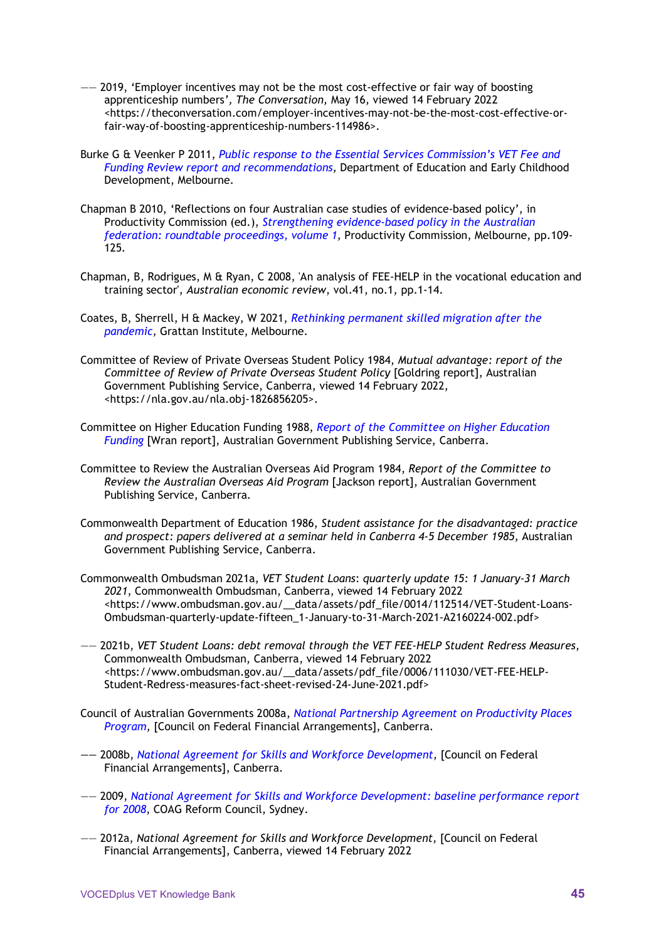- —— 2019, 'Employer incentives may not be the most cost-effective or fair way of boosting apprenticeship numbers*', The Conversation,* May 16*,* viewed 14 February 2022 <https://theconversation.com/employer-incentives-may-not-be-the-most-cost-effective-orfair-way-of-boosting-apprenticeship-numbers-114986>*.*
- Burke G & Veenker P 2011, *[Public response to the Essential Services Commission's VET Fee and](http://hdl.voced.edu.au/10707/209894)  Funding Review report and recommendations*, Department of Education and Early Childhood Development, Melbourne.
- Chapman B 2010, 'Reflections on four Australian case studies of evidence-based policy', in Productivity Commission (ed.), *[Strengthening evidence-based policy in the Australian](http://hdl.voced.edu.au/10707/85880)  [federation: roundtable proceedings, volume 1,](http://hdl.voced.edu.au/10707/85880)* Productivity Commission, Melbourne, pp.109- 125*.*
- Chapman, B, Rodrigues, M & Ryan, C 2008, 'An analysis of FEE-HELP in the vocational education and training sector', *Australian economic review*, vol.41, no.1, pp.1-14.
- Coates, B, Sherrell, H & Mackey, W 2021, *[Rethinking permanent skilled migration after the](http://hdl.voced.edu.au/10707/577314)  [pandemic,](http://hdl.voced.edu.au/10707/577314)* Grattan Institute, Melbourne.
- Committee of Review of Private Overseas Student Policy 1984, *Mutual advantage: report of the Committee of Review of Private Overseas Student Policy* [Goldring report], Australian Government Publishing Service, Canberra, viewed 14 February 2022, <https://nla.gov.au/nla.obj-1826856205>.
- Committee on Higher Education Funding 1988, *[Report of the Committee on Higher Education](http://hdl.voced.edu.au/10707/461640)  [Funding](http://hdl.voced.edu.au/10707/461640)* [Wran report], Australian Government Publishing Service, Canberra.
- Committee to Review the Australian Overseas Aid Program 1984, *Report of the Committee to Review the Australian Overseas Aid Program* [Jackson report], Australian Government Publishing Service, Canberra*.*
- Commonwealth Department of Education 1986, *Student assistance for the disadvantaged: practice and prospect: papers delivered at a seminar held in Canberra 4-5 December 1985,* Australian Government Publishing Service, Canberra.
- Commonwealth Ombudsman 2021a, *VET Student Loans*: *quarterly update 15: 1 January-31 March 2021*, Commonwealth Ombudsman, Canberra, viewed 14 February 2022 <https://www.ombudsman.gov.au/\_\_data/assets/pdf\_file/0014/112514/VET-Student-Loans-Ombudsman-quarterly-update-fifteen\_1-January-to-31-March-2021-A2160224-002.pdf>
- —— 2021b, *VET Student Loans: debt removal through the VET FEE-HELP Student Redress Measures*, Commonwealth Ombudsman, Canberra, viewed 14 February 2022 <https://www.ombudsman.gov.au/\_\_data/assets/pdf\_file/0006/111030/VET-FEE-HELP-Student-Redress-measures-fact-sheet-revised-24-June-2021.pdf>
- Council of Australian Governments 2008a, *[National Partnership Agreement on Productivity Places](http://hdl.voced.edu.au/10707/442807)  [Program](http://hdl.voced.edu.au/10707/442807)*, [Council on Federal Financial Arrangements], Canberra.
- *——* 2008b, *[National Agreement for Skills and](http://hdl.voced.edu.au/10707/187905) Workforce Development,* [Council on Federal Financial Arrangements], Canberra.
- —— 2009, *[National Agreement for Skills and Workforce Development: baseline performance report](http://hdl.voced.edu.au/10707/77807)  [for 2008](http://hdl.voced.edu.au/10707/77807)*, COAG Reform Council, Sydney.
- —— 2012a, *National Agreement for Skills and Workforce Development,* [Council on Federal Financial Arrangements], Canberra, viewed 14 February 2022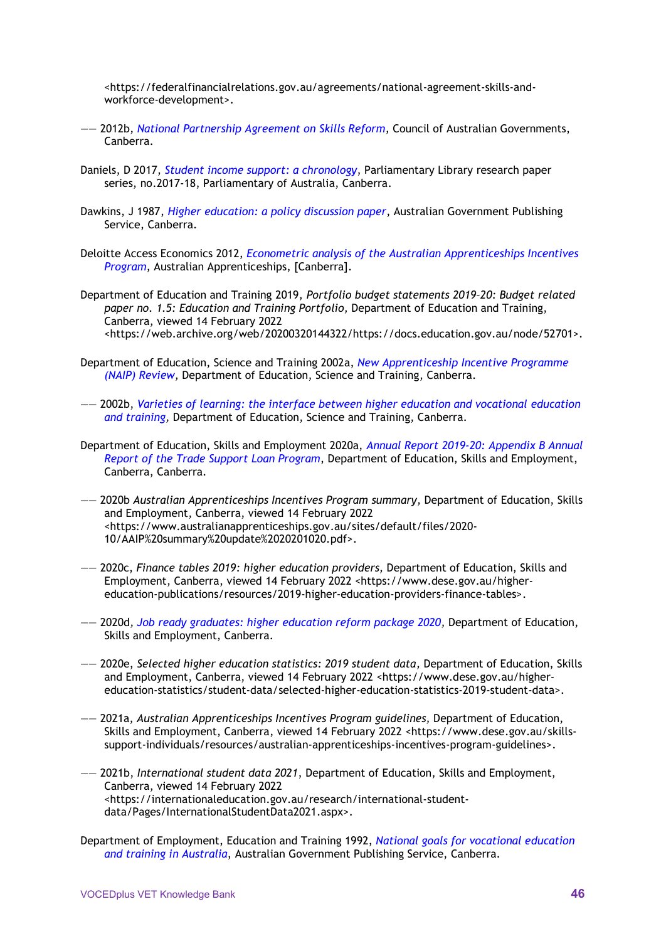<https://federalfinancialrelations.gov.au/agreements/national-agreement-skills-andworkforce-development>.

- —— 2012b*, [National Partnership Agreement on Skills Reform,](http://hdl.voced.edu.au/10707/214207)* Council of Australian Governments, Canberra.
- Daniels, D 2017, *[Student income support: a chronology](http://hdl.voced.edu.au/10707/435970)*, Parliamentary Library research paper series, no.2017-18, Parliamentary of Australia, Canberra.
- Dawkins, J 1987, *[Higher education: a policy discussion paper](http://hdl.voced.edu.au/10707/116202)*, Australian Government Publishing Service, Canberra.
- Deloitte Access Economics 2012, *[Econometric analysis of the Australian Apprenticeships Incentives](http://hdl.voced.edu.au/10707/325070)  [Program,](http://hdl.voced.edu.au/10707/325070)* Australian Apprenticeships, [Canberra].
- Department of Education and Training 2019, *Portfolio budget statements 2019–20: Budget related paper no. 1.5: Education and Training Portfolio,* Department of Education and Training, Canberra, viewed 14 February 2022 <https://web.archive.org/web/20200320144322/https://docs.education.gov.au/node/52701>.
- Department of Education, Science and Training 2002a, *[New Apprenticeship Incentive Programme](http://hdl.voced.edu.au/10707/430945)  [\(NAIP\) Review](http://hdl.voced.edu.au/10707/430945)*, Department of Education, Science and Training, Canberra.
- —— 2002b, *[Varieties of learning: the interface between higher education and vocational education](http://hdl.voced.edu.au/10707/156895)  [and training,](http://hdl.voced.edu.au/10707/156895)* Department of Education, Science and Training, Canberra.
- Department of Education, Skills and Employment 2020a, *[Annual Report 2019-20: Appendix B Annual](http://hdl.voced.edu.au/10707/592017)  [Report of the Trade Support Loan Program](http://hdl.voced.edu.au/10707/592017)*, Department of Education, Skills and Employment, Canberra, Canberra.
- —— 2020b *Australian Apprenticeships Incentives Program summary*, Department of Education, Skills and Employment, Canberra, viewed 14 February 2022 <https://www.australianapprenticeships.gov.au/sites/default/files/2020- 10/AAIP%20summary%20update%2020201020.pdf>.
- —— 2020c, *Finance tables 2019: higher education providers,* Department of Education, Skills and Employment, Canberra, viewed 14 February 2022 <https://www.dese.gov.au/highereducation-publications/resources/2019-higher-education-providers-finance-tables>.
- —— 2020d*, [Job ready graduates: higher education reform package 2020,](http://hdl.voced.edu.au/10707/543415)* Department of Education, Skills and Employment, Canberra*.*
- —— 2020e, *Selected higher education statistics: 2019 student data,* Department of Education, Skills and Employment, Canberra, viewed 14 February 2022 <https://www.dese.gov.au/highereducation-statistics/student-data/selected-higher-education-statistics-2019-student-data>.
- —— 2021a, *Australian Apprenticeships Incentives Program guidelines,* Department of Education, Skills and Employment, Canberra, viewed 14 February 2022 <https://www.dese.gov.au/skillssupport-individuals/resources/australian-apprenticeships-incentives-program-guidelines>.
- —— 2021b, *International student data 2021*, Department of Education, Skills and Employment, Canberra, viewed 14 February 2022 <https://internationaleducation.gov.au/research/international-studentdata/Pages/InternationalStudentData2021.aspx>.
- Department of Employment, Education and Training 1992, *[National goals for vocational education](http://hdl.voced.edu.au/10707/36582)  [and training in Australia](http://hdl.voced.edu.au/10707/36582)*, Australian Government Publishing Service, Canberra.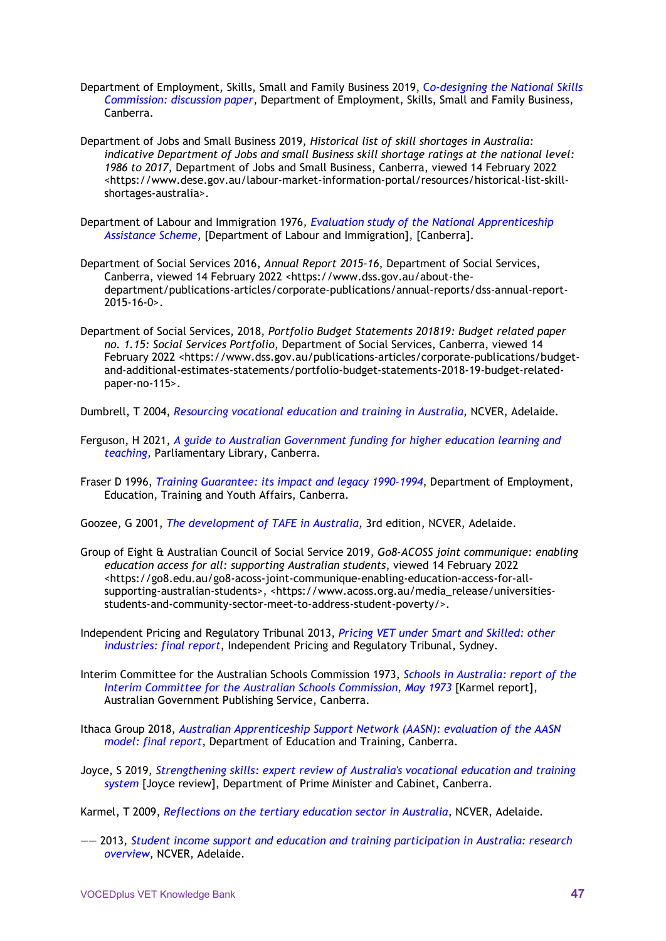- Department of Employment, Skills, Small and Family Business 2019, C*[o-designing the National Skills](http://hdl.voced.edu.au/10707/521341)  [Commission: discussion paper](http://hdl.voced.edu.au/10707/521341)*, Department of Employment, Skills, Small and Family Business, Canberra.
- Department of Jobs and Small Business 2019, *Historical list of skill shortages in Australia: indicative Department of Jobs and small Business skill shortage ratings at the national level: 1986 to 2017,* Department of Jobs and Small Business, Canberra, viewed 14 February 2022 <https://www.dese.gov.au/labour-market-information-portal/resources/historical-list-skillshortages-australia>.
- Department of Labour and Immigration 1976*, [Evaluation study of the National Apprenticeship](http://hdl.voced.edu.au/10707/388272)  [Assistance Scheme](http://hdl.voced.edu.au/10707/388272)*, [Department of Labour and Immigration], [Canberra].
- Department of Social Services 2016, *Annual Report 2015–16*, Department of Social Services, Canberra, viewed 14 February 2022 <https://www.dss.gov.au/about-thedepartment/publications-articles/corporate-publications/annual-reports/dss-annual-report- $2015 - 16 - 0$
- Department of Social Services, 2018, *Portfolio Budget Statements 201819: Budget related paper no. 1.15: Social Services Portfolio*, Department of Social Services, Canberra, viewed 14 February 2022 <https://www.dss.gov.au/publications-articles/corporate-publications/budgetand-additional-estimates-statements/portfolio-budget-statements-2018-19-budget-relatedpaper-no-115>.

Dumbrell, T 2004, *[Resourcing vocational education and training in Australia,](http://hdl.voced.edu.au/10707/126618)* NCVER, Adelaide.

- Ferguson, H 2021, *[A guide to Australian Government funding for higher education learning and](http://hdl.voced.edu.au/10707/586556)  [teaching,](http://hdl.voced.edu.au/10707/586556)* Parliamentary Library, Canberra*.*
- Fraser D 1996, *[Training Guarantee: its impact and legacy 1990-1994](http://hdl.voced.edu.au/10707/121622)*, Department of Employment, Education, Training and Youth Affairs, Canberra.
- Goozee, G 2001, *[The development of TAFE in Australia](http://hdl.voced.edu.au/10707/145245)*, 3rd edition, NCVER, Adelaide.
- Group of Eight & Australian Council of Social Service 2019, *Go8-ACOSS joint communique: enabling education access for all: supporting Australian students*, viewed 14 February 2022 <https://go8.edu.au/go8-acoss-joint-communique-enabling-education-access-for-allsupporting-australian-students>, <https://www.acoss.org.au/media\_release/universitiesstudents-and-community-sector-meet-to-address-student-poverty/>.
- Independent Pricing and Regulatory Tribunal 2013, *[Pricing VET under Smart and Skilled: other](http://hdl.voced.edu.au/10707/337217)  [industries: final report](http://hdl.voced.edu.au/10707/337217)*, Independent Pricing and Regulatory Tribunal, Sydney*.*
- Interim Committee for the Australian Schools Commission 1973, *[Schools in Australia: report of the](http://hdl.voced.edu.au/10707/522213)  [Interim Committee for the Australian Schools Commission, May 1973](http://hdl.voced.edu.au/10707/522213)* [Karmel report], Australian Government Publishing Service, Canberra.
- Ithaca Group 2018, *[Australian Apprenticeship Support Network \(AASN\): evaluation of the AASN](http://hdl.voced.edu.au/10707/455615)  [model: final report](http://hdl.voced.edu.au/10707/455615)*, Department of Education and Training, Canberra.
- Joyce, S 2019, *[Strengthening skills: expert review of Australia's vocational education and training](http://hdl.voced.edu.au/10707/501346)  [system](http://hdl.voced.edu.au/10707/501346)* [Joyce review], Department of Prime Minister and Cabinet, Canberra.

Karmel, T 2009, *[Reflections on the tertiary education sector in Australia](http://hdl.voced.edu.au/10707/102077)*, NCVER, Adelaide*.*

—— 2013*, [Student income support and education and training participation in Australia: research](http://hdl.voced.edu.au/10707/257966)  [overview,](http://hdl.voced.edu.au/10707/257966)* NCVER, Adelaide.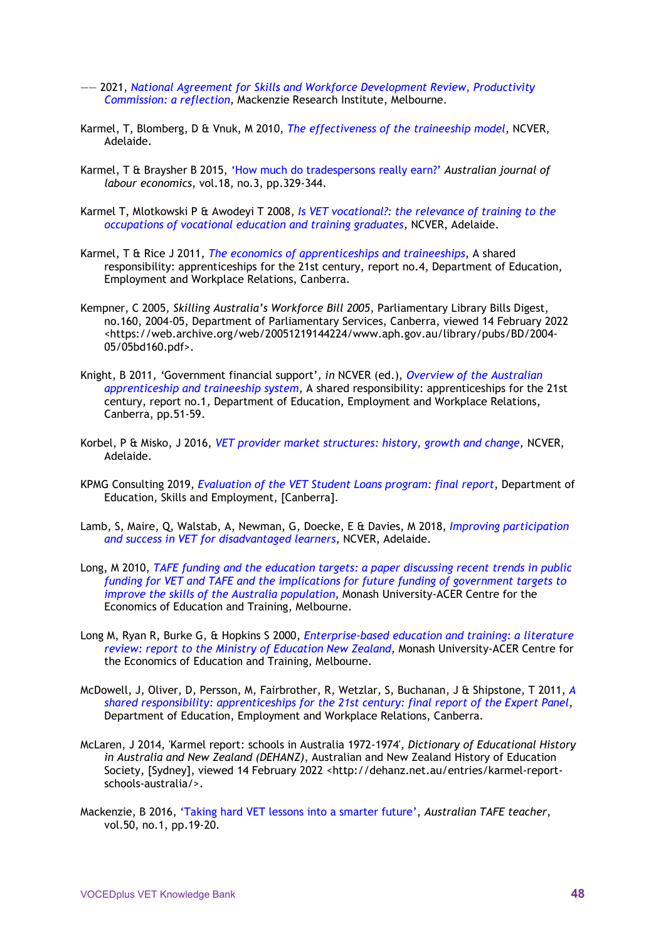- —— 2021, *[National Agreement for Skills and Workforce Development Review, Productivity](http://hdl.voced.edu.au/10707/597148)  [Commission: a reflection,](http://hdl.voced.edu.au/10707/597148)* Mackenzie Research Institute, Melbourne.
- Karmel, T, Blomberg, D & Vnuk, M 2010, *[The effectiveness of the traineeship model](http://hdl.voced.edu.au/10707/106056)*, NCVER, Adelaide.
- Karmel, T & Braysher B 2015, ['How much do tradespersons really earn?'](http://hdl.voced.edu.au/10707/386500) *Australian journal of labour economics,* vol.18, no.3, pp.329-344.
- Karmel T, Mlotkowski P & Awodeyi T 2008, *[Is VET vocational?: the relevance of training to the](http://hdl.voced.edu.au/10707/134008)  [occupations of vocational education and training](http://hdl.voced.edu.au/10707/134008) graduates,* NCVER, Adelaide.
- Karmel, T & Rice J 2011, *[The economics of apprenticeships and traineeships](http://hdl.voced.edu.au/10707/371)*, A shared responsibility: apprenticeships for the 21st century, report no.4, Department of Education, Employment and Workplace Relations, Canberra.
- Kempner, C 2005*, Skilling Australia's Workforce Bill 2005,* Parliamentary Library Bills Digest, no.160, 2004-05, Department of Parliamentary Services, Canberra, viewed 14 February 2022 <https://web.archive.org/web/20051219144224/www.aph.gov.au/library/pubs/BD/2004- 05/05bd160.pdf>.
- Knight, B 2011*, '*Government financial support'*, in* NCVER (ed.), *[Overview of the Australian](http://hdl.voced.edu.au/10707/372)  [apprenticeship and traineeship system,](http://hdl.voced.edu.au/10707/372)* A shared responsibility: apprenticeships for the 21st century, report no.1*,* Department of Education, Employment and Workplace Relations, Canberra, pp.51-59.
- Korbel, P & Misko, J 2016, *[VET provider market structures: history, growth and change,](http://hdl.voced.edu.au/10707/407902)* NCVER, Adelaide.
- KPMG Consulting 2019, *[Evaluation of the VET Student Loans program: final report](http://hdl.voced.edu.au/10707/538940)*, Department of Education, Skills and Employment, [Canberra].
- Lamb, S, Maire, Q, Walstab, A, Newman, G, Doecke, E & Davies, M 2018, *[Improving participation](http://hdl.voced.edu.au/10707/452076)  [and success in VET for disadvantaged learners,](http://hdl.voced.edu.au/10707/452076)* NCVER, Adelaide.
- Long, M 2010, *[TAFE funding and the education targets: a paper discussing recent trends in public](http://hdl.voced.edu.au/10707/113387)  [funding for VET and TAFE and the implications for future funding of government targets to](http://hdl.voced.edu.au/10707/113387)  [improve the skills of the Australia population,](http://hdl.voced.edu.au/10707/113387)* Monash University-ACER Centre for the Economics of Education and Training, Melbourne.
- Long M, Ryan R, Burke G, & Hopkins S 2000, *[Enterprise-based education and training: a literature](http://hdl.voced.edu.au/10707/140086)  [review: report to the Ministry of Education New Zealand,](http://hdl.voced.edu.au/10707/140086)* Monash University-ACER Centre for the Economics of Education and Training, Melbourne.
- McDowell, J, Oliver, D, Persson, M, Fairbrother, R, Wetzlar, S, Buchanan, J & Shipstone, T 2011, *[A](http://hdl.voced.edu.au/10707/348)  [shared responsibility: apprenticeships for the 21st century: final report of the Expert Panel](http://hdl.voced.edu.au/10707/348)*, Department of Education, Employment and Workplace Relations, Canberra.
- McLaren, J 2014, 'Karmel report: schools in Australia 1972-1974', *Dictionary of Educational History in Australia and New Zealand (DEHANZ)*, Australian and New Zealand History of Education Society, [Sydney], viewed 14 February 2022 <http://dehanz.net.au/entries/karmel-reportschools-australia/>.
- Mackenzie, B 2016, ['Taking hard VET lessons into a smarter future',](http://hdl.voced.edu.au/10707/404101) *Australian TAFE teacher,*  vol.50, no.1, pp.19-20.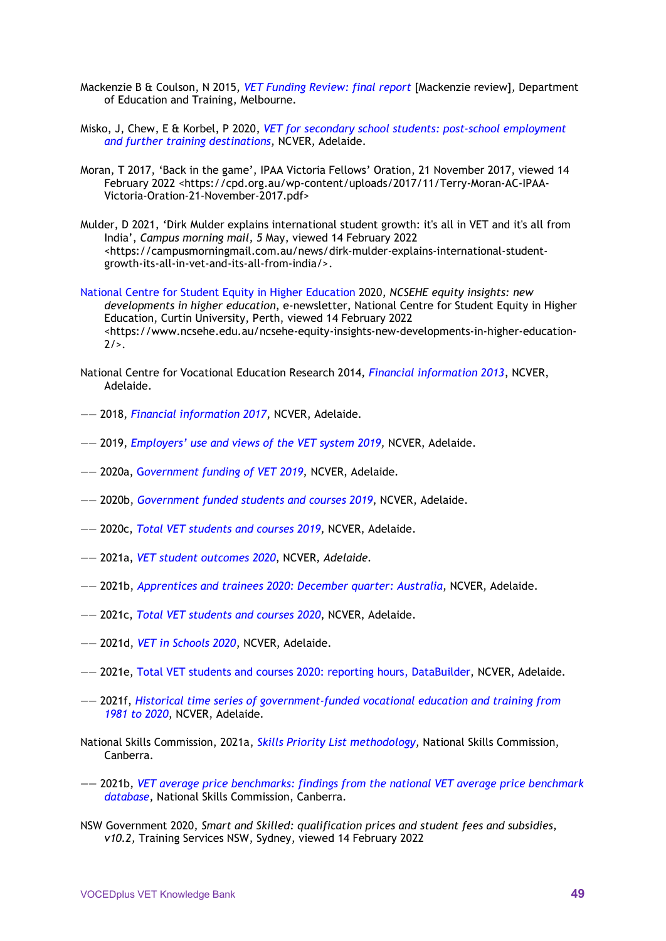- Mackenzie B & Coulson, N 2015, *[VET Funding Review: final report](http://hdl.voced.edu.au/10707/392319)* [Mackenzie review]*,* Department of Education and Training, Melbourne.
- Misko, J, Chew, E & Korbel, P 2020, *[VET for secondary school students: post-school employment](http://hdl.voced.edu.au/10707/535721)  [and further training destinations](http://hdl.voced.edu.au/10707/535721)*, NCVER, Adelaide.
- Moran, T 2017, 'Back in the game', IPAA Victoria Fellows' Oration, 21 November 2017, viewed 14 February 2022 <https://cpd.org.au/wp-content/uploads/2017/11/Terry-Moran-AC-IPAA-Victoria-Oration-21-November-2017.pdf>
- Mulder, D 2021, 'Dirk Mulder explains international student growth: it's all in VET and it's all from India', *Campus morning mail, 5* May, viewed 14 February 2022 <https://campusmorningmail.com.au/news/dirk-mulder-explains-international-studentgrowth-its-all-in-vet-and-its-all-from-india/>.
- [National Centre for Student Equity in Higher Education 2](https://www.ncsehe.edu.au/)020, *NCSEHE equity insights: new developments in higher education*, e-newsletter, National Centre for Student Equity in Higher Education, Curtin University, Perth, viewed 14 February 2022 <https://www.ncsehe.edu.au/ncsehe-equity-insights-new-developments-in-higher-education- $2/$
- National Centre for Vocational Education Research 2014*, [Financial information 2013](http://hdl.voced.edu.au/10707/335858)*, NCVER, Adelaide.
- —— 2018, *[Financial information 2017](http://hdl.voced.edu.au/10707/466866)*, NCVER, Adelaide*.*
- —— 2019, *[Employers' use and views of the VET system 2019,](http://hdl.voced.edu.au/10707/523811)* NCVER, Adelaide.
- —— 2020a, G*[overnment funding of VET 2019,](http://hdl.voced.edu.au/10707/562089)* NCVER, Adelaide.
- —— 2020b, *[Government funded students and courses 2019](http://hdl.voced.edu.au/10707/548130)*, NCVER, Adelaide.
- —— 2020c, *[Total VET students and courses 2019,](http://hdl.voced.edu.au/10707/548200)* NCVER, Adelaide.
- —— 2021a, *[VET student outcomes 2020](http://hdl.voced.edu.au/10707/564208)*, NCVER*, Adelaide.*
- —— 2021b, *[Apprentices and trainees 2020: December quarter: Australia](http://hdl.voced.edu.au/10707/579218)*, NCVER, Adelaide.
- —— 2021c, *[Total VET students and courses 2020](http://hdl.voced.edu.au/10707/584407)*, NCVER, Adelaide.
- —— 2021d, *[VET in Schools 2020](http://hdl.voced.edu.au/10707/580688)*, NCVER, Adelaide.
- —— 2021e, [Total VET students and courses 2020: reporting hours, DataBuilder,](https://www.ncver.edu.au/research-and-statistics/data/databuilder) NCVER, Adelaide.
- —— 2021f, *[Historical time series of government-funded vocational education and training from](http://hdl.voced.edu.au/10707/586855)  [1981 to 2020](http://hdl.voced.edu.au/10707/586855)*, NCVER, Adelaide.
- National Skills Commission, 2021a, *[Skills Priority List methodology](http://hdl.voced.edu.au/10707/586334)*, National Skills Commission, Canberra.
- *——* 2021b*, [VET average price benchmarks: findings from the national VET average price benchmark](http://hdl.voced.edu.au/10707/572112)  [database,](http://hdl.voced.edu.au/10707/572112)* National Skills Commission, Canberra.
- NSW Government 2020*, Smart and Skilled: qualification prices and student fees and subsidies, v10.2,* Training Services NSW, Sydney, viewed 14 February 2022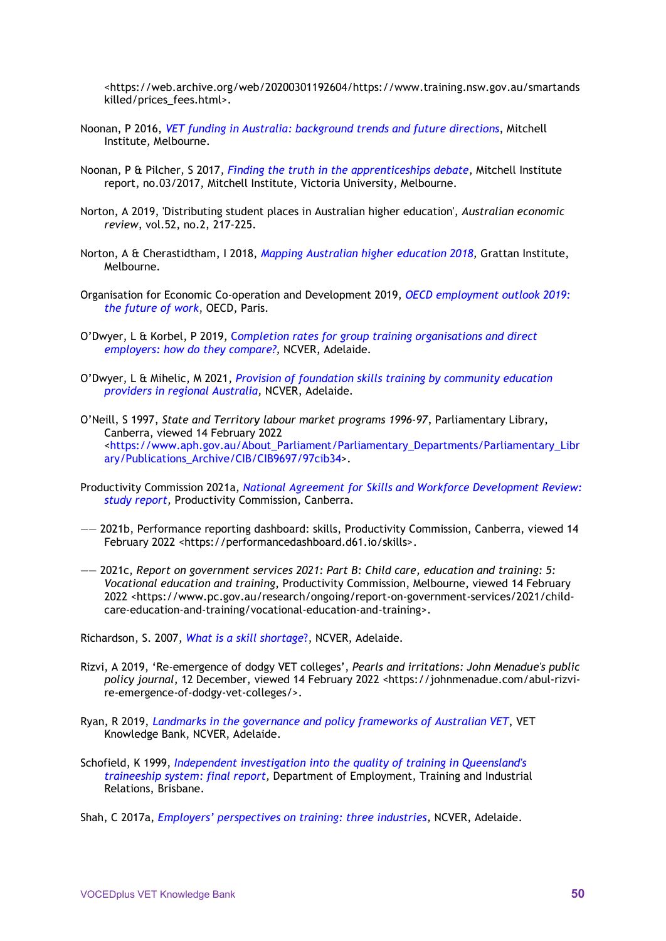<https://web.archive.org/web/20200301192604/https://www.training.nsw.gov.au/smartands killed/prices\_fees.html>.

- Noonan, P 2016, *[VET funding in Australia: background trends and future directions](http://hdl.voced.edu.au/10707/397757)*, Mitchell Institute, Melbourne.
- Noonan, P & Pilcher, S 2017, *[Finding the truth in the apprenticeships debate](http://hdl.voced.edu.au/10707/437830)*, Mitchell Institute report, no.03/2017, Mitchell Institute, Victoria University, Melbourne.
- Norton, A 2019, 'Distributing student places in Australian higher education', *Australian economic review*, vol.52, no.2, 217-225.
- Norton, A & Cherastidtham, I 2018, *[Mapping Australian higher education 2018,](http://hdl.voced.edu.au/10707/464704)* Grattan Institute, Melbourne.
- Organisation for Economic Co-operation and Development 2019, *[OECD employment outlook 2019:](http://hdl.voced.edu.au/10707/503835)  [the future of work](http://hdl.voced.edu.au/10707/503835)*, OECD, Paris.
- O'Dwyer, L & Korbel, P 2019, C*[ompletion rates for group training organisations and direct](http://hdl.voced.edu.au/10707/522019)  [employers: how do they compare?,](http://hdl.voced.edu.au/10707/522019)* NCVER, Adelaide.
- O'Dwyer, L & Mihelic, M 2021, *[Provision of foundation skills training by community education](http://hdl.voced.edu.au/10707/564942)  [providers in regional Australia,](http://hdl.voced.edu.au/10707/564942)* NCVER, Adelaide.
- O'Neill, S 1997, *State and Territory labour market programs 1996-97*, Parliamentary Library, Canberra, viewed 14 February 2022 [<https://www.aph.gov.au/About\\_Parliament/Parliamentary\\_Departments/Parliamentary\\_Libr](https://www.aph.gov.au/About_Parliament/Parliamentary_Departments/Parliamentary_Library/Publications_Archive/CIB/CIB9697/97cib34) [ary/Publications\\_Archive/CIB/CIB9697/97cib34>](https://www.aph.gov.au/About_Parliament/Parliamentary_Departments/Parliamentary_Library/Publications_Archive/CIB/CIB9697/97cib34).
- Productivity Commission 2021a*, [National Agreement for Skills and Workforce Development Review:](http://hdl.voced.edu.au/10707/564399)  [study report,](http://hdl.voced.edu.au/10707/564399)* Productivity Commission, Canberra*.*
- —— 2021b, Performance reporting dashboard: skills, Productivity Commission, Canberra, viewed 14 February 2022 <https://performancedashboard.d61.io/skills>.
- —— 2021c, *Report on government services 2021: Part B: Child care, education and training: 5: Vocational education and training*, Productivity Commission, Melbourne, viewed 14 February 2022 <https://www.pc.gov.au/research/ongoing/report-on-government-services/2021/childcare-education-and-training/vocational-education-and-training>.

Richardson, S. 2007, *[What is a skill shortage](http://hdl.voced.edu.au/10707/82310)*?, NCVER, Adelaide.

- Rizvi, A 2019, 'Re-emergence of dodgy VET colleges', *Pearls and irritations: John Menadue's public policy journal*, 12 December, viewed 14 February 2022 <https://johnmenadue.com/abul-rizvire-emergence-of-dodgy-vet-colleges/>.
- Ryan, R 2019, *[Landmarks in the governance and policy frameworks of Australian VET](http://hdl.voced.edu.au/10707/513653)*, VET Knowledge Bank, NCVER, Adelaide.
- Schofield, K 1999, *[Independent investigation into the quality of training in Queensland's](http://hdl.voced.edu.au/10707/119368)  [traineeship system: final report,](http://hdl.voced.edu.au/10707/119368)* Department of Employment, Training and Industrial Relations, Brisbane.
- Shah, C 2017a, *[Employers' perspectives on training: three industries,](http://hdl.voced.edu.au/10707/437237)* NCVER, Adelaide.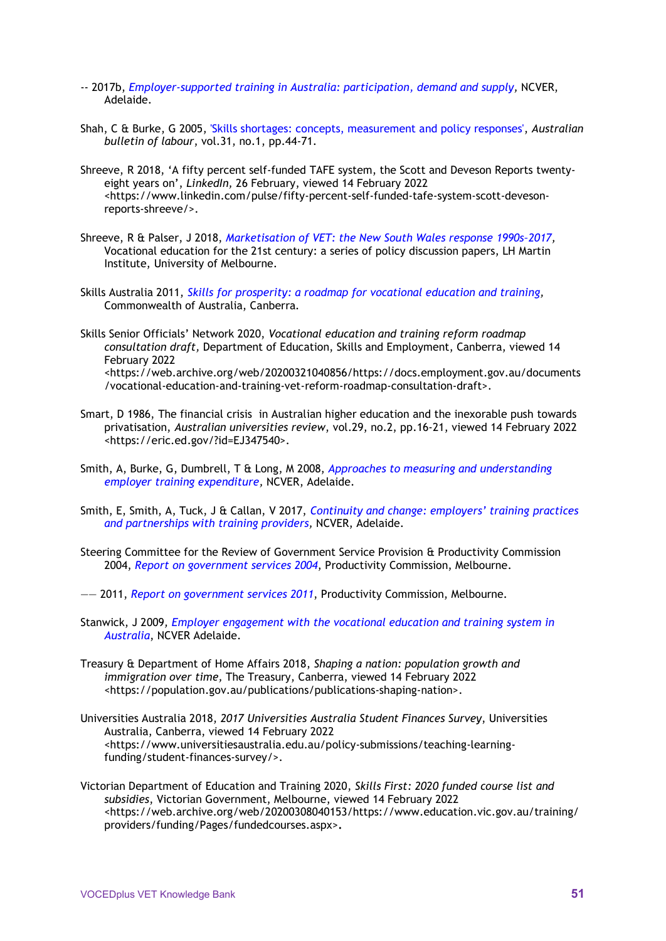- -- 2017b, *[Employer-supported training in Australia: participation, demand and supply,](http://hdl.voced.edu.au/10707/439226)* NCVER, Adelaide.
- Shah, C & Burke, G 2005, ['Skills shortages: concepts, measurement and policy responses',](http://hdl.voced.edu.au/10707/88291) *Australian bulletin of labour*, vol.31, no.1, pp.44-71.
- Shreeve, R 2018, 'A fifty percent self-funded TAFE system, the Scott and Deveson Reports twentyeight years on', *LinkedIn,* 26 February, viewed 14 February 2022 <https://www.linkedin.com/pulse/fifty-percent-self-funded-tafe-system-scott-devesonreports-shreeve/>.
- Shreeve, R & Palser, J 2018, *[Marketisation of VET: the New South Wales response 1990s–2017,](http://hdl.voced.edu.au/10707/461943)* Vocational education for the 21st century: a series of policy discussion papers, LH Martin Institute, University of Melbourne.
- Skills Australia 2011, *[Skills for prosperity: a roadmap for vocational education and training,](http://hdl.voced.edu.au/10707/5969)*  Commonwealth of Australia, Canberra*.*
- Skills Senior Officials' Network 2020, *Vocational education and training reform roadmap consultation draft,* Department of Education, Skills and Employment, Canberra, viewed 14 February 2022 <https://web.archive.org/web/20200321040856/https://docs.employment.gov.au/documents /vocational-education-and-training-vet-reform-roadmap-consultation-draft>.
- Smart, D 1986, The financial crisis in Australian higher education and the inexorable push towards privatisation, *Australian universities review*, vol.29, no.2, pp.16-21, viewed 14 February 2022 <https://eric.ed.gov/?id=EJ347540>.
- Smith, A, Burke, G, Dumbrell, T & Long, M 2008, *[Approaches to measuring and understanding](http://hdl.voced.edu.au/10707/96223)  [employer training expenditure,](http://hdl.voced.edu.au/10707/96223)* NCVER, Adelaide.
- Smith, E, Smith, A, Tuck, J & Callan, V 2017, *[Continuity and change: employers' training practices](http://hdl.voced.edu.au/10707/423535)  [and partnerships with training providers,](http://hdl.voced.edu.au/10707/423535)* NCVER, Adelaide.
- Steering Committee for the Review of Government Service Provision & Productivity Commission 2004, *[Report on government services 2004](http://hdl.voced.edu.au/10707/64682)*, Productivity Commission, Melbourne.
- —— 2011, *[Report on government services 2011](http://hdl.voced.edu.au/10707/1872)*, Productivity Commission, Melbourne.
- Stanwick, J 2009*, [Employer engagement with the vocational education and training system in](http://hdl.voced.edu.au/10707/55978)  [Australia](http://hdl.voced.edu.au/10707/55978)*, NCVER Adelaide.
- Treasury & Department of Home Affairs 2018, *Shaping a nation: population growth and immigration over time,* The Treasury, Canberra, viewed 14 February 2022 <https://population.gov.au/publications/publications-shaping-nation>.
- Universities Australia 2018, *2017 Universities Australia Student Finances Survey*, Universities Australia, Canberra, viewed 14 February 2022 <https://www.universitiesaustralia.edu.au/policy-submissions/teaching-learningfunding/student-finances-survey/>.
- Victorian Department of Education and Training 2020, *Skills First: 2020 funded course list and subsidies*, Victorian Government, Melbourne, viewed 14 February 2022 <https://web.archive.org/web/20200308040153/https://www.education.vic.gov.au/training/ providers/funding/Pages/fundedcourses.aspx>**.**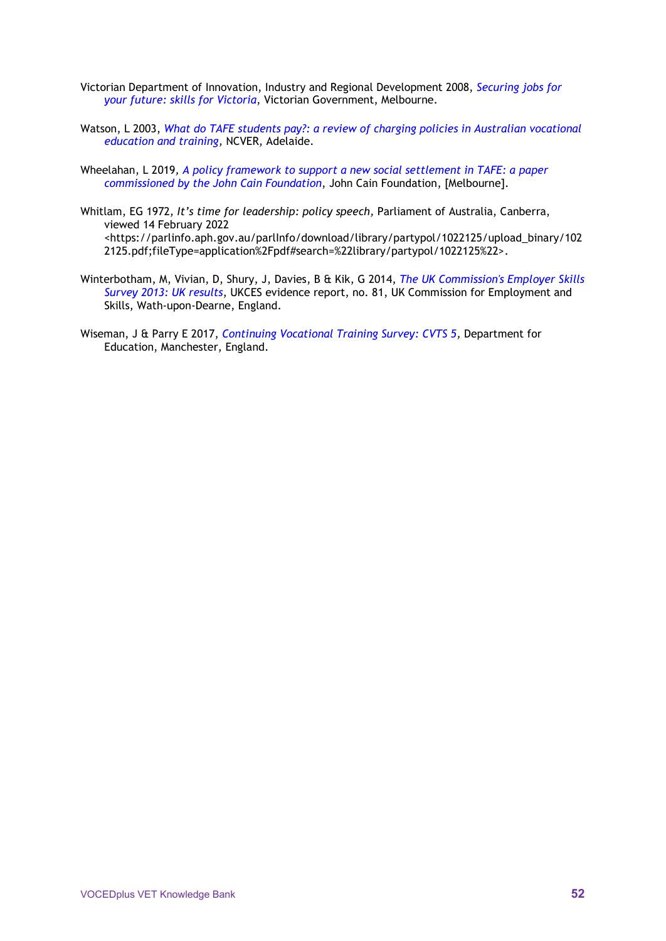- Victorian Department of Innovation, Industry and Regional Development 2008, *[Securing jobs for](http://hdl.voced.edu.au/10707/44985)  [your future: skills for Victoria](http://hdl.voced.edu.au/10707/44985)*, Victorian Government, Melbourne.
- Watson, L 2003, *[What do TAFE students pay?: a review of charging policies in Australian vocational](http://hdl.voced.edu.au/10707/96564)  [education and training,](http://hdl.voced.edu.au/10707/96564)* NCVER, Adelaide*.*
- Wheelahan, L 2019*, [A policy framework to support a new social settlement in TAFE: a paper](http://hdl.voced.edu.au/10707/500446)  [commissioned by the John Cain Foundation](http://hdl.voced.edu.au/10707/500446)*, John Cain Foundation, [Melbourne].
- Whitlam, EG 1972*, It's time for leadership: policy speech,* Parliament of Australia, Canberra, viewed 14 February 2022 <https://parlinfo.aph.gov.au/parlInfo/download/library/partypol/1022125/upload\_binary/102 2125.pdf;fileType=application%2Fpdf#search=%22library/partypol/1022125%22>.
- Winterbotham, M, Vivian, D, Shury, J, Davies, B & Kik, G 2014, *[The UK Commission's Employer Skills](http://hdl.voced.edu.au/10707/290807)  [Survey 2013: UK results](http://hdl.voced.edu.au/10707/290807)*, UKCES evidence report, no. 81, UK Commission for Employment and Skills, Wath-upon-Dearne, England.
- Wiseman, J & Parry E 2017, *[Continuing Vocational Training Survey: CVTS 5,](http://hdl.voced.edu.au/10707/444602)* Department for Education, Manchester, England.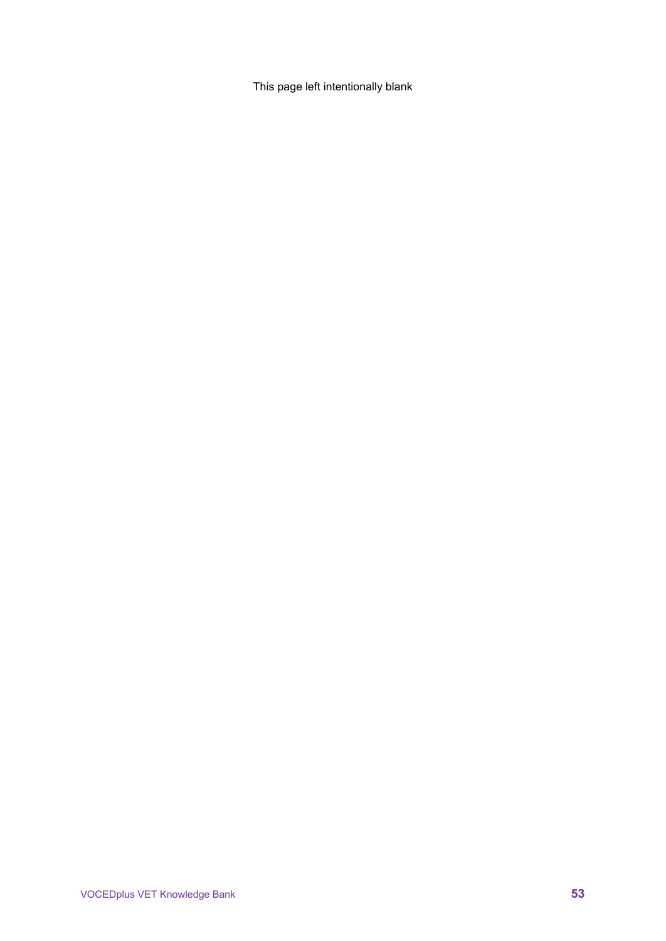This page left intentionally blank